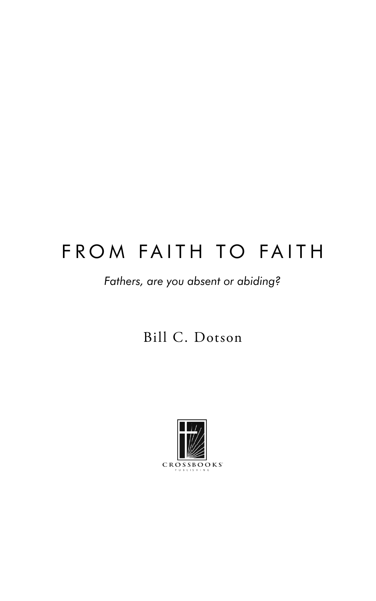# FROM FAITH TO FAITH

#### *Fathers, are you absent or abiding?*

## Bill C. Dotson

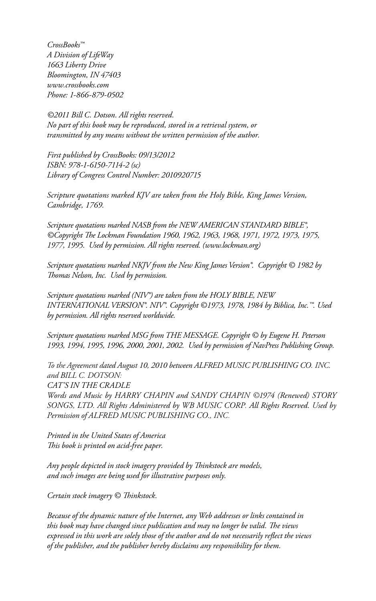*CrossBooks™ A Division of LifeWay 1663 Liberty Drive Bloomington, IN 47403 www.crossbooks.com Phone: 1-866-879-0502*

*©2011 Bill C. Dotson. All rights reserved. No part of this book may be reproduced, stored in a retrieval system, or transmitted by any means without the written permission of the author.*

*First published by CrossBooks: 09/13/2012 ISBN: 978-1-6150-7114-2 (sc) Library of Congress Control Number: 2010920715*

*Scripture quotations marked KJV are taken from the Holy Bible, King James Version, Cambridge, 1769.* 

*Scripture quotations marked NASB from the NEW AMERICAN STANDARD BIBLE®,*  ©Copyright The Lockman Foundation 1960, 1962, 1963, 1968, 1971, 1972, 1973, 1975, *1977, 1995. Used by permission. All rights reserved. (www.lockman.org)*

*Scripture quotations marked NKJV from the New King James Version®. Copyright © 1982 by Th omas Nelson, Inc. Used by permission.*

*Scripture quotations marked (NIV®) are taken from the HOLY BIBLE, NEW INTERNATIONAL VERSION®. NIV®. Copyright ©1973, 1978, 1984 by Biblica, Inc.™. Used by permission. All rights reserved worldwide.*

*Scripture quotations marked MSG from THE MESSAGE. Copyright © by Eugene H. Peterson 1993, 1994, 1995, 1996, 2000, 2001, 2002. Used by permission of NavPress Publishing Group.* 

*To the Agreement dated August 10, 2010 between ALFRED MUSIC PUBLISHING CO. INC. and BILL C. DOTSON: CAT'S IN THE CRADLE Words and Music by HARRY CHAPIN and SANDY CHAPIN ©1974 (Renewed) STORY* 

*SONGS, LTD. All Rights Administered by WB MUSIC CORP. All Rights Reserved. Used by Permission of ALFRED MUSIC PUBLISHING CO., INC.*

*Printed in the United States of America Th is book is printed on acid-free paper.* 

Any people depicted in stock imagery provided by Thinkstock are models, *and such images are being used for illustrative purposes only.*

*Certain stock imagery © Th inkstock.*

*Because of the dynamic nature of the Internet, any Web addresses or links contained in*  this book may have changed since publication and may no longer be valid. The views expressed in this work are solely those of the author and do not necessarily reflect the views *of the publisher, and the publisher hereby disclaims any responsibility for them.*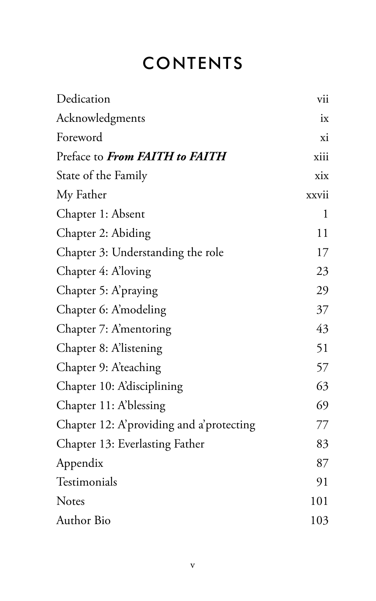## **CONTENTS**

| Dedication                               | vii   |
|------------------------------------------|-------|
| Acknowledgments                          | ix    |
| Foreword                                 | хi    |
| Preface to From FAITH to FAITH           | xiii  |
| State of the Family                      | xix   |
| My Father                                | xxvii |
| Chapter 1: Absent                        | 1     |
| Chapter 2: Abiding                       | 11    |
| Chapter 3: Understanding the role        | 17    |
| Chapter 4: A'loving                      | 23    |
| Chapter 5: A'praying                     | 29    |
| Chapter 6: A'modeling                    | 37    |
| Chapter 7: A'mentoring                   | 43    |
| Chapter 8: A'listening                   | 51    |
| Chapter 9: A'teaching                    | 57    |
| Chapter 10: Adisciplining                | 63    |
| Chapter 11: A'blessing                   | 69    |
| Chapter 12: A'providing and a'protecting | 77    |
| Chapter 13: Everlasting Father           | 83    |
| Appendix                                 | 87    |
| Testimonials                             | 91    |
| Notes                                    | 101   |
| Author Bio                               | 103   |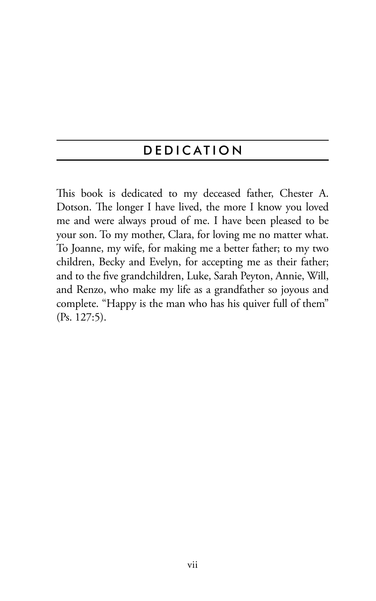## DEDICATION

This book is dedicated to my deceased father, Chester A. Dotson. The longer I have lived, the more I know you loved me and were always proud of me. I have been pleased to be your son. To my mother, Clara, for loving me no matter what. To Joanne, my wife, for making me a better father; to my two children, Becky and Evelyn, for accepting me as their father; and to the five grandchildren, Luke, Sarah Peyton, Annie, Will, and Renzo, who make my life as a grandfather so joyous and complete. "Happy is the man who has his quiver full of them" (Ps. 127:5).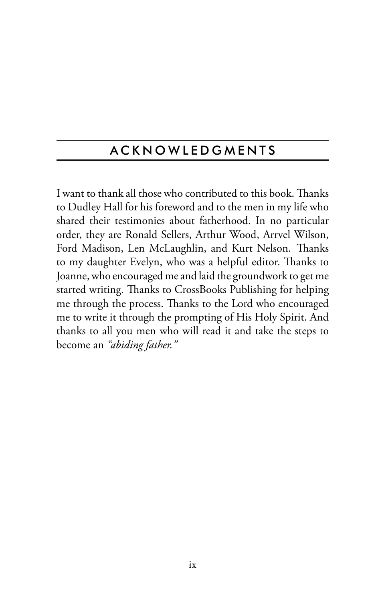## ACKNOWLEDGMENTS

I want to thank all those who contributed to this book. Thanks to Dudley Hall for his foreword and to the men in my life who shared their testimonies about fatherhood. In no particular order, they are Ronald Sellers, Arthur Wood, Arrvel Wilson, Ford Madison, Len McLaughlin, and Kurt Nelson. Thanks to my daughter Evelyn, who was a helpful editor. Thanks to Joanne, who encouraged me and laid the groundwork to get me started writing. Thanks to CrossBooks Publishing for helping me through the process. Thanks to the Lord who encouraged me to write it through the prompting of His Holy Spirit. And thanks to all you men who will read it and take the steps to become an *"abiding father."*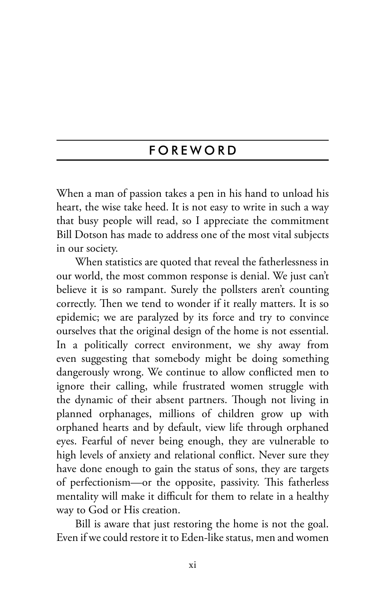#### FOREWORD

When a man of passion takes a pen in his hand to unload his heart, the wise take heed. It is not easy to write in such a way that busy people will read, so I appreciate the commitment Bill Dotson has made to address one of the most vital subjects in our society.

When statistics are quoted that reveal the fatherlessness in our world, the most common response is denial. We just can't believe it is so rampant. Surely the pollsters aren't counting correctly. Then we tend to wonder if it really matters. It is so epidemic; we are paralyzed by its force and try to convince ourselves that the original design of the home is not essential. In a politically correct environment, we shy away from even suggesting that somebody might be doing something dangerously wrong. We continue to allow conflicted men to ignore their calling, while frustrated women struggle with the dynamic of their absent partners. Though not living in planned orphanages, millions of children grow up with orphaned hearts and by default, view life through orphaned eyes. Fearful of never being enough, they are vulnerable to high levels of anxiety and relational conflict. Never sure they have done enough to gain the status of sons, they are targets of perfectionism—or the opposite, passivity. This fatherless mentality will make it difficult for them to relate in a healthy way to God or His creation.

Bill is aware that just restoring the home is not the goal. Even if we could restore it to Eden-like status, men and women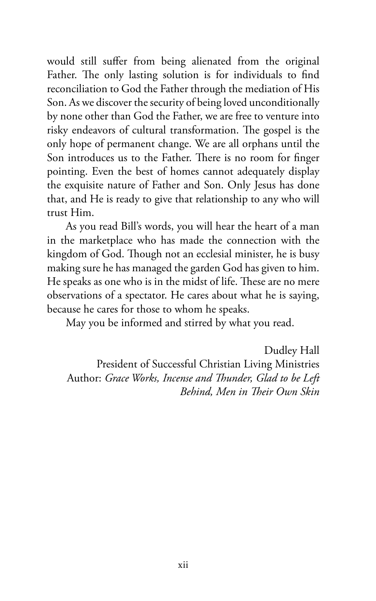would still suffer from being alienated from the original Father. The only lasting solution is for individuals to find reconciliation to God the Father through the mediation of His Son. As we discover the security of being loved unconditionally by none other than God the Father, we are free to venture into risky endeavors of cultural transformation. The gospel is the only hope of permanent change. We are all orphans until the Son introduces us to the Father. There is no room for finger pointing. Even the best of homes cannot adequately display the exquisite nature of Father and Son. Only Jesus has done that, and He is ready to give that relationship to any who will trust Him.

As you read Bill's words, you will hear the heart of a man in the marketplace who has made the connection with the kingdom of God. Though not an ecclesial minister, he is busy making sure he has managed the garden God has given to him. He speaks as one who is in the midst of life. These are no mere observations of a spectator. He cares about what he is saying, because he cares for those to whom he speaks.

May you be informed and stirred by what you read.

Dudley Hall President of Successful Christian Living Ministries Author: *Grace Works, Incense and Thunder, Glad to be Left Behind, Men in Their Own Skin*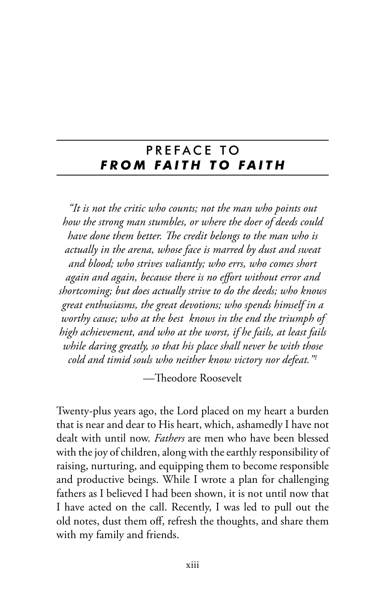### PREFACE TO *FROM FAITH TO FAITH*

*"It is not the critic who counts; not the man who points out how the strong man stumbles, or where the doer of deeds could have done them better. The credit belongs to the man who is actually in the arena, whose face is marred by dust and sweat and blood; who strives valiantly; who errs, who comes short again and again, because there is no effort without error and shortcoming; but does actually strive to do the deeds; who knows great enthusiasms, the great devotions; who spends himself in a worthy cause; who at the best knows in the end the triumph of high achievement, and who at the worst, if he fails, at least fails while daring greatly, so that his place shall never be with those cold and timid souls who neither know victory nor defeat."1*

—Theodore Roosevelt

Twenty-plus years ago, the Lord placed on my heart a burden that is near and dear to His heart, which, ashamedly I have not dealt with until now. *Fathers* are men who have been blessed with the joy of children, along with the earthly responsibility of raising, nurturing, and equipping them to become responsible and productive beings. While I wrote a plan for challenging fathers as I believed I had been shown, it is not until now that I have acted on the call. Recently, I was led to pull out the old notes, dust them off, refresh the thoughts, and share them with my family and friends.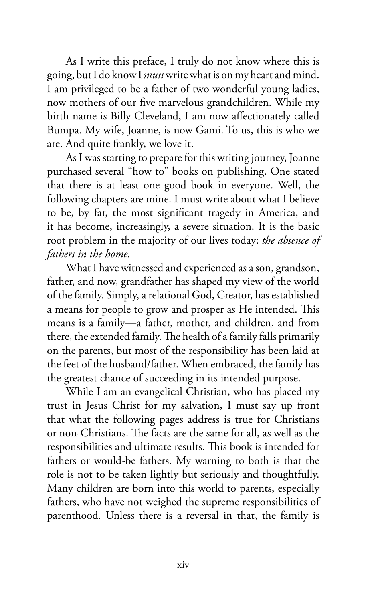As I write this preface, I truly do not know where this is going, but I do know I *must* write what is on my heart and mind. I am privileged to be a father of two wonderful young ladies, now mothers of our five marvelous grandchildren. While my birth name is Billy Cleveland, I am now affectionately called Bumpa. My wife, Joanne, is now Gami. To us, this is who we are. And quite frankly, we love it.

As I was starting to prepare for this writing journey, Joanne purchased several "how to" books on publishing. One stated that there is at least one good book in everyone. Well, the following chapters are mine. I must write about what I believe to be, by far, the most significant tragedy in America, and it has become, increasingly, a severe situation. It is the basic root problem in the majority of our lives today: *the absence of fathers in the home.* 

What I have witnessed and experienced as a son, grandson, father, and now, grandfather has shaped my view of the world of the family. Simply, a relational God, Creator, has established a means for people to grow and prosper as He intended. This means is a family—a father, mother, and children, and from there, the extended family. The health of a family falls primarily on the parents, but most of the responsibility has been laid at the feet of the husband/father. When embraced, the family has the greatest chance of succeeding in its intended purpose.

While I am an evangelical Christian, who has placed my trust in Jesus Christ for my salvation, I must say up front that what the following pages address is true for Christians or non-Christians. The facts are the same for all, as well as the responsibilities and ultimate results. This book is intended for fathers or would-be fathers. My warning to both is that the role is not to be taken lightly but seriously and thoughtfully. Many children are born into this world to parents, especially fathers, who have not weighed the supreme responsibilities of parenthood. Unless there is a reversal in that, the family is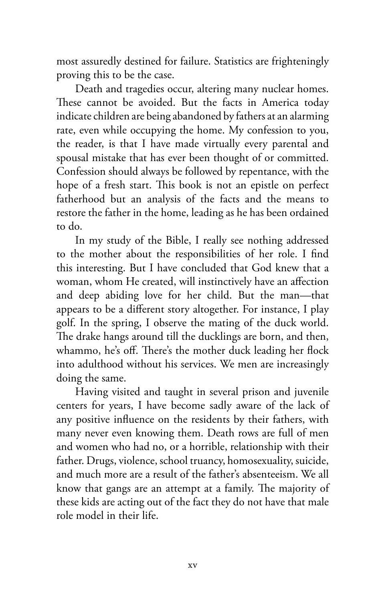most assuredly destined for failure. Statistics are frighteningly proving this to be the case.

Death and tragedies occur, altering many nuclear homes. These cannot be avoided. But the facts in America today indicate children are being abandoned by fathers at an alarming rate, even while occupying the home. My confession to you, the reader, is that I have made virtually every parental and spousal mistake that has ever been thought of or committed. Confession should always be followed by repentance, with the hope of a fresh start. This book is not an epistle on perfect fatherhood but an analysis of the facts and the means to restore the father in the home, leading as he has been ordained to do.

In my study of the Bible, I really see nothing addressed to the mother about the responsibilities of her role. I find this interesting. But I have concluded that God knew that a woman, whom He created, will instinctively have an affection and deep abiding love for her child. But the man—that appears to be a different story altogether. For instance, I play golf. In the spring, I observe the mating of the duck world. The drake hangs around till the ducklings are born, and then, whammo, he's off. There's the mother duck leading her flock into adulthood without his services. We men are increasingly doing the same.

Having visited and taught in several prison and juvenile centers for years, I have become sadly aware of the lack of any positive influence on the residents by their fathers, with many never even knowing them. Death rows are full of men and women who had no, or a horrible, relationship with their father. Drugs, violence, school truancy, homosexuality, suicide, and much more are a result of the father's absenteeism. We all know that gangs are an attempt at a family. The majority of these kids are acting out of the fact they do not have that male role model in their life.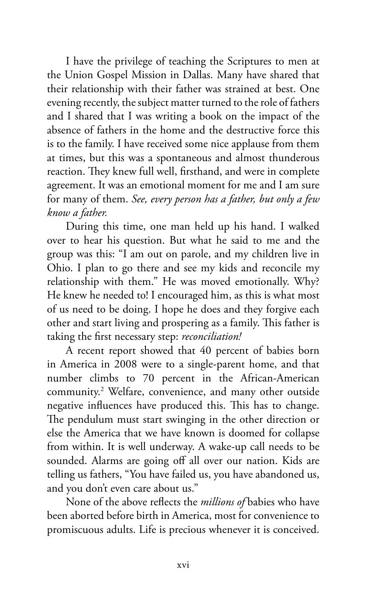I have the privilege of teaching the Scriptures to men at the Union Gospel Mission in Dallas. Many have shared that their relationship with their father was strained at best. One evening recently, the subject matter turned to the role of fathers and I shared that I was writing a book on the impact of the absence of fathers in the home and the destructive force this is to the family. I have received some nice applause from them at times, but this was a spontaneous and almost thunderous reaction. They knew full well, firsthand, and were in complete agreement. It was an emotional moment for me and I am sure for many of them. *See, every person has a father, but only a few know a father.*

During this time, one man held up his hand. I walked over to hear his question. But what he said to me and the group was this: "I am out on parole, and my children live in Ohio. I plan to go there and see my kids and reconcile my relationship with them." He was moved emotionally. Why? He knew he needed to! I encouraged him, as this is what most of us need to be doing. I hope he does and they forgive each other and start living and prospering as a family. This father is taking the first necessary step: *reconciliation!* 

A recent report showed that 40 percent of babies born in America in 2008 were to a single-parent home, and that number climbs to 70 percent in the African-American community.2 Welfare, convenience, and many other outside negative influences have produced this. This has to change. The pendulum must start swinging in the other direction or else the America that we have known is doomed for collapse from within. It is well underway. A wake-up call needs to be sounded. Alarms are going off all over our nation. Kids are telling us fathers, "You have failed us, you have abandoned us, and you don't even care about us."

None of the above reflects the *millions of* babies who have been aborted before birth in America, most for convenience to promiscuous adults. Life is precious whenever it is conceived.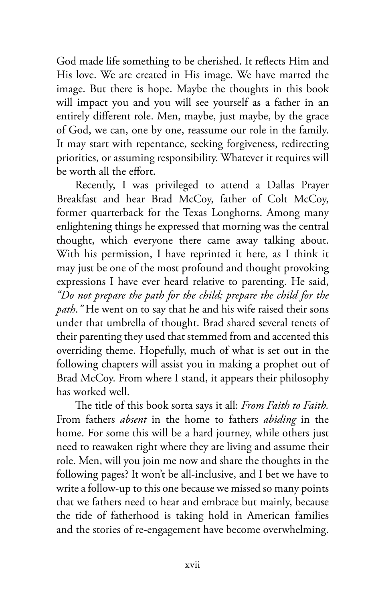God made life something to be cherished. It reflects Him and His love. We are created in His image. We have marred the image. But there is hope. Maybe the thoughts in this book will impact you and you will see yourself as a father in an entirely different role. Men, maybe, just maybe, by the grace of God, we can, one by one, reassume our role in the family. It may start with repentance, seeking forgiveness, redirecting priorities, or assuming responsibility. Whatever it requires will be worth all the effort.

Recently, I was privileged to attend a Dallas Prayer Breakfast and hear Brad McCoy, father of Colt McCoy, former quarterback for the Texas Longhorns. Among many enlightening things he expressed that morning was the central thought, which everyone there came away talking about. With his permission, I have reprinted it here, as I think it may just be one of the most profound and thought provoking expressions I have ever heard relative to parenting. He said, *"Do not prepare the path for the child; prepare the child for the path*.*"* He went on to say that he and his wife raised their sons under that umbrella of thought. Brad shared several tenets of their parenting they used that stemmed from and accented this overriding theme. Hopefully, much of what is set out in the following chapters will assist you in making a prophet out of Brad McCoy. From where I stand, it appears their philosophy has worked well.

The title of this book sorta says it all: *From Faith to Faith*. From fathers *absent* in the home to fathers *abiding* in the home. For some this will be a hard journey, while others just need to reawaken right where they are living and assume their role. Men, will you join me now and share the thoughts in the following pages? It won't be all-inclusive, and I bet we have to write a follow-up to this one because we missed so many points that we fathers need to hear and embrace but mainly, because the tide of fatherhood is taking hold in American families and the stories of re-engagement have become overwhelming.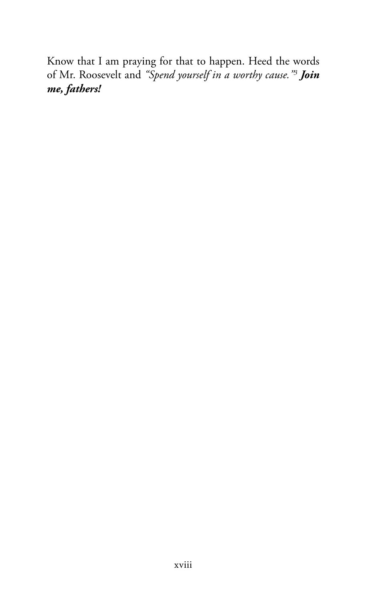Know that I am praying for that to happen. Heed the words of Mr. Roosevelt and *"Spend yourself in a worthy cause."3 Join me, fathers!*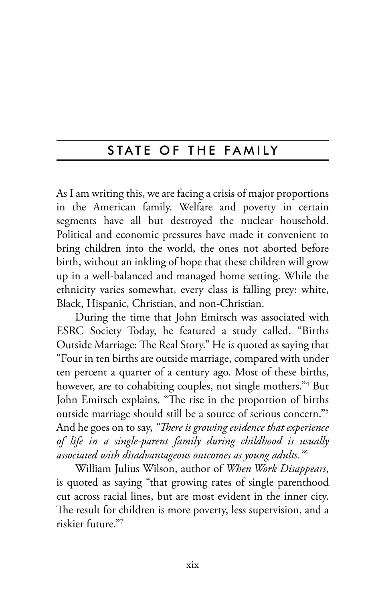#### STATE OF THE FAMILY

As I am writing this, we are facing a crisis of major proportions in the American family. Welfare and poverty in certain segments have all but destroyed the nuclear household. Political and economic pressures have made it convenient to bring children into the world, the ones not aborted before birth, without an inkling of hope that these children will grow up in a well-balanced and managed home setting. While the ethnicity varies somewhat, every class is falling prey: white, Black, Hispanic, Christian, and non-Christian.

During the time that John Emirsch was associated with ESRC Society Today, he featured a study called, "Births Outside Marriage: The Real Story." He is quoted as saying that "Four in ten births are outside marriage, compared with under ten percent a quarter of a century ago. Most of these births, however, are to cohabiting couples, not single mothers."<sup>4</sup> But John Emirsch explains, "The rise in the proportion of births outside marriage should still be a source of serious concern."5 And he goes on to say, "There is growing evidence that experience *of life in a single-parent family during childhood is usually associated with disadvantageous outcomes as young adults."6*

William Julius Wilson, author of *When Work Disappears*, is quoted as saying "that growing rates of single parenthood cut across racial lines, but are most evident in the inner city. The result for children is more poverty, less supervision, and a riskier future."7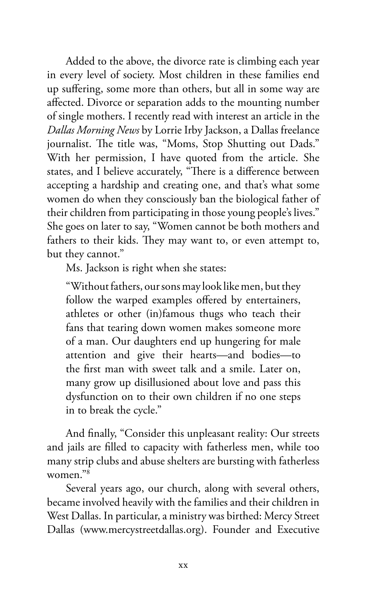Added to the above, the divorce rate is climbing each year in every level of society. Most children in these families end up suffering, some more than others, but all in some way are affected. Divorce or separation adds to the mounting number of single mothers. I recently read with interest an article in the *Dallas Morning News* by Lorrie Irby Jackson, a Dallas freelance journalist. The title was, "Moms, Stop Shutting out Dads." With her permission, I have quoted from the article. She states, and I believe accurately, "There is a difference between accepting a hardship and creating one, and that's what some women do when they consciously ban the biological father of their children from participating in those young people's lives." She goes on later to say, "Women cannot be both mothers and fathers to their kids. They may want to, or even attempt to, but they cannot."

Ms. Jackson is right when she states:

"Without fathers, our sons may look like men, but they follow the warped examples offered by entertainers, athletes or other (in)famous thugs who teach their fans that tearing down women makes someone more of a man. Our daughters end up hungering for male attention and give their hearts—and bodies—to the first man with sweet talk and a smile. Later on, many grow up disillusioned about love and pass this dysfunction on to their own children if no one steps in to break the cycle."

And finally, "Consider this unpleasant reality: Our streets and jails are filled to capacity with fatherless men, while too many strip clubs and abuse shelters are bursting with fatherless women<sup>"8</sup>

Several years ago, our church, along with several others, became involved heavily with the families and their children in West Dallas. In particular, a ministry was birthed: Mercy Street Dallas (www.mercystreetdallas.org). Founder and Executive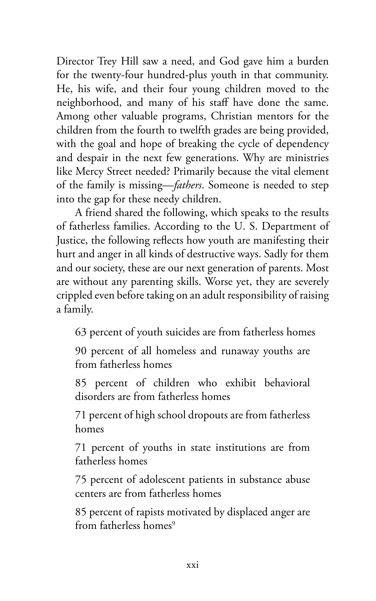Director Trey Hill saw a need, and God gave him a burden for the twenty-four hundred-plus youth in that community. He, his wife, and their four young children moved to the neighborhood, and many of his staff have done the same. Among other valuable programs, Christian mentors for the children from the fourth to twelfth grades are being provided, with the goal and hope of breaking the cycle of dependency and despair in the next few generations. Why are ministries like Mercy Street needed? Primarily because the vital element of the family is missing—*fathers*. Someone is needed to step into the gap for these needy children.

A friend shared the following, which speaks to the results of fatherless families. According to the U. S. Department of Justice, the following reflects how youth are manifesting their hurt and anger in all kinds of destructive ways. Sadly for them and our society, these are our next generation of parents. Most are without any parenting skills. Worse yet, they are severely crippled even before taking on an adult responsibility of raising a family.

63 percent of youth suicides are from fatherless homes

90 percent of all homeless and runaway youths are from fatherless homes

85 percent of children who exhibit behavioral disorders are from fatherless homes

71 percent of high school dropouts are from fatherless homes

71 percent of youths in state institutions are from fatherless homes

75 percent of adolescent patients in substance abuse centers are from fatherless homes

85 percent of rapists motivated by displaced anger are from fatherless homes<sup>9</sup>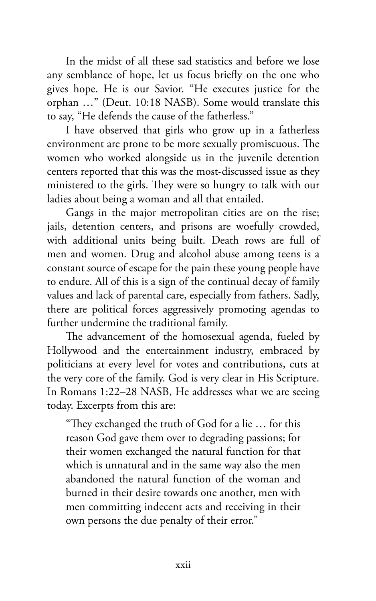In the midst of all these sad statistics and before we lose any semblance of hope, let us focus briefly on the one who gives hope. He is our Savior. "He executes justice for the orphan …" (Deut. 10:18 NASB). Some would translate this to say, "He defends the cause of the fatherless."

I have observed that girls who grow up in a fatherless environment are prone to be more sexually promiscuous. The women who worked alongside us in the juvenile detention centers reported that this was the most-discussed issue as they ministered to the girls. They were so hungry to talk with our ladies about being a woman and all that entailed.

Gangs in the major metropolitan cities are on the rise; jails, detention centers, and prisons are woefully crowded, with additional units being built. Death rows are full of men and women. Drug and alcohol abuse among teens is a constant source of escape for the pain these young people have to endure. All of this is a sign of the continual decay of family values and lack of parental care, especially from fathers. Sadly, there are political forces aggressively promoting agendas to further undermine the traditional family.

The advancement of the homosexual agenda, fueled by Hollywood and the entertainment industry, embraced by politicians at every level for votes and contributions, cuts at the very core of the family. God is very clear in His Scripture. In Romans 1:22–28 NASB, He addresses what we are seeing today. Excerpts from this are:

"They exchanged the truth of God for a lie ... for this reason God gave them over to degrading passions; for their women exchanged the natural function for that which is unnatural and in the same way also the men abandoned the natural function of the woman and burned in their desire towards one another, men with men committing indecent acts and receiving in their own persons the due penalty of their error."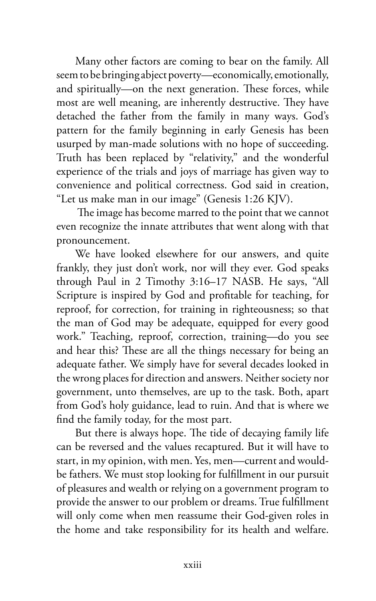Many other factors are coming to bear on the family. All seem to be bringing abject poverty—economically, emotionally, and spiritually—on the next generation. These forces, while most are well meaning, are inherently destructive. They have detached the father from the family in many ways. God's pattern for the family beginning in early Genesis has been usurped by man-made solutions with no hope of succeeding. Truth has been replaced by "relativity," and the wonderful experience of the trials and joys of marriage has given way to convenience and political correctness. God said in creation, "Let us make man in our image" (Genesis 1:26 KJV).

 The image has become marred to the point that we cannot even recognize the innate attributes that went along with that pronouncement.

We have looked elsewhere for our answers, and quite frankly, they just don't work, nor will they ever. God speaks through Paul in 2 Timothy 3:16–17 NASB. He says, "All Scripture is inspired by God and profitable for teaching, for reproof, for correction, for training in righteousness; so that the man of God may be adequate, equipped for every good work." Teaching, reproof, correction, training—do you see and hear this? These are all the things necessary for being an adequate father. We simply have for several decades looked in the wrong places for direction and answers. Neither society nor government, unto themselves, are up to the task. Both, apart from God's holy guidance, lead to ruin. And that is where we find the family today, for the most part.

But there is always hope. The tide of decaying family life can be reversed and the values recaptured. But it will have to start, in my opinion, with men. Yes, men—current and wouldbe fathers. We must stop looking for fulfillment in our pursuit of pleasures and wealth or relying on a government program to provide the answer to our problem or dreams. True fulfillment will only come when men reassume their God-given roles in the home and take responsibility for its health and welfare.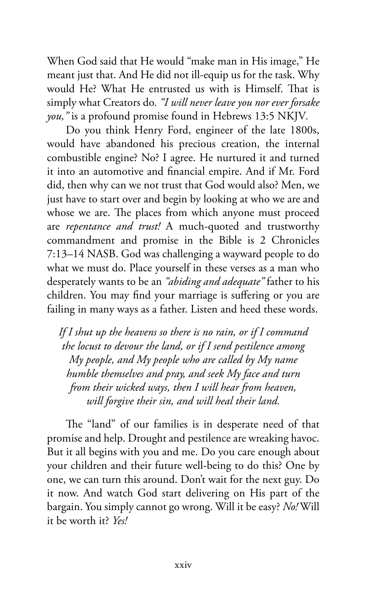When God said that He would "make man in His image," He meant just that. And He did not ill-equip us for the task. Why would He? What He entrusted us with is Himself. That is simply what Creators do*. "I will never leave you nor ever forsake you,"* is a profound promise found in Hebrews 13:5 NKJV*.*

Do you think Henry Ford, engineer of the late 1800s, would have abandoned his precious creation, the internal combustible engine? No? I agree. He nurtured it and turned it into an automotive and financial empire. And if Mr. Ford did, then why can we not trust that God would also? Men, we just have to start over and begin by looking at who we are and whose we are. The places from which anyone must proceed are *repentance and trust!* A much-quoted and trustworthy commandment and promise in the Bible is 2 Chronicles 7:13–14 NASB. God was challenging a wayward people to do what we must do. Place yourself in these verses as a man who desperately wants to be an *"abiding and adequate"* father to his children. You may find your marriage is suffering or you are failing in many ways as a father. Listen and heed these words.

*If I shut up the heavens so there is no rain, or if I command the locust to devour the land, or if I send pestilence among My people, and My people who are called by My name humble themselves and pray, and seek My face and turn from their wicked ways, then I will hear from heaven, will forgive their sin, and will heal their land.* 

The "land" of our families is in desperate need of that promise and help. Drought and pestilence are wreaking havoc. But it all begins with you and me. Do you care enough about your children and their future well-being to do this? One by one, we can turn this around. Don't wait for the next guy. Do it now. And watch God start delivering on His part of the bargain. You simply cannot go wrong. Will it be easy? *No!* Will it be worth it? *Yes!*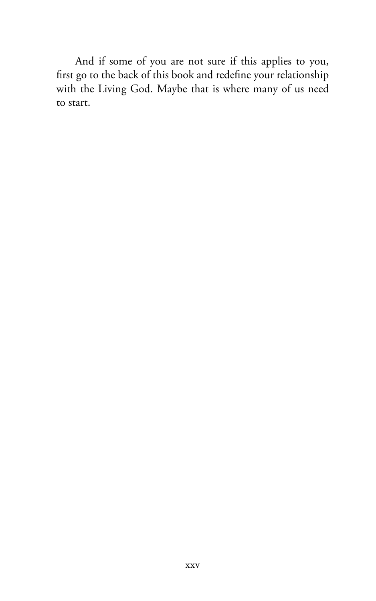And if some of you are not sure if this applies to you, first go to the back of this book and redefine your relationship with the Living God. Maybe that is where many of us need to start.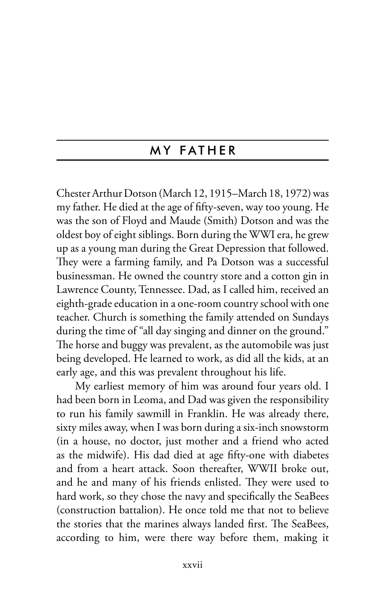#### MY FATHER

Chester Arthur Dotson (March 12, 1915–March 18, 1972) was my father. He died at the age of fifty-seven, way too young. He was the son of Floyd and Maude (Smith) Dotson and was the oldest boy of eight siblings. Born during the WWI era, he grew up as a young man during the Great Depression that followed. They were a farming family, and Pa Dotson was a successful businessman. He owned the country store and a cotton gin in Lawrence County, Tennessee. Dad, as I called him, received an eighth-grade education in a one-room country school with one teacher. Church is something the family attended on Sundays during the time of "all day singing and dinner on the ground." The horse and buggy was prevalent, as the automobile was just being developed. He learned to work, as did all the kids, at an early age, and this was prevalent throughout his life.

My earliest memory of him was around four years old. I had been born in Leoma, and Dad was given the responsibility to run his family sawmill in Franklin. He was already there, sixty miles away, when I was born during a six-inch snowstorm (in a house, no doctor, just mother and a friend who acted as the midwife). His dad died at age fifty-one with diabetes and from a heart attack. Soon thereafter, WWII broke out, and he and many of his friends enlisted. They were used to hard work, so they chose the navy and specifically the SeaBees (construction battalion). He once told me that not to believe the stories that the marines always landed first. The SeaBees, according to him, were there way before them, making it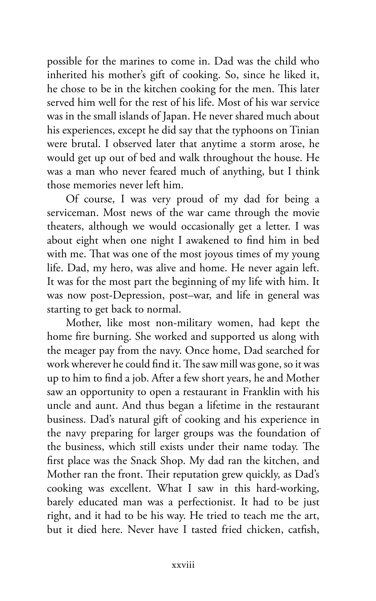possible for the marines to come in. Dad was the child who inherited his mother's gift of cooking. So, since he liked it, he chose to be in the kitchen cooking for the men. This later served him well for the rest of his life. Most of his war service was in the small islands of Japan. He never shared much about his experiences, except he did say that the typhoons on Tinian were brutal. I observed later that anytime a storm arose, he would get up out of bed and walk throughout the house. He was a man who never feared much of anything, but I think those memories never left him.

Of course, I was very proud of my dad for being a serviceman. Most news of the war came through the movie theaters, although we would occasionally get a letter. I was about eight when one night I awakened to find him in bed with me. That was one of the most joyous times of my young life. Dad, my hero, was alive and home. He never again left. It was for the most part the beginning of my life with him. It was now post-Depression, post–war, and life in general was starting to get back to normal.

Mother, like most non-military women, had kept the home fire burning. She worked and supported us along with the meager pay from the navy. Once home, Dad searched for work wherever he could find it. The saw mill was gone, so it was up to him to find a job. After a few short years, he and Mother saw an opportunity to open a restaurant in Franklin with his uncle and aunt. And thus began a lifetime in the restaurant business. Dad's natural gift of cooking and his experience in the navy preparing for larger groups was the foundation of the business, which still exists under their name today. The first place was the Snack Shop. My dad ran the kitchen, and Mother ran the front. Their reputation grew quickly, as Dad's cooking was excellent. What I saw in this hard-working, barely educated man was a perfectionist. It had to be just right, and it had to be his way. He tried to teach me the art, but it died here. Never have I tasted fried chicken, catfish,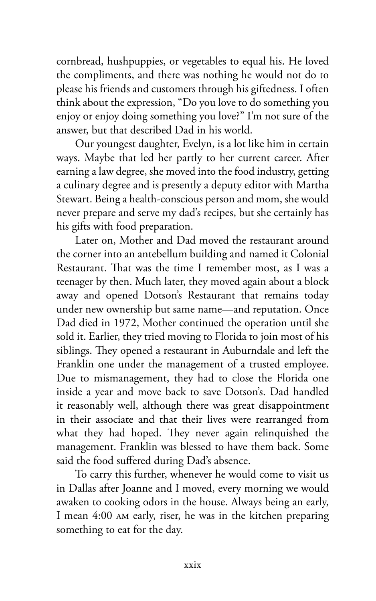cornbread, hushpuppies, or vegetables to equal his. He loved the compliments, and there was nothing he would not do to please his friends and customers through his giftedness. I often think about the expression, "Do you love to do something you enjoy or enjoy doing something you love?" I'm not sure of the answer, but that described Dad in his world.

Our youngest daughter, Evelyn, is a lot like him in certain ways. Maybe that led her partly to her current career. After earning a law degree, she moved into the food industry, getting a culinary degree and is presently a deputy editor with Martha Stewart. Being a health-conscious person and mom, she would never prepare and serve my dad's recipes, but she certainly has his gifts with food preparation.

Later on, Mother and Dad moved the restaurant around the corner into an antebellum building and named it Colonial Restaurant. That was the time I remember most, as I was a teenager by then. Much later, they moved again about a block away and opened Dotson's Restaurant that remains today under new ownership but same name—and reputation. Once Dad died in 1972, Mother continued the operation until she sold it. Earlier, they tried moving to Florida to join most of his siblings. They opened a restaurant in Auburndale and left the Franklin one under the management of a trusted employee. Due to mismanagement, they had to close the Florida one inside a year and move back to save Dotson's. Dad handled it reasonably well, although there was great disappointment in their associate and that their lives were rearranged from what they had hoped. They never again relinquished the management. Franklin was blessed to have them back. Some said the food suffered during Dad's absence.

To carry this further, whenever he would come to visit us in Dallas after Joanne and I moved, every morning we would awaken to cooking odors in the house. Always being an early, I mean 4:00 am early, riser, he was in the kitchen preparing something to eat for the day.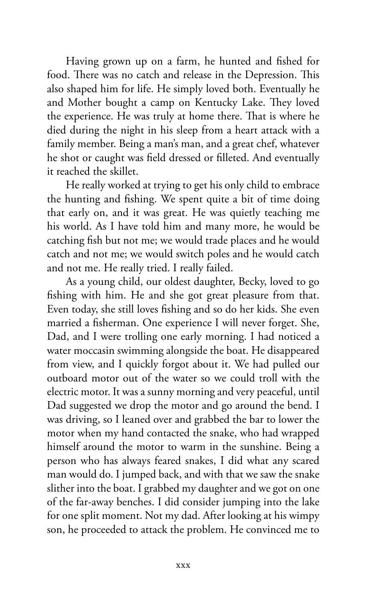Having grown up on a farm, he hunted and fished for food. There was no catch and release in the Depression. This also shaped him for life. He simply loved both. Eventually he and Mother bought a camp on Kentucky Lake. They loved the experience. He was truly at home there. That is where he died during the night in his sleep from a heart attack with a family member. Being a man's man, and a great chef, whatever he shot or caught was field dressed or filleted. And eventually it reached the skillet.

He really worked at trying to get his only child to embrace the hunting and fishing. We spent quite a bit of time doing that early on, and it was great. He was quietly teaching me his world. As I have told him and many more, he would be catching fish but not me; we would trade places and he would catch and not me; we would switch poles and he would catch and not me. He really tried. I really failed.

As a young child, our oldest daughter, Becky, loved to go fishing with him. He and she got great pleasure from that. Even today, she still loves fishing and so do her kids. She even married a fisherman. One experience I will never forget. She, Dad, and I were trolling one early morning. I had noticed a water moccasin swimming alongside the boat. He disappeared from view, and I quickly forgot about it. We had pulled our outboard motor out of the water so we could troll with the electric motor. It was a sunny morning and very peaceful, until Dad suggested we drop the motor and go around the bend. I was driving, so I leaned over and grabbed the bar to lower the motor when my hand contacted the snake, who had wrapped himself around the motor to warm in the sunshine. Being a person who has always feared snakes, I did what any scared man would do. I jumped back, and with that we saw the snake slither into the boat. I grabbed my daughter and we got on one of the far-away benches. I did consider jumping into the lake for one split moment. Not my dad. After looking at his wimpy son, he proceeded to attack the problem. He convinced me to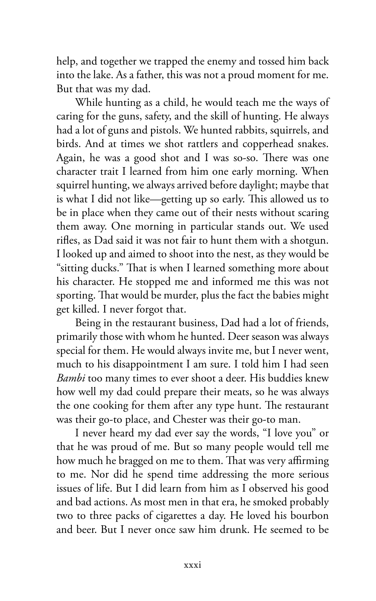help, and together we trapped the enemy and tossed him back into the lake. As a father, this was not a proud moment for me. But that was my dad.

While hunting as a child, he would teach me the ways of caring for the guns, safety, and the skill of hunting. He always had a lot of guns and pistols. We hunted rabbits, squirrels, and birds. And at times we shot rattlers and copperhead snakes. Again, he was a good shot and I was so-so. There was one character trait I learned from him one early morning. When squirrel hunting, we always arrived before daylight; maybe that is what I did not like—getting up so early. This allowed us to be in place when they came out of their nests without scaring them away. One morning in particular stands out. We used rifles, as Dad said it was not fair to hunt them with a shotgun. I looked up and aimed to shoot into the nest, as they would be "sitting ducks." That is when I learned something more about his character. He stopped me and informed me this was not sporting. That would be murder, plus the fact the babies might get killed. I never forgot that.

Being in the restaurant business, Dad had a lot of friends, primarily those with whom he hunted. Deer season was always special for them. He would always invite me, but I never went, much to his disappointment I am sure. I told him I had seen *Bambi* too many times to ever shoot a deer. His buddies knew how well my dad could prepare their meats, so he was always the one cooking for them after any type hunt. The restaurant was their go-to place, and Chester was their go-to man.

I never heard my dad ever say the words, "I love you" or that he was proud of me. But so many people would tell me how much he bragged on me to them. That was very affirming to me. Nor did he spend time addressing the more serious issues of life. But I did learn from him as I observed his good and bad actions. As most men in that era, he smoked probably two to three packs of cigarettes a day. He loved his bourbon and beer. But I never once saw him drunk. He seemed to be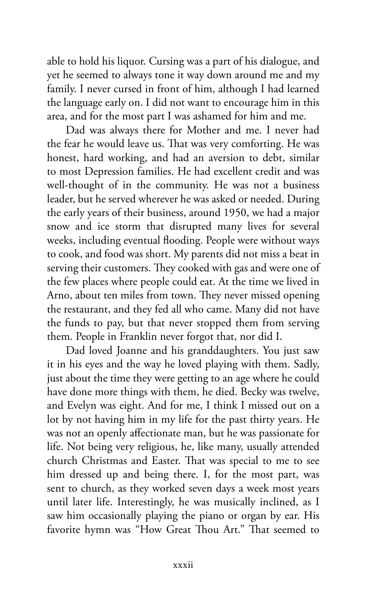able to hold his liquor. Cursing was a part of his dialogue, and yet he seemed to always tone it way down around me and my family. I never cursed in front of him, although I had learned the language early on. I did not want to encourage him in this area, and for the most part I was ashamed for him and me.

Dad was always there for Mother and me. I never had the fear he would leave us. That was very comforting. He was honest, hard working, and had an aversion to debt, similar to most Depression families. He had excellent credit and was well-thought of in the community. He was not a business leader, but he served wherever he was asked or needed. During the early years of their business, around 1950, we had a major snow and ice storm that disrupted many lives for several weeks, including eventual flooding. People were without ways to cook, and food was short. My parents did not miss a beat in serving their customers. They cooked with gas and were one of the few places where people could eat. At the time we lived in Arno, about ten miles from town. They never missed opening the restaurant, and they fed all who came. Many did not have the funds to pay, but that never stopped them from serving them. People in Franklin never forgot that, nor did I.

Dad loved Joanne and his granddaughters. You just saw it in his eyes and the way he loved playing with them. Sadly, just about the time they were getting to an age where he could have done more things with them, he died. Becky was twelve, and Evelyn was eight. And for me, I think I missed out on a lot by not having him in my life for the past thirty years. He was not an openly affectionate man, but he was passionate for life. Not being very religious, he, like many, usually attended church Christmas and Easter. That was special to me to see him dressed up and being there. I, for the most part, was sent to church, as they worked seven days a week most years until later life. Interestingly, he was musically inclined, as I saw him occasionally playing the piano or organ by ear. His favorite hymn was "How Great Thou Art." That seemed to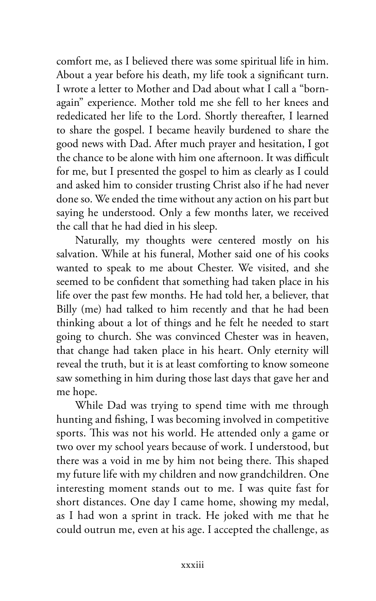comfort me, as I believed there was some spiritual life in him. About a year before his death, my life took a significant turn. I wrote a letter to Mother and Dad about what I call a "bornagain" experience. Mother told me she fell to her knees and rededicated her life to the Lord. Shortly thereafter, I learned to share the gospel. I became heavily burdened to share the good news with Dad. After much prayer and hesitation, I got the chance to be alone with him one afternoon. It was difficult for me, but I presented the gospel to him as clearly as I could and asked him to consider trusting Christ also if he had never done so. We ended the time without any action on his part but saying he understood. Only a few months later, we received the call that he had died in his sleep.

Naturally, my thoughts were centered mostly on his salvation. While at his funeral, Mother said one of his cooks wanted to speak to me about Chester. We visited, and she seemed to be confident that something had taken place in his life over the past few months. He had told her, a believer, that Billy (me) had talked to him recently and that he had been thinking about a lot of things and he felt he needed to start going to church. She was convinced Chester was in heaven, that change had taken place in his heart. Only eternity will reveal the truth, but it is at least comforting to know someone saw something in him during those last days that gave her and me hope.

While Dad was trying to spend time with me through hunting and fishing, I was becoming involved in competitive sports. This was not his world. He attended only a game or two over my school years because of work. I understood, but there was a void in me by him not being there. This shaped my future life with my children and now grandchildren. One interesting moment stands out to me. I was quite fast for short distances. One day I came home, showing my medal, as I had won a sprint in track. He joked with me that he could outrun me, even at his age. I accepted the challenge, as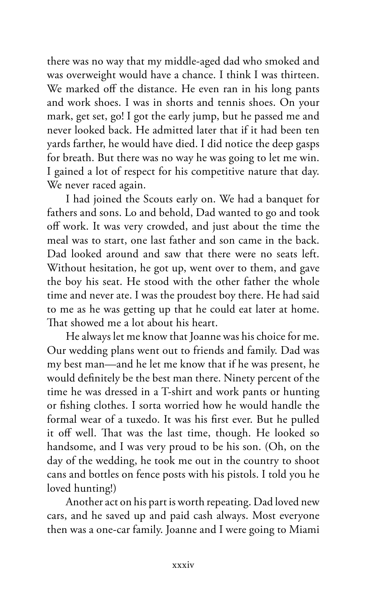there was no way that my middle-aged dad who smoked and was overweight would have a chance. I think I was thirteen. We marked off the distance. He even ran in his long pants and work shoes. I was in shorts and tennis shoes. On your mark, get set, go! I got the early jump, but he passed me and never looked back. He admitted later that if it had been ten yards farther, he would have died. I did notice the deep gasps for breath. But there was no way he was going to let me win. I gained a lot of respect for his competitive nature that day. We never raced again.

I had joined the Scouts early on. We had a banquet for fathers and sons. Lo and behold, Dad wanted to go and took off work. It was very crowded, and just about the time the meal was to start, one last father and son came in the back. Dad looked around and saw that there were no seats left. Without hesitation, he got up, went over to them, and gave the boy his seat. He stood with the other father the whole time and never ate. I was the proudest boy there. He had said to me as he was getting up that he could eat later at home. That showed me a lot about his heart.

He always let me know that Joanne was his choice for me. Our wedding plans went out to friends and family. Dad was my best man—and he let me know that if he was present, he would definitely be the best man there. Ninety percent of the time he was dressed in a T-shirt and work pants or hunting or fishing clothes. I sorta worried how he would handle the formal wear of a tuxedo. It was his first ever. But he pulled it off well. That was the last time, though. He looked so handsome, and I was very proud to be his son. (Oh, on the day of the wedding, he took me out in the country to shoot cans and bottles on fence posts with his pistols. I told you he loved hunting!)

Another act on his part is worth repeating. Dad loved new cars, and he saved up and paid cash always. Most everyone then was a one-car family. Joanne and I were going to Miami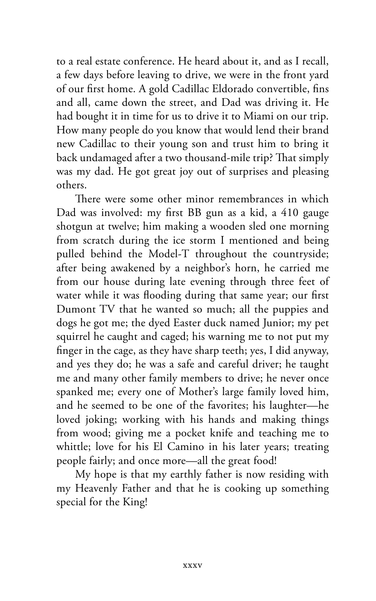to a real estate conference. He heard about it, and as I recall, a few days before leaving to drive, we were in the front yard of our first home. A gold Cadillac Eldorado convertible, fins and all, came down the street, and Dad was driving it. He had bought it in time for us to drive it to Miami on our trip. How many people do you know that would lend their brand new Cadillac to their young son and trust him to bring it back undamaged after a two thousand-mile trip? That simply was my dad. He got great joy out of surprises and pleasing others.

There were some other minor remembrances in which Dad was involved: my first BB gun as a kid, a 410 gauge shotgun at twelve; him making a wooden sled one morning from scratch during the ice storm I mentioned and being pulled behind the Model-T throughout the countryside; after being awakened by a neighbor's horn, he carried me from our house during late evening through three feet of water while it was flooding during that same year; our first Dumont TV that he wanted so much; all the puppies and dogs he got me; the dyed Easter duck named Junior; my pet squirrel he caught and caged; his warning me to not put my finger in the cage, as they have sharp teeth; yes, I did anyway, and yes they do; he was a safe and careful driver; he taught me and many other family members to drive; he never once spanked me; every one of Mother's large family loved him, and he seemed to be one of the favorites; his laughter—he loved joking; working with his hands and making things from wood; giving me a pocket knife and teaching me to whittle; love for his El Camino in his later years; treating people fairly; and once more—all the great food!

My hope is that my earthly father is now residing with my Heavenly Father and that he is cooking up something special for the King!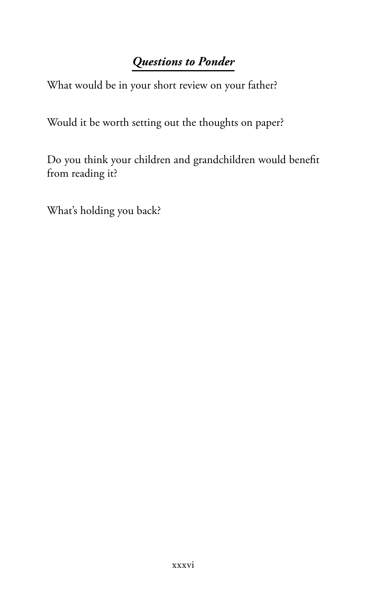## *Questions to Ponder*

What would be in your short review on your father?

Would it be worth setting out the thoughts on paper?

Do you think your children and grandchildren would benefit from reading it?

What's holding you back?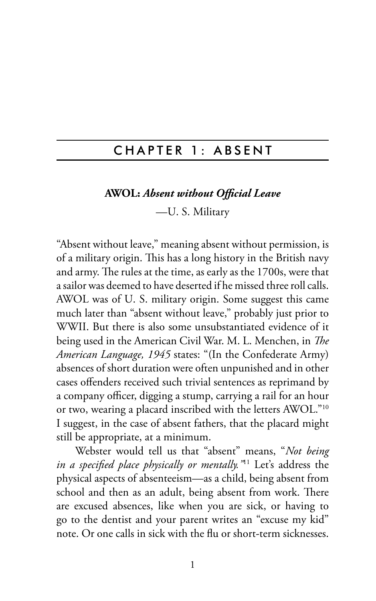#### CHAPTER 1: ABSENT

#### **AWOL:** *Absent without Official Leave*

—U. S. Military

"Absent without leave," meaning absent without permission, is of a military origin. This has a long history in the British navy and army. The rules at the time, as early as the 1700s, were that a sailor was deemed to have deserted if he missed three roll calls. AWOL was of U. S. military origin. Some suggest this came much later than "absent without leave," probably just prior to WWII. But there is also some unsubstantiated evidence of it being used in the American Civil War. M. L. Menchen, in *The American Language, 1945* states: "(In the Confederate Army) absences of short duration were often unpunished and in other cases offenders received such trivial sentences as reprimand by a company officer, digging a stump, carrying a rail for an hour or two, wearing a placard inscribed with the letters AWOL."10 I suggest, in the case of absent fathers, that the placard might still be appropriate, at a minimum.

Webster would tell us that "absent" means, "*Not being in a specified place physically or mentally.*<sup>"11</sup> Let's address the physical aspects of absenteeism—as a child, being absent from school and then as an adult, being absent from work. There are excused absences, like when you are sick, or having to go to the dentist and your parent writes an "excuse my kid" note. Or one calls in sick with the flu or short-term sicknesses.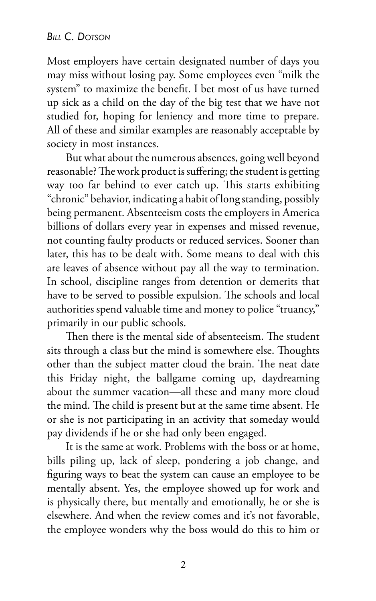Most employers have certain designated number of days you may miss without losing pay. Some employees even "milk the system" to maximize the benefit. I bet most of us have turned up sick as a child on the day of the big test that we have not studied for, hoping for leniency and more time to prepare. All of these and similar examples are reasonably acceptable by society in most instances.

But what about the numerous absences, going well beyond reasonable? The work product is suffering; the student is getting way too far behind to ever catch up. This starts exhibiting "chronic" behavior, indicating a habit of long standing, possibly being permanent. Absenteeism costs the employers in America billions of dollars every year in expenses and missed revenue, not counting faulty products or reduced services. Sooner than later, this has to be dealt with. Some means to deal with this are leaves of absence without pay all the way to termination. In school, discipline ranges from detention or demerits that have to be served to possible expulsion. The schools and local authorities spend valuable time and money to police "truancy," primarily in our public schools.

Then there is the mental side of absenteeism. The student sits through a class but the mind is somewhere else. Thoughts other than the subject matter cloud the brain. The neat date this Friday night, the ballgame coming up, daydreaming about the summer vacation—all these and many more cloud the mind. The child is present but at the same time absent. He or she is not participating in an activity that someday would pay dividends if he or she had only been engaged.

It is the same at work. Problems with the boss or at home, bills piling up, lack of sleep, pondering a job change, and figuring ways to beat the system can cause an employee to be mentally absent. Yes, the employee showed up for work and is physically there, but mentally and emotionally, he or she is elsewhere. And when the review comes and it's not favorable, the employee wonders why the boss would do this to him or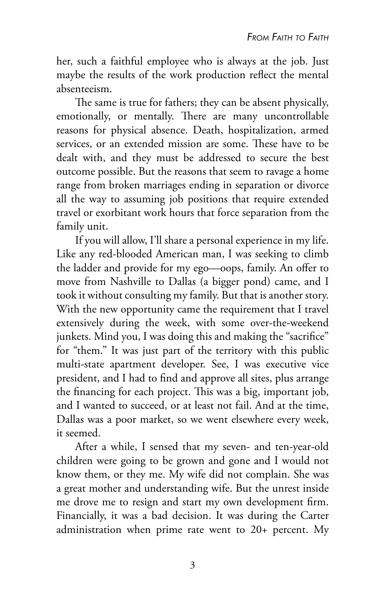her, such a faithful employee who is always at the job. Just maybe the results of the work production reflect the mental absenteeism.

The same is true for fathers; they can be absent physically, emotionally, or mentally. There are many uncontrollable reasons for physical absence. Death, hospitalization, armed services, or an extended mission are some. These have to be dealt with, and they must be addressed to secure the best outcome possible. But the reasons that seem to ravage a home range from broken marriages ending in separation or divorce all the way to assuming job positions that require extended travel or exorbitant work hours that force separation from the family unit.

If you will allow, I'll share a personal experience in my life. Like any red-blooded American man, I was seeking to climb the ladder and provide for my ego-oops, family. An offer to move from Nashville to Dallas (a bigger pond) came, and I took it without consulting my family. But that is another story. With the new opportunity came the requirement that I travel extensively during the week, with some over-the-weekend junkets. Mind you, I was doing this and making the "sacrifice" for "them." It was just part of the territory with this public multi-state apartment developer. See, I was executive vice president, and I had to find and approve all sites, plus arrange the financing for each project. This was a big, important job, and I wanted to succeed, or at least not fail. And at the time, Dallas was a poor market, so we went elsewhere every week, it seemed.

After a while, I sensed that my seven- and ten-year-old children were going to be grown and gone and I would not know them, or they me. My wife did not complain. She was a great mother and understanding wife. But the unrest inside me drove me to resign and start my own development firm. Financially, it was a bad decision. It was during the Carter administration when prime rate went to 20+ percent. My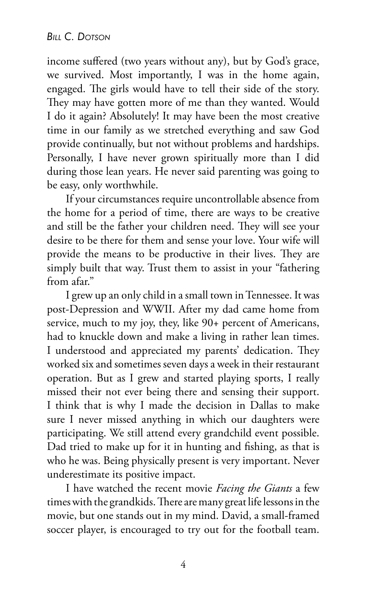income suffered (two years without any), but by God's grace, we survived. Most importantly, I was in the home again, engaged. The girls would have to tell their side of the story. They may have gotten more of me than they wanted. Would I do it again? Absolutely! It may have been the most creative time in our family as we stretched everything and saw God provide continually, but not without problems and hardships. Personally, I have never grown spiritually more than I did during those lean years. He never said parenting was going to be easy, only worthwhile.

If your circumstances require uncontrollable absence from the home for a period of time, there are ways to be creative and still be the father your children need. They will see your desire to be there for them and sense your love. Your wife will provide the means to be productive in their lives. They are simply built that way. Trust them to assist in your "fathering from afar."

I grew up an only child in a small town in Tennessee. It was post-Depression and WWII. After my dad came home from service, much to my joy, they, like 90+ percent of Americans, had to knuckle down and make a living in rather lean times. I understood and appreciated my parents' dedication. They worked six and sometimes seven days a week in their restaurant operation. But as I grew and started playing sports, I really missed their not ever being there and sensing their support. I think that is why I made the decision in Dallas to make sure I never missed anything in which our daughters were participating. We still attend every grandchild event possible. Dad tried to make up for it in hunting and fishing, as that is who he was. Being physically present is very important. Never underestimate its positive impact.

I have watched the recent movie *Facing the Giants* a few times with the grandkids. There are many great life lessons in the movie, but one stands out in my mind. David, a small-framed soccer player, is encouraged to try out for the football team.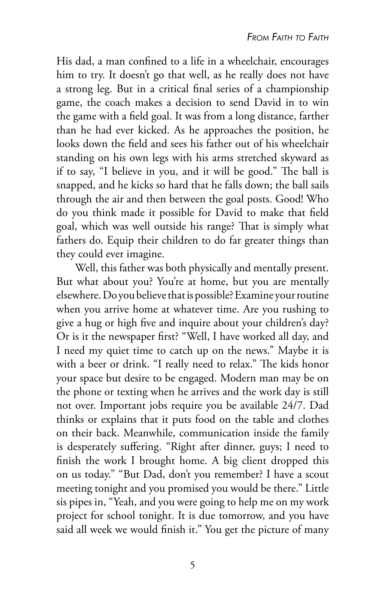His dad, a man confined to a life in a wheelchair, encourages him to try. It doesn't go that well, as he really does not have a strong leg. But in a critical final series of a championship game, the coach makes a decision to send David in to win the game with a field goal. It was from a long distance, farther than he had ever kicked. As he approaches the position, he looks down the field and sees his father out of his wheelchair standing on his own legs with his arms stretched skyward as if to say, "I believe in you, and it will be good." The ball is snapped, and he kicks so hard that he falls down; the ball sails through the air and then between the goal posts. Good! Who do you think made it possible for David to make that field goal, which was well outside his range? That is simply what fathers do. Equip their children to do far greater things than they could ever imagine.

Well, this father was both physically and mentally present. But what about you? You're at home, but you are mentally elsewhere. Do you believe that is possible? Examine your routine when you arrive home at whatever time. Are you rushing to give a hug or high five and inquire about your children's day? Or is it the newspaper first? "Well, I have worked all day, and I need my quiet time to catch up on the news." Maybe it is with a beer or drink. "I really need to relax." The kids honor your space but desire to be engaged. Modern man may be on the phone or texting when he arrives and the work day is still not over. Important jobs require you be available 24/7. Dad thinks or explains that it puts food on the table and clothes on their back. Meanwhile, communication inside the family is desperately suffering. "Right after dinner, guys; I need to finish the work I brought home. A big client dropped this on us today." "But Dad, don't you remember? I have a scout meeting tonight and you promised you would be there." Little sis pipes in, "Yeah, and you were going to help me on my work project for school tonight. It is due tomorrow, and you have said all week we would finish it." You get the picture of many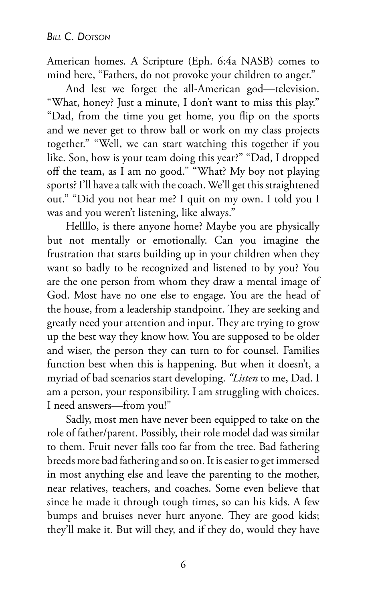American homes. A Scripture (Eph. 6:4a NASB) comes to mind here, "Fathers, do not provoke your children to anger."

And lest we forget the all-American god—television. "What, honey? Just a minute, I don't want to miss this play." "Dad, from the time you get home, you flip on the sports and we never get to throw ball or work on my class projects together." "Well, we can start watching this together if you like. Son, how is your team doing this year?" "Dad, I dropped off the team, as I am no good." "What? My boy not playing sports? I'll have a talk with the coach. We'll get this straightened out." "Did you not hear me? I quit on my own. I told you I was and you weren't listening, like always."

Hellllo, is there anyone home? Maybe you are physically but not mentally or emotionally. Can you imagine the frustration that starts building up in your children when they want so badly to be recognized and listened to by you? You are the one person from whom they draw a mental image of God. Most have no one else to engage. You are the head of the house, from a leadership standpoint. They are seeking and greatly need your attention and input. They are trying to grow up the best way they know how. You are supposed to be older and wiser, the person they can turn to for counsel. Families function best when this is happening. But when it doesn't, a myriad of bad scenarios start developing. *"Listen* to me, Dad. I am a person, your responsibility. I am struggling with choices. I need answers—from you!"

Sadly, most men have never been equipped to take on the role of father/parent. Possibly, their role model dad was similar to them. Fruit never falls too far from the tree. Bad fathering breeds more bad fathering and so on. It is easier to get immersed in most anything else and leave the parenting to the mother, near relatives, teachers, and coaches. Some even believe that since he made it through tough times, so can his kids. A few bumps and bruises never hurt anyone. They are good kids; they'll make it. But will they, and if they do, would they have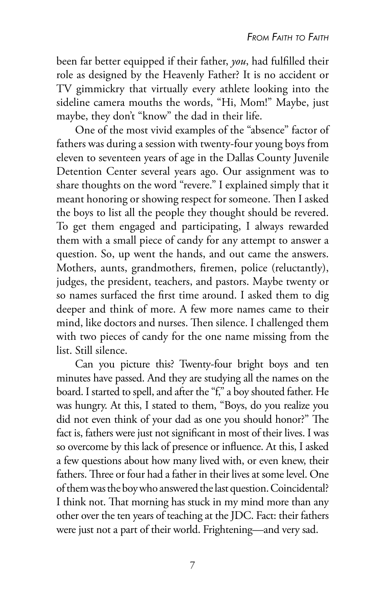been far better equipped if their father, *you*, had fulfilled their role as designed by the Heavenly Father? It is no accident or TV gimmickry that virtually every athlete looking into the sideline camera mouths the words, "Hi, Mom!" Maybe, just maybe, they don't "know" the dad in their life.

One of the most vivid examples of the "absence" factor of fathers was during a session with twenty-four young boys from eleven to seventeen years of age in the Dallas County Juvenile Detention Center several years ago. Our assignment was to share thoughts on the word "revere." I explained simply that it meant honoring or showing respect for someone. Then I asked the boys to list all the people they thought should be revered. To get them engaged and participating, I always rewarded them with a small piece of candy for any attempt to answer a question. So, up went the hands, and out came the answers. Mothers, aunts, grandmothers, firemen, police (reluctantly), judges, the president, teachers, and pastors. Maybe twenty or so names surfaced the first time around. I asked them to dig deeper and think of more. A few more names came to their mind, like doctors and nurses. Then silence. I challenged them with two pieces of candy for the one name missing from the list. Still silence.

Can you picture this? Twenty-four bright boys and ten minutes have passed. And they are studying all the names on the board. I started to spell, and after the "f," a boy shouted father. He was hungry. At this, I stated to them, "Boys, do you realize you did not even think of your dad as one you should honor?" The fact is, fathers were just not significant in most of their lives. I was so overcome by this lack of presence or influence. At this, I asked a few questions about how many lived with, or even knew, their fathers. Three or four had a father in their lives at some level. One of them was the boy who answered the last question. Coincidental? I think not. That morning has stuck in my mind more than any other over the ten years of teaching at the JDC. Fact: their fathers were just not a part of their world. Frightening—and very sad.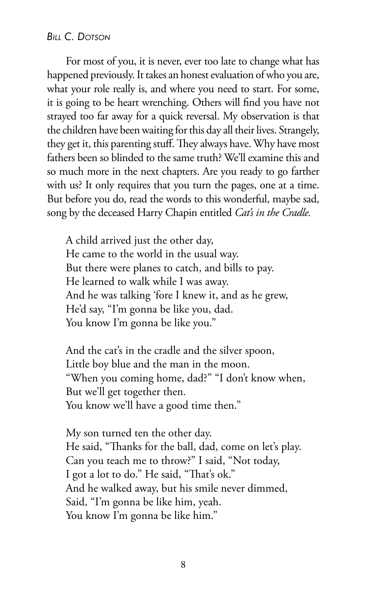#### *BILL C. DOTSON*

For most of you, it is never, ever too late to change what has happened previously. It takes an honest evaluation of who you are, what your role really is, and where you need to start. For some, it is going to be heart wrenching. Others will find you have not strayed too far away for a quick reversal. My observation is that the children have been waiting for this day all their lives. Strangely, they get it, this parenting stuff. They always have. Why have most fathers been so blinded to the same truth? We'll examine this and so much more in the next chapters. Are you ready to go farther with us? It only requires that you turn the pages, one at a time. But before you do, read the words to this wonderful, maybe sad, song by the deceased Harry Chapin entitled *Cat's in the Cradle.*

A child arrived just the other day, He came to the world in the usual way. But there were planes to catch, and bills to pay. He learned to walk while I was away. And he was talking 'fore I knew it, and as he grew, He'd say, "I'm gonna be like you, dad. You know I'm gonna be like you."

And the cat's in the cradle and the silver spoon, Little boy blue and the man in the moon. "When you coming home, dad?" "I don't know when, But we'll get together then. You know we'll have a good time then."

My son turned ten the other day. He said, "Thanks for the ball, dad, come on let's play. Can you teach me to throw?" I said, "Not today, I got a lot to do." He said, "That's ok." And he walked away, but his smile never dimmed, Said, "I'm gonna be like him, yeah. You know I'm gonna be like him."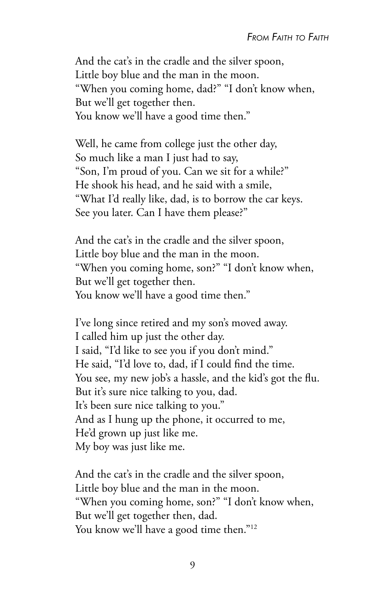And the cat's in the cradle and the silver spoon, Little boy blue and the man in the moon. "When you coming home, dad?" "I don't know when, But we'll get together then. You know we'll have a good time then."

Well, he came from college just the other day, So much like a man I just had to say, "Son, I'm proud of you. Can we sit for a while?" He shook his head, and he said with a smile, "What I'd really like, dad, is to borrow the car keys. See you later. Can I have them please?"

And the cat's in the cradle and the silver spoon, Little boy blue and the man in the moon. "When you coming home, son?" "I don't know when, But we'll get together then. You know we'll have a good time then."

I've long since retired and my son's moved away. I called him up just the other day. I said, "I'd like to see you if you don't mind." He said, "I'd love to, dad, if I could find the time. You see, my new job's a hassle, and the kid's got the flu. But it's sure nice talking to you, dad. It's been sure nice talking to you." And as I hung up the phone, it occurred to me, He'd grown up just like me. My boy was just like me.

And the cat's in the cradle and the silver spoon, Little boy blue and the man in the moon. "When you coming home, son?" "I don't know when, But we'll get together then, dad. You know we'll have a good time then."<sup>12</sup>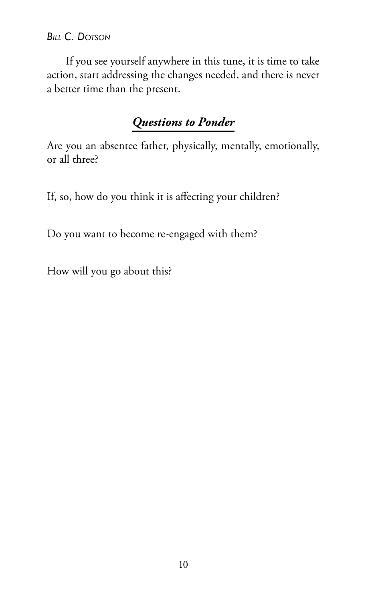*BILL C. DOTSON*

If you see yourself anywhere in this tune, it is time to take action, start addressing the changes needed, and there is never a better time than the present.

# *Questions to Ponder*

Are you an absentee father, physically, mentally, emotionally, or all three?

If, so, how do you think it is affecting your children?

Do you want to become re-engaged with them?

How will you go about this?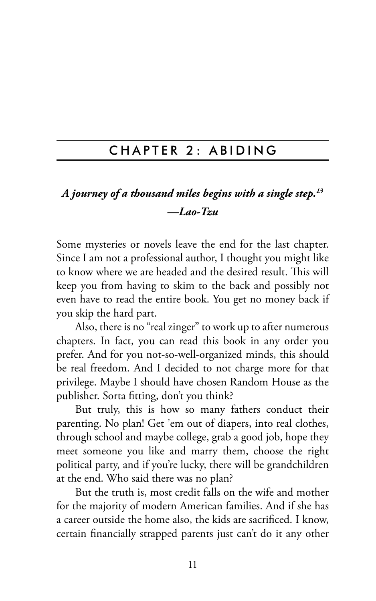## CHAPTER 2: ABIDING

# *A journey of a thousand miles begins with a single step.13 —Lao-Tzu*

Some mysteries or novels leave the end for the last chapter. Since I am not a professional author, I thought you might like to know where we are headed and the desired result. This will keep you from having to skim to the back and possibly not even have to read the entire book. You get no money back if you skip the hard part.

Also, there is no "real zinger" to work up to after numerous chapters. In fact, you can read this book in any order you prefer. And for you not-so-well-organized minds, this should be real freedom. And I decided to not charge more for that privilege. Maybe I should have chosen Random House as the publisher. Sorta fitting, don't you think?

But truly, this is how so many fathers conduct their parenting. No plan! Get 'em out of diapers, into real clothes, through school and maybe college, grab a good job, hope they meet someone you like and marry them, choose the right political party, and if you're lucky, there will be grandchildren at the end. Who said there was no plan?

But the truth is, most credit falls on the wife and mother for the majority of modern American families. And if she has a career outside the home also, the kids are sacrificed. I know, certain financially strapped parents just can't do it any other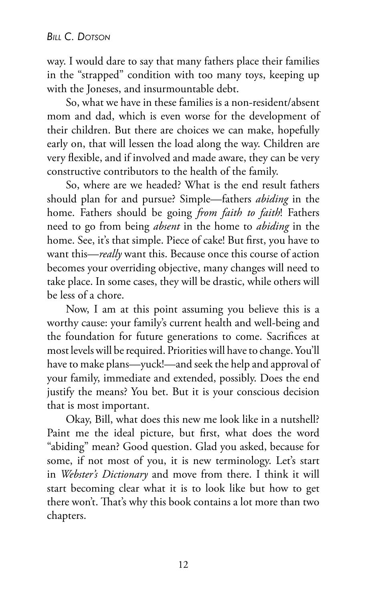way. I would dare to say that many fathers place their families in the "strapped" condition with too many toys, keeping up with the Joneses, and insurmountable debt.

So, what we have in these families is a non-resident/absent mom and dad, which is even worse for the development of their children. But there are choices we can make, hopefully early on, that will lessen the load along the way. Children are very flexible, and if involved and made aware, they can be very constructive contributors to the health of the family.

So, where are we headed? What is the end result fathers should plan for and pursue? Simple—fathers *abiding* in the home. Fathers should be going *from faith to faith*! Fathers need to go from being *absent* in the home to *abiding* in the home. See, it's that simple. Piece of cake! But first, you have to want this—*really* want this. Because once this course of action becomes your overriding objective, many changes will need to take place. In some cases, they will be drastic, while others will be less of a chore.

Now, I am at this point assuming you believe this is a worthy cause: your family's current health and well-being and the foundation for future generations to come. Sacrifices at most levels will be required. Priorities will have to change. You'll have to make plans—yuck!—and seek the help and approval of your family, immediate and extended, possibly. Does the end justify the means? You bet. But it is your conscious decision that is most important.

Okay, Bill, what does this new me look like in a nutshell? Paint me the ideal picture, but first, what does the word "abiding" mean? Good question. Glad you asked, because for some, if not most of you, it is new terminology. Let's start in *Webster's Dictionary* and move from there. I think it will start becoming clear what it is to look like but how to get there won't. That's why this book contains a lot more than two chapters.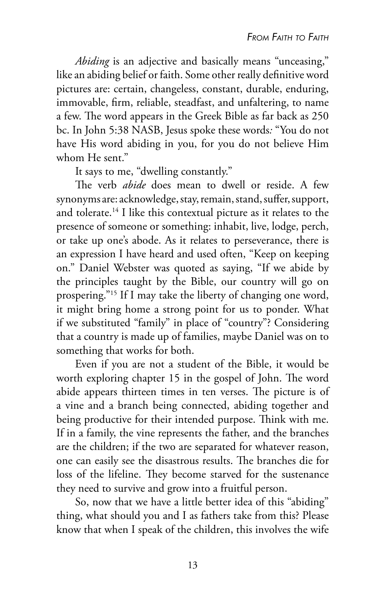*Abiding* is an adjective and basically means "unceasing," like an abiding belief or faith. Some other really definitive word pictures are: certain, changeless, constant, durable, enduring, immovable, firm, reliable, steadfast, and unfaltering, to name a few. The word appears in the Greek Bible as far back as 250 bc. In John 5:38 NASB, Jesus spoke these words*:* "You do not have His word abiding in you, for you do not believe Him whom He sent."

It says to me, "dwelling constantly."

The verb *abide* does mean to dwell or reside. A few synonyms are: acknowledge, stay, remain, stand, suffer, support, and tolerate.14 I like this contextual picture as it relates to the presence of someone or something: inhabit, live, lodge, perch, or take up one's abode. As it relates to perseverance, there is an expression I have heard and used often, "Keep on keeping on." Daniel Webster was quoted as saying, "If we abide by the principles taught by the Bible, our country will go on prospering."15 If I may take the liberty of changing one word, it might bring home a strong point for us to ponder. What if we substituted "family" in place of "country"? Considering that a country is made up of families, maybe Daniel was on to something that works for both.

Even if you are not a student of the Bible, it would be worth exploring chapter 15 in the gospel of John. The word abide appears thirteen times in ten verses. The picture is of a vine and a branch being connected, abiding together and being productive for their intended purpose. Think with me. If in a family, the vine represents the father, and the branches are the children; if the two are separated for whatever reason, one can easily see the disastrous results. The branches die for loss of the lifeline. They become starved for the sustenance they need to survive and grow into a fruitful person.

So, now that we have a little better idea of this "abiding" thing, what should you and I as fathers take from this? Please know that when I speak of the children, this involves the wife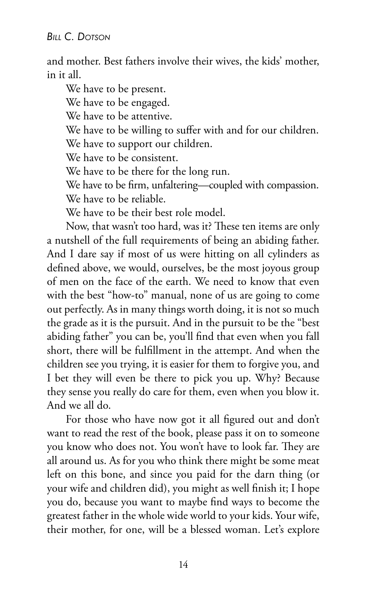and mother. Best fathers involve their wives, the kids' mother, in it all.

We have to be present.

We have to be engaged.

We have to be attentive.

We have to be willing to suffer with and for our children.

We have to support our children.

We have to be consistent.

We have to be there for the long run.

We have to be firm, unfaltering—coupled with compassion. We have to be reliable.

We have to be their best role model.

Now, that wasn't too hard, was it? These ten items are only a nutshell of the full requirements of being an abiding father. And I dare say if most of us were hitting on all cylinders as defined above, we would, ourselves, be the most joyous group of men on the face of the earth. We need to know that even with the best "how-to" manual, none of us are going to come out perfectly. As in many things worth doing, it is not so much the grade as it is the pursuit. And in the pursuit to be the "best abiding father" you can be, you'll find that even when you fall short, there will be fulfillment in the attempt. And when the children see you trying, it is easier for them to forgive you, and I bet they will even be there to pick you up. Why? Because they sense you really do care for them, even when you blow it. And we all do.

For those who have now got it all figured out and don't want to read the rest of the book, please pass it on to someone you know who does not. You won't have to look far. They are all around us. As for you who think there might be some meat left on this bone, and since you paid for the darn thing (or your wife and children did), you might as well finish it; I hope you do, because you want to maybe find ways to become the greatest father in the whole wide world to your kids. Your wife, their mother, for one, will be a blessed woman. Let's explore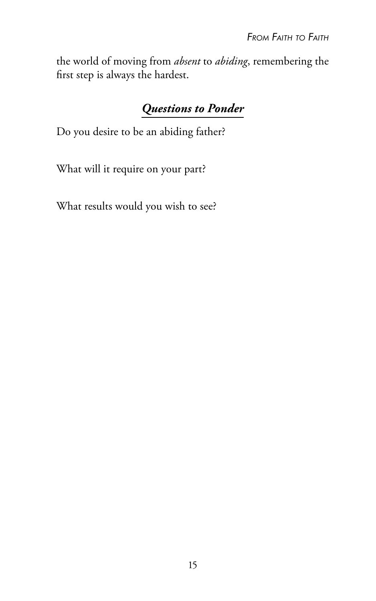the world of moving from *absent* to *abiding*, remembering the first step is always the hardest.

# *Questions to Ponder*

Do you desire to be an abiding father?

What will it require on your part?

What results would you wish to see?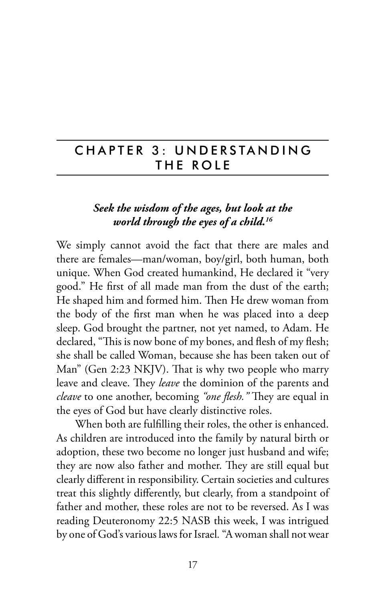# CHAPTER 3: UNDERSTANDING THE ROLE

#### *Seek the wisdom of the ages, but look at the world through the eyes of a child.16*

We simply cannot avoid the fact that there are males and there are females—man/woman, boy/girl, both human, both unique. When God created humankind, He declared it "very good." He first of all made man from the dust of the earth; He shaped him and formed him. Then He drew woman from the body of the first man when he was placed into a deep sleep. God brought the partner, not yet named, to Adam. He declared, "This is now bone of my bones, and flesh of my flesh; she shall be called Woman, because she has been taken out of Man" (Gen  $2:23$  NKJV). That is why two people who marry leave and cleave. They *leave* the dominion of the parents and *cleave* to one another, becoming "one flesh." They are equal in the eyes of God but have clearly distinctive roles.

When both are fulfilling their roles, the other is enhanced. As children are introduced into the family by natural birth or adoption, these two become no longer just husband and wife; they are now also father and mother. They are still equal but clearly different in responsibility. Certain societies and cultures treat this slightly differently, but clearly, from a standpoint of father and mother, these roles are not to be reversed. As I was reading Deuteronomy 22:5 NASB this week, I was intrigued by one of God's various laws for Israel*.* "A woman shall not wear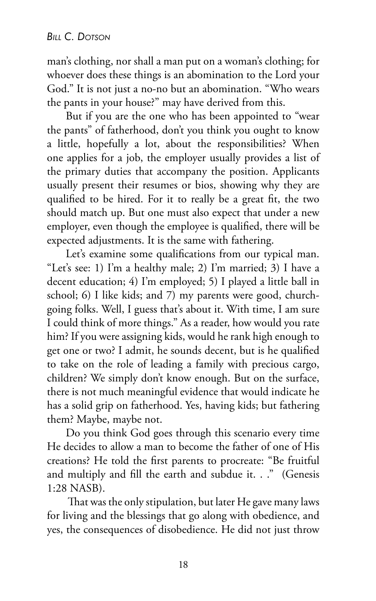man's clothing, nor shall a man put on a woman's clothing; for whoever does these things is an abomination to the Lord your God." It is not just a no-no but an abomination. "Who wears the pants in your house?" may have derived from this.

But if you are the one who has been appointed to "wear the pants" of fatherhood, don't you think you ought to know a little, hopefully a lot, about the responsibilities? When one applies for a job, the employer usually provides a list of the primary duties that accompany the position. Applicants usually present their resumes or bios, showing why they are qualified to be hired. For it to really be a great fit, the two should match up. But one must also expect that under a new employer, even though the employee is qualified, there will be expected adjustments. It is the same with fathering.

Let's examine some qualifications from our typical man. "Let's see: 1) I'm a healthy male; 2) I'm married; 3) I have a decent education; 4) I'm employed; 5) I played a little ball in school; 6) I like kids; and 7) my parents were good, churchgoing folks. Well, I guess that's about it. With time, I am sure I could think of more things." As a reader, how would you rate him? If you were assigning kids, would he rank high enough to get one or two? I admit, he sounds decent, but is he qualified to take on the role of leading a family with precious cargo, children? We simply don't know enough. But on the surface, there is not much meaningful evidence that would indicate he has a solid grip on fatherhood. Yes, having kids; but fathering them? Maybe, maybe not.

Do you think God goes through this scenario every time He decides to allow a man to become the father of one of His creations? He told the first parents to procreate: "Be fruitful and multiply and fill the earth and subdue it. . ." (Genesis 1:28 NASB).

That was the only stipulation, but later He gave many laws for living and the blessings that go along with obedience, and yes, the consequences of disobedience. He did not just throw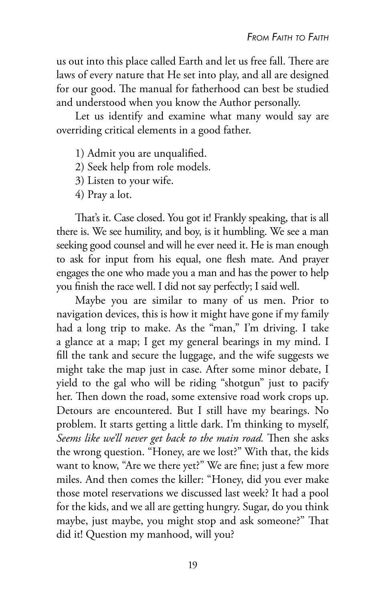us out into this place called Earth and let us free fall. There are laws of every nature that He set into play, and all are designed for our good. The manual for fatherhood can best be studied and understood when you know the Author personally.

Let us identify and examine what many would say are overriding critical elements in a good father.

- 1) Admit you are unqualified.
- 2) Seek help from role models.
- 3) Listen to your wife.
- 4) Pray a lot.

That's it. Case closed. You got it! Frankly speaking, that is all there is. We see humility, and boy, is it humbling. We see a man seeking good counsel and will he ever need it. He is man enough to ask for input from his equal, one flesh mate. And prayer engages the one who made you a man and has the power to help you finish the race well. I did not say perfectly; I said well.

Maybe you are similar to many of us men. Prior to navigation devices, this is how it might have gone if my family had a long trip to make. As the "man," I'm driving. I take a glance at a map; I get my general bearings in my mind. I fill the tank and secure the luggage, and the wife suggests we might take the map just in case. After some minor debate, I yield to the gal who will be riding "shotgun" just to pacify her. Then down the road, some extensive road work crops up. Detours are encountered. But I still have my bearings. No problem. It starts getting a little dark. I'm thinking to myself, Seems like we'll never get back to the main road. Then she asks the wrong question. "Honey, are we lost?" With that, the kids want to know, "Are we there yet?" We are fine; just a few more miles. And then comes the killer: "Honey, did you ever make those motel reservations we discussed last week? It had a pool for the kids, and we all are getting hungry. Sugar, do you think maybe, just maybe, you might stop and ask someone?" That did it! Question my manhood, will you?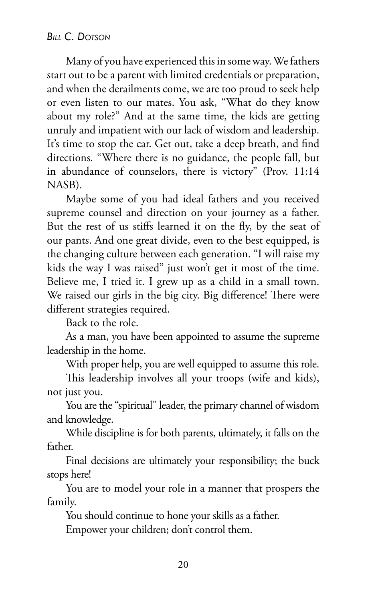Many of you have experienced this in some way. We fathers start out to be a parent with limited credentials or preparation, and when the derailments come, we are too proud to seek help or even listen to our mates. You ask, "What do they know about my role?" And at the same time, the kids are getting unruly and impatient with our lack of wisdom and leadership. It's time to stop the car. Get out, take a deep breath, and find directions*.* "Where there is no guidance, the people fall, but in abundance of counselors, there is victory" (Prov. 11:14 NASB).

Maybe some of you had ideal fathers and you received supreme counsel and direction on your journey as a father. But the rest of us stiffs learned it on the fly, by the seat of our pants. And one great divide, even to the best equipped, is the changing culture between each generation. "I will raise my kids the way I was raised" just won't get it most of the time. Believe me, I tried it. I grew up as a child in a small town. We raised our girls in the big city. Big difference! There were different strategies required.

Back to the role.

As a man, you have been appointed to assume the supreme leadership in the home.

With proper help, you are well equipped to assume this role.

This leadership involves all your troops (wife and kids), not just you.

You are the "spiritual" leader, the primary channel of wisdom and knowledge.

While discipline is for both parents, ultimately, it falls on the father.

Final decisions are ultimately your responsibility; the buck stops here!

You are to model your role in a manner that prospers the family.

You should continue to hone your skills as a father.

Empower your children; don't control them.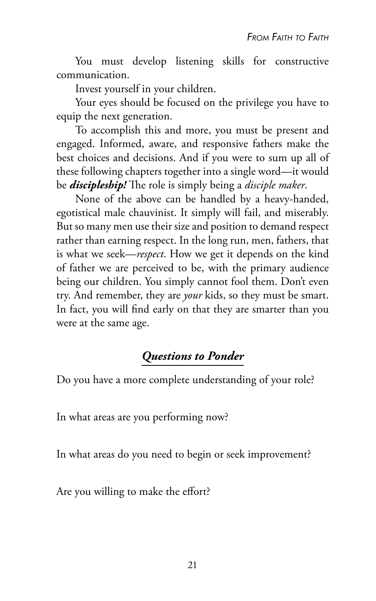You must develop listening skills for constructive communication.

Invest yourself in your children.

Your eyes should be focused on the privilege you have to equip the next generation.

To accomplish this and more, you must be present and engaged. Informed, aware, and responsive fathers make the best choices and decisions. And if you were to sum up all of these following chapters together into a single word—it would be *discipleship!* The role is simply being a *disciple maker*.

None of the above can be handled by a heavy-handed, egotistical male chauvinist. It simply will fail, and miserably. But so many men use their size and position to demand respect rather than earning respect. In the long run, men, fathers, that is what we seek—*respect*. How we get it depends on the kind of father we are perceived to be, with the primary audience being our children. You simply cannot fool them. Don't even try. And remember, they are *your* kids, so they must be smart. In fact, you will find early on that they are smarter than you were at the same age.

#### *Questions to Ponder*

Do you have a more complete understanding of your role?

In what areas are you performing now?

In what areas do you need to begin or seek improvement?

Are you willing to make the effort?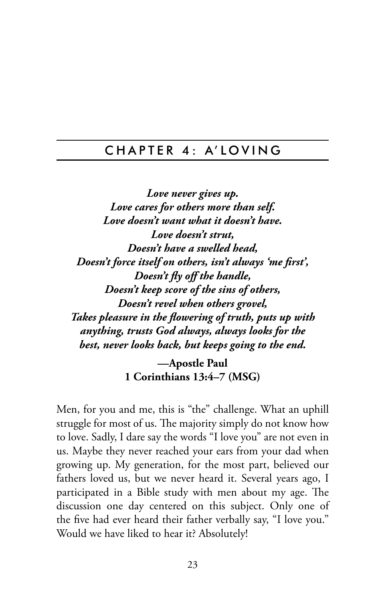#### CHAPTER 4: A'LOVING

*Love never gives up. Love cares for others more than self. Love doesn't want what it doesn't have. Love doesn't strut, Doesn't have a swelled head, Doesn't force itself on others, isn't always 'me first', Doesn't fly off the handle, Doesn't keep score of the sins of others, Doesn't revel when others grovel, Takes pleasure in the flowering of truth, puts up with anything, trusts God always, always looks for the best, never looks back, but keeps going to the end.*

> **—Apostle Paul 1 Corinthians 13:4–7 (MSG)**

Men, for you and me, this is "the" challenge. What an uphill struggle for most of us. The majority simply do not know how to love. Sadly, I dare say the words "I love you" are not even in us. Maybe they never reached your ears from your dad when growing up. My generation, for the most part, believed our fathers loved us, but we never heard it. Several years ago, I participated in a Bible study with men about my age. The discussion one day centered on this subject. Only one of the five had ever heard their father verbally say, "I love you." Would we have liked to hear it? Absolutely!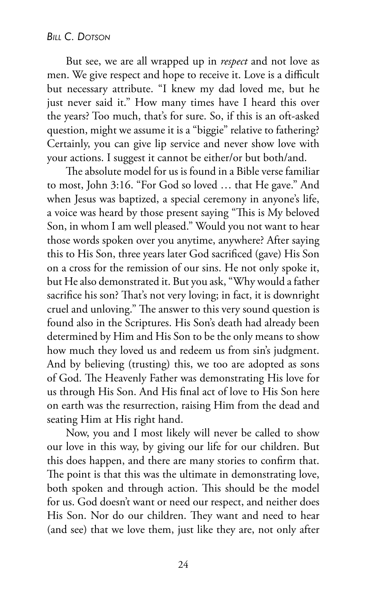But see, we are all wrapped up in *respect* and not love as men. We give respect and hope to receive it. Love is a difficult but necessary attribute. "I knew my dad loved me, but he just never said it." How many times have I heard this over the years? Too much, that's for sure. So, if this is an oft-asked question, might we assume it is a "biggie" relative to fathering? Certainly, you can give lip service and never show love with your actions. I suggest it cannot be either/or but both/and.

The absolute model for us is found in a Bible verse familiar to most, John 3:16. "For God so loved … that He gave." And when Jesus was baptized, a special ceremony in anyone's life, a voice was heard by those present saying "This is My beloved Son, in whom I am well pleased." Would you not want to hear those words spoken over you anytime, anywhere? After saying this to His Son, three years later God sacrificed (gave) His Son on a cross for the remission of our sins. He not only spoke it, but He also demonstrated it. But you ask, "Why would a father sacrifice his son? That's not very loving; in fact, it is downright cruel and unloving." The answer to this very sound question is found also in the Scriptures. His Son's death had already been determined by Him and His Son to be the only means to show how much they loved us and redeem us from sin's judgment. And by believing (trusting) this, we too are adopted as sons of God. The Heavenly Father was demonstrating His love for us through His Son. And His final act of love to His Son here on earth was the resurrection, raising Him from the dead and seating Him at His right hand.

Now, you and I most likely will never be called to show our love in this way, by giving our life for our children. But this does happen, and there are many stories to confirm that. The point is that this was the ultimate in demonstrating love, both spoken and through action. This should be the model for us. God doesn't want or need our respect, and neither does His Son. Nor do our children. They want and need to hear (and see) that we love them, just like they are, not only after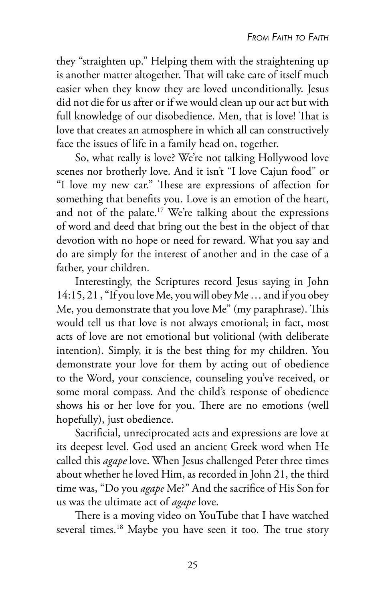they "straighten up." Helping them with the straightening up is another matter altogether. That will take care of itself much easier when they know they are loved unconditionally. Jesus did not die for us after or if we would clean up our act but with full knowledge of our disobedience. Men, that is love! That is love that creates an atmosphere in which all can constructively face the issues of life in a family head on, together.

So, what really is love? We're not talking Hollywood love scenes nor brotherly love. And it isn't "I love Cajun food" or "I love my new car." These are expressions of affection for something that benefits you. Love is an emotion of the heart, and not of the palate.17 We're talking about the expressions of word and deed that bring out the best in the object of that devotion with no hope or need for reward. What you say and do are simply for the interest of another and in the case of a father, your children.

Interestingly, the Scriptures record Jesus saying in John 14:15, 21 , "If you love Me, you will obey Me … and if you obey Me, you demonstrate that you love Me" (my paraphrase). This would tell us that love is not always emotional; in fact, most acts of love are not emotional but volitional (with deliberate intention). Simply, it is the best thing for my children. You demonstrate your love for them by acting out of obedience to the Word, your conscience, counseling you've received, or some moral compass. And the child's response of obedience shows his or her love for you. There are no emotions (well hopefully), just obedience.

Sacrificial, unreciprocated acts and expressions are love at its deepest level. God used an ancient Greek word when He called this *agape* love. When Jesus challenged Peter three times about whether he loved Him, as recorded in John 21, the third time was, "Do you *agape* Me?" And the sacrifice of His Son for us was the ultimate act of *agape* love.

There is a moving video on YouTube that I have watched several times.<sup>18</sup> Maybe you have seen it too. The true story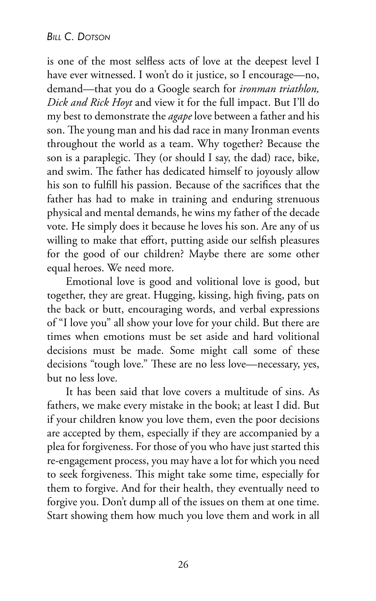is one of the most selfless acts of love at the deepest level I have ever witnessed. I won't do it justice, so I encourage—no, demand—that you do a Google search for *ironman triathlon, Dick and Rick Hoyt* and view it for the full impact. But I'll do my best to demonstrate the *agape* love between a father and his son. The young man and his dad race in many Ironman events throughout the world as a team. Why together? Because the son is a paraplegic. They (or should I say, the dad) race, bike, and swim. The father has dedicated himself to joyously allow his son to fulfill his passion. Because of the sacrifices that the father has had to make in training and enduring strenuous physical and mental demands, he wins my father of the decade vote. He simply does it because he loves his son. Are any of us willing to make that effort, putting aside our selfish pleasures for the good of our children? Maybe there are some other equal heroes. We need more.

Emotional love is good and volitional love is good, but together, they are great. Hugging, kissing, high fiving, pats on the back or butt, encouraging words, and verbal expressions of "I love you" all show your love for your child. But there are times when emotions must be set aside and hard volitional decisions must be made. Some might call some of these decisions "tough love." These are no less love—necessary, yes, but no less love.

It has been said that love covers a multitude of sins. As fathers, we make every mistake in the book; at least I did. But if your children know you love them, even the poor decisions are accepted by them, especially if they are accompanied by a plea for forgiveness. For those of you who have just started this re-engagement process, you may have a lot for which you need to seek forgiveness. This might take some time, especially for them to forgive. And for their health, they eventually need to forgive you. Don't dump all of the issues on them at one time. Start showing them how much you love them and work in all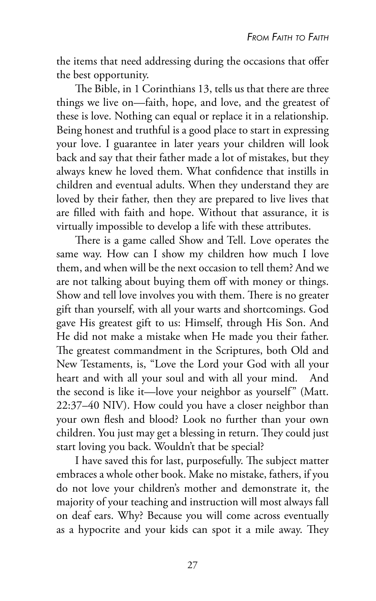the items that need addressing during the occasions that offer the best opportunity.

The Bible, in 1 Corinthians 13, tells us that there are three things we live on—faith, hope, and love, and the greatest of these is love. Nothing can equal or replace it in a relationship. Being honest and truthful is a good place to start in expressing your love. I guarantee in later years your children will look back and say that their father made a lot of mistakes, but they always knew he loved them. What confidence that instills in children and eventual adults. When they understand they are loved by their father, then they are prepared to live lives that are filled with faith and hope. Without that assurance, it is virtually impossible to develop a life with these attributes.

There is a game called Show and Tell. Love operates the same way. How can I show my children how much I love them, and when will be the next occasion to tell them? And we are not talking about buying them off with money or things. Show and tell love involves you with them. There is no greater gift than yourself, with all your warts and shortcomings. God gave His greatest gift to us: Himself, through His Son. And He did not make a mistake when He made you their father. The greatest commandment in the Scriptures, both Old and New Testaments, is, "Love the Lord your God with all your heart and with all your soul and with all your mind. And the second is like it—love your neighbor as yourself" (Matt. 22:37–40 NIV). How could you have a closer neighbor than your own flesh and blood? Look no further than your own children. You just may get a blessing in return. They could just start loving you back. Wouldn't that be special?

I have saved this for last, purposefully. The subject matter embraces a whole other book. Make no mistake, fathers, if you do not love your children's mother and demonstrate it, the majority of your teaching and instruction will most always fall on deaf ears. Why? Because you will come across eventually as a hypocrite and your kids can spot it a mile away. They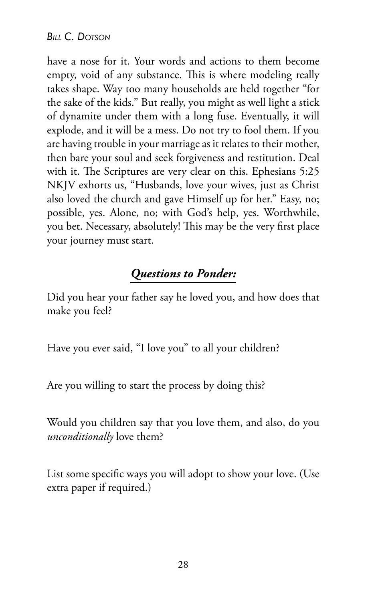have a nose for it. Your words and actions to them become empty, void of any substance. This is where modeling really takes shape. Way too many households are held together "for the sake of the kids." But really, you might as well light a stick of dynamite under them with a long fuse. Eventually, it will explode, and it will be a mess. Do not try to fool them. If you are having trouble in your marriage as it relates to their mother, then bare your soul and seek forgiveness and restitution. Deal with it. The Scriptures are very clear on this. Ephesians 5:25 NKJV exhorts us, "Husbands, love your wives, just as Christ also loved the church and gave Himself up for her." Easy, no; possible, yes. Alone, no; with God's help, yes. Worthwhile, you bet. Necessary, absolutely! This may be the very first place your journey must start.

# *Questions to Ponder:*

Did you hear your father say he loved you, and how does that make you feel?

Have you ever said, "I love you" to all your children?

Are you willing to start the process by doing this?

Would you children say that you love them, and also, do you *unconditionally* love them?

List some specific ways you will adopt to show your love. (Use extra paper if required.)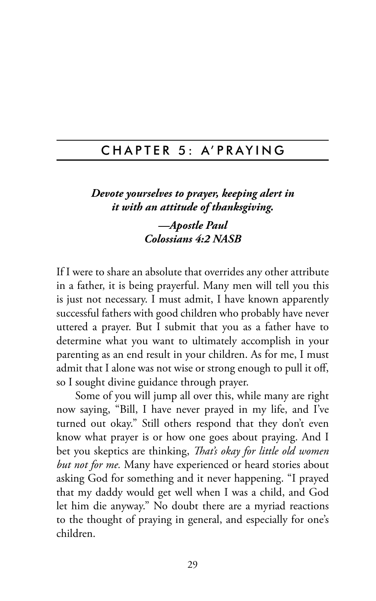### CHAPTER 5: A' PRAYING

*Devote yourselves to prayer, keeping alert in it with an attitude of thanksgiving.*

> *—Apostle Paul Colossians 4:2 NASB*

If I were to share an absolute that overrides any other attribute in a father, it is being prayerful. Many men will tell you this is just not necessary. I must admit, I have known apparently successful fathers with good children who probably have never uttered a prayer. But I submit that you as a father have to determine what you want to ultimately accomplish in your parenting as an end result in your children. As for me, I must admit that I alone was not wise or strong enough to pull it off, so I sought divine guidance through prayer.

Some of you will jump all over this, while many are right now saying, "Bill, I have never prayed in my life, and I've turned out okay." Still others respond that they don't even know what prayer is or how one goes about praying. And I bet you skeptics are thinking, *That's okay for little old women but not for me.* Many have experienced or heard stories about asking God for something and it never happening. "I prayed that my daddy would get well when I was a child, and God let him die anyway." No doubt there are a myriad reactions to the thought of praying in general, and especially for one's children.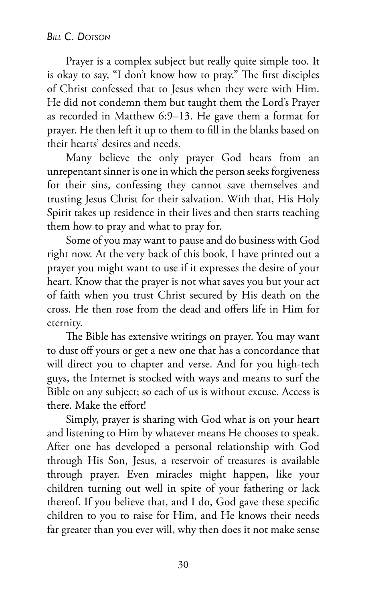Prayer is a complex subject but really quite simple too. It is okay to say, "I don't know how to pray." The first disciples of Christ confessed that to Jesus when they were with Him. He did not condemn them but taught them the Lord's Prayer as recorded in Matthew 6:9–13. He gave them a format for prayer. He then left it up to them to fill in the blanks based on their hearts' desires and needs.

Many believe the only prayer God hears from an unrepentant sinner is one in which the person seeks forgiveness for their sins, confessing they cannot save themselves and trusting Jesus Christ for their salvation. With that, His Holy Spirit takes up residence in their lives and then starts teaching them how to pray and what to pray for.

Some of you may want to pause and do business with God right now. At the very back of this book, I have printed out a prayer you might want to use if it expresses the desire of your heart. Know that the prayer is not what saves you but your act of faith when you trust Christ secured by His death on the cross. He then rose from the dead and offers life in Him for eternity.

The Bible has extensive writings on prayer. You may want to dust off yours or get a new one that has a concordance that will direct you to chapter and verse. And for you high-tech guys, the Internet is stocked with ways and means to surf the Bible on any subject; so each of us is without excuse. Access is there. Make the effort!

Simply, prayer is sharing with God what is on your heart and listening to Him by whatever means He chooses to speak. After one has developed a personal relationship with God through His Son, Jesus, a reservoir of treasures is available through prayer. Even miracles might happen, like your children turning out well in spite of your fathering or lack thereof. If you believe that, and I do, God gave these specific children to you to raise for Him, and He knows their needs far greater than you ever will, why then does it not make sense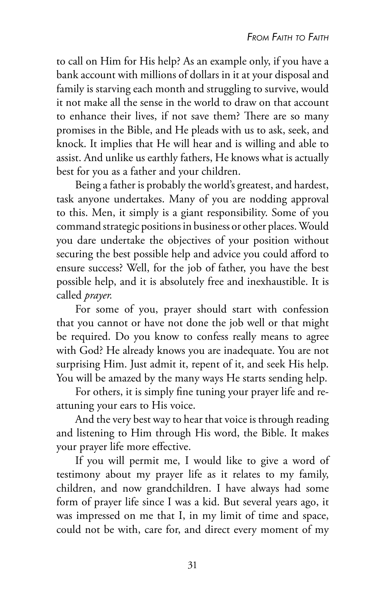to call on Him for His help? As an example only, if you have a bank account with millions of dollars in it at your disposal and family is starving each month and struggling to survive, would it not make all the sense in the world to draw on that account to enhance their lives, if not save them? There are so many promises in the Bible, and He pleads with us to ask, seek, and knock. It implies that He will hear and is willing and able to assist. And unlike us earthly fathers, He knows what is actually best for you as a father and your children.

Being a father is probably the world's greatest, and hardest, task anyone undertakes. Many of you are nodding approval to this. Men, it simply is a giant responsibility. Some of you command strategic positions in business or other places. Would you dare undertake the objectives of your position without securing the best possible help and advice you could afford to ensure success? Well, for the job of father, you have the best possible help, and it is absolutely free and inexhaustible. It is called *prayer.*

For some of you, prayer should start with confession that you cannot or have not done the job well or that might be required. Do you know to confess really means to agree with God? He already knows you are inadequate. You are not surprising Him. Just admit it, repent of it, and seek His help. You will be amazed by the many ways He starts sending help.

For others, it is simply fine tuning your prayer life and reattuning your ears to His voice.

And the very best way to hear that voice is through reading and listening to Him through His word, the Bible. It makes your prayer life more effective.

If you will permit me, I would like to give a word of testimony about my prayer life as it relates to my family, children, and now grandchildren. I have always had some form of prayer life since I was a kid. But several years ago, it was impressed on me that I, in my limit of time and space, could not be with, care for, and direct every moment of my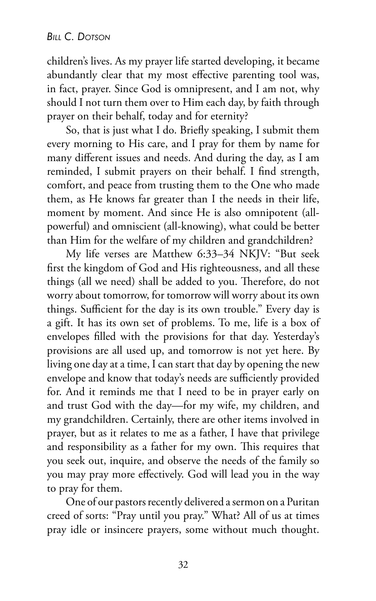children's lives. As my prayer life started developing, it became abundantly clear that my most effective parenting tool was, in fact, prayer. Since God is omnipresent, and I am not, why should I not turn them over to Him each day, by faith through prayer on their behalf, today and for eternity?

So, that is just what I do. Briefly speaking, I submit them every morning to His care, and I pray for them by name for many different issues and needs. And during the day, as I am reminded, I submit prayers on their behalf. I find strength, comfort, and peace from trusting them to the One who made them, as He knows far greater than I the needs in their life, moment by moment. And since He is also omnipotent (allpowerful) and omniscient (all-knowing), what could be better than Him for the welfare of my children and grandchildren?

My life verses are Matthew 6:33–34 NKJV: "But seek first the kingdom of God and His righteousness, and all these things (all we need) shall be added to you. Therefore, do not worry about tomorrow, for tomorrow will worry about its own things. Sufficient for the day is its own trouble." Every day is a gift. It has its own set of problems. To me, life is a box of envelopes filled with the provisions for that day. Yesterday's provisions are all used up, and tomorrow is not yet here. By living one day at a time, I can start that day by opening the new envelope and know that today's needs are sufficiently provided for. And it reminds me that I need to be in prayer early on and trust God with the day—for my wife, my children, and my grandchildren. Certainly, there are other items involved in prayer, but as it relates to me as a father, I have that privilege and responsibility as a father for my own. This requires that you seek out, inquire, and observe the needs of the family so you may pray more effectively. God will lead you in the way to pray for them.

One of our pastors recently delivered a sermon on a Puritan creed of sorts: "Pray until you pray." What? All of us at times pray idle or insincere prayers, some without much thought.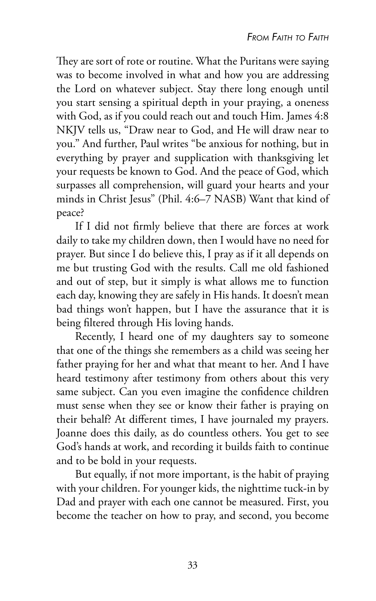They are sort of rote or routine. What the Puritans were saying was to become involved in what and how you are addressing the Lord on whatever subject. Stay there long enough until you start sensing a spiritual depth in your praying, a oneness with God, as if you could reach out and touch Him. James 4:8 NKJV tells us, "Draw near to God, and He will draw near to you." And further, Paul writes "be anxious for nothing, but in everything by prayer and supplication with thanksgiving let your requests be known to God. And the peace of God, which surpasses all comprehension, will guard your hearts and your minds in Christ Jesus" (Phil. 4:6–7 NASB) Want that kind of peace?

If I did not firmly believe that there are forces at work daily to take my children down, then I would have no need for prayer. But since I do believe this, I pray as if it all depends on me but trusting God with the results. Call me old fashioned and out of step, but it simply is what allows me to function each day, knowing they are safely in His hands. It doesn't mean bad things won't happen, but I have the assurance that it is being filtered through His loving hands.

Recently, I heard one of my daughters say to someone that one of the things she remembers as a child was seeing her father praying for her and what that meant to her. And I have heard testimony after testimony from others about this very same subject. Can you even imagine the confidence children must sense when they see or know their father is praying on their behalf? At different times, I have journaled my prayers. Joanne does this daily, as do countless others. You get to see God's hands at work, and recording it builds faith to continue and to be bold in your requests.

But equally, if not more important, is the habit of praying with your children. For younger kids, the nighttime tuck-in by Dad and prayer with each one cannot be measured. First, you become the teacher on how to pray, and second, you become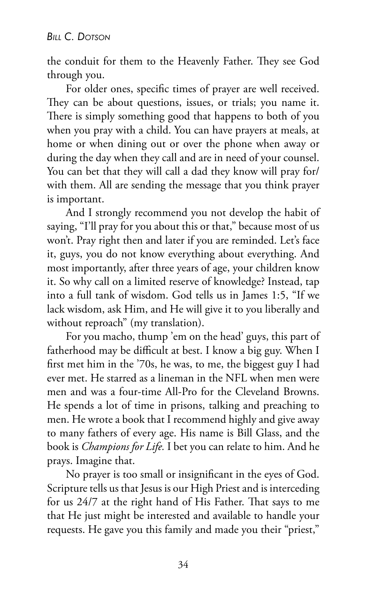the conduit for them to the Heavenly Father. They see God through you.

For older ones, specific times of prayer are well received. They can be about questions, issues, or trials; you name it. There is simply something good that happens to both of you when you pray with a child. You can have prayers at meals, at home or when dining out or over the phone when away or during the day when they call and are in need of your counsel. You can bet that they will call a dad they know will pray for/ with them. All are sending the message that you think prayer is important.

And I strongly recommend you not develop the habit of saying, "I'll pray for you about this or that," because most of us won't. Pray right then and later if you are reminded. Let's face it, guys, you do not know everything about everything. And most importantly, after three years of age, your children know it. So why call on a limited reserve of knowledge? Instead, tap into a full tank of wisdom. God tells us in James 1:5, "If we lack wisdom, ask Him, and He will give it to you liberally and without reproach" (my translation).

For you macho, thump 'em on the head' guys, this part of fatherhood may be difficult at best. I know a big guy. When I first met him in the '70s, he was, to me, the biggest guy I had ever met. He starred as a lineman in the NFL when men were men and was a four-time All-Pro for the Cleveland Browns. He spends a lot of time in prisons, talking and preaching to men. He wrote a book that I recommend highly and give away to many fathers of every age. His name is Bill Glass, and the book is *Champions for Life.* I bet you can relate to him. And he prays. Imagine that.

No prayer is too small or insignificant in the eyes of God. Scripture tells us that Jesus is our High Priest and is interceding for us 24/7 at the right hand of His Father. That says to me that He just might be interested and available to handle your requests. He gave you this family and made you their "priest,"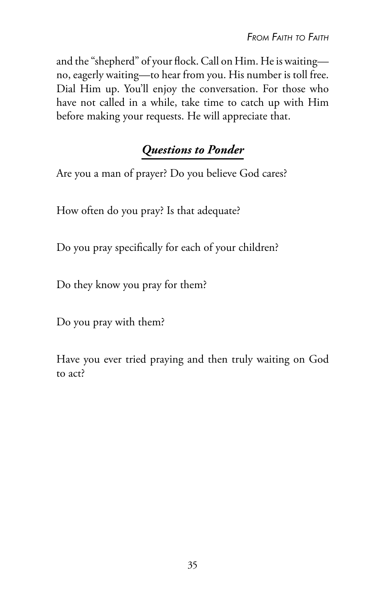and the "shepherd" of your flock. Call on Him. He is waitingno, eagerly waiting—to hear from you. His number is toll free. Dial Him up. You'll enjoy the conversation. For those who have not called in a while, take time to catch up with Him before making your requests. He will appreciate that.

# *Questions to Ponder*

Are you a man of prayer? Do you believe God cares?

How often do you pray? Is that adequate?

Do you pray specifically for each of your children?

Do they know you pray for them?

Do you pray with them?

Have you ever tried praying and then truly waiting on God to act?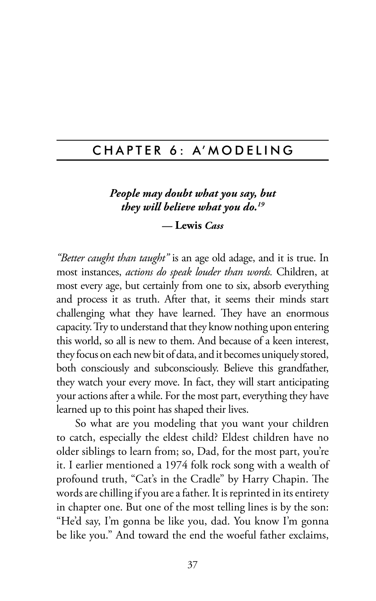## CHAPTER 6: A'MODELING

# *People may doubt what you say, but they will believe what you do.19*

*—* **Lewis** *Cass*

*"Better caught than taught"* is an age old adage, and it is true. In most instances, *actions do speak louder than words.* Children, at most every age, but certainly from one to six, absorb everything and process it as truth. After that, it seems their minds start challenging what they have learned. They have an enormous capacity. Try to understand that they know nothing upon entering this world, so all is new to them. And because of a keen interest, they focus on each new bit of data, and it becomes uniquely stored, both consciously and subconsciously. Believe this grandfather, they watch your every move. In fact, they will start anticipating your actions after a while. For the most part, everything they have learned up to this point has shaped their lives.

So what are you modeling that you want your children to catch, especially the eldest child? Eldest children have no older siblings to learn from; so, Dad, for the most part, you're it. I earlier mentioned a 1974 folk rock song with a wealth of profound truth, "Cat's in the Cradle" by Harry Chapin. The words are chilling if you are a father. It is reprinted in its entirety in chapter one. But one of the most telling lines is by the son: "He'd say, I'm gonna be like you, dad. You know I'm gonna be like you." And toward the end the woeful father exclaims,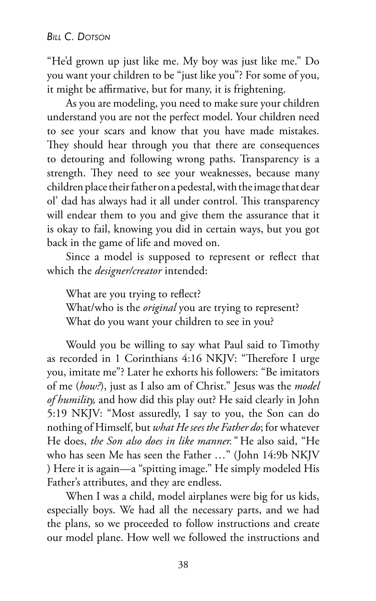"He'd grown up just like me. My boy was just like me." Do you want your children to be "just like you"? For some of you, it might be affirmative, but for many, it is frightening.

As you are modeling, you need to make sure your children understand you are not the perfect model. Your children need to see your scars and know that you have made mistakes. They should hear through you that there are consequences to detouring and following wrong paths. Transparency is a strength. They need to see your weaknesses, because many children place their father on a pedestal, with the image that dear ol' dad has always had it all under control. This transparency will endear them to you and give them the assurance that it is okay to fail, knowing you did in certain ways, but you got back in the game of life and moved on.

Since a model is supposed to represent or reflect that which the *designer/creator* intended:

What are you trying to reflect? What/who is the *original* you are trying to represent? What do you want your children to see in you?

Would you be willing to say what Paul said to Timothy as recorded in 1 Corinthians 4:16 NKJV: "Therefore I urge you, imitate me"? Later he exhorts his followers: "Be imitators of me (*how?*), just as I also am of Christ." Jesus was the *model of humility,* and how did this play out? He said clearly in John 5:19 NKJV: "Most assuredly, I say to you, the Son can do nothing of Himself, but *what He sees the Father do*; for whatever He does, *the Son also does in like manner."* He also said, "He who has seen Me has seen the Father …" (John 14:9b NKJV ) Here it is again—a "spitting image." He simply modeled His Father's attributes, and they are endless.

When I was a child, model airplanes were big for us kids, especially boys. We had all the necessary parts, and we had the plans, so we proceeded to follow instructions and create our model plane. How well we followed the instructions and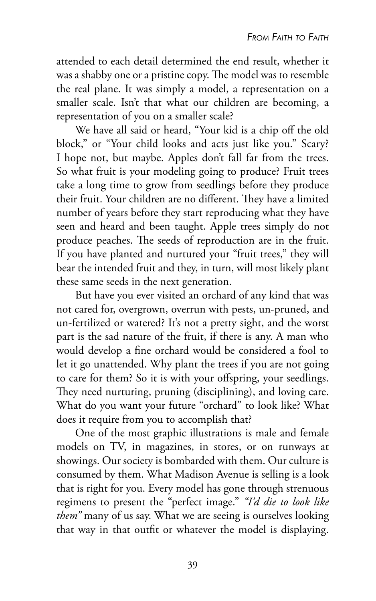attended to each detail determined the end result, whether it was a shabby one or a pristine copy. The model was to resemble the real plane. It was simply a model, a representation on a smaller scale. Isn't that what our children are becoming, a representation of you on a smaller scale?

We have all said or heard, "Your kid is a chip off the old block," or "Your child looks and acts just like you." Scary? I hope not, but maybe. Apples don't fall far from the trees. So what fruit is your modeling going to produce? Fruit trees take a long time to grow from seedlings before they produce their fruit. Your children are no different. They have a limited number of years before they start reproducing what they have seen and heard and been taught. Apple trees simply do not produce peaches. The seeds of reproduction are in the fruit. If you have planted and nurtured your "fruit trees," they will bear the intended fruit and they, in turn, will most likely plant these same seeds in the next generation.

But have you ever visited an orchard of any kind that was not cared for, overgrown, overrun with pests, un-pruned, and un-fertilized or watered? It's not a pretty sight, and the worst part is the sad nature of the fruit, if there is any. A man who would develop a fine orchard would be considered a fool to let it go unattended. Why plant the trees if you are not going to care for them? So it is with your offspring, your seedlings. They need nurturing, pruning (disciplining), and loving care. What do you want your future "orchard" to look like? What does it require from you to accomplish that?

One of the most graphic illustrations is male and female models on TV, in magazines, in stores, or on runways at showings. Our society is bombarded with them. Our culture is consumed by them. What Madison Avenue is selling is a look that is right for you. Every model has gone through strenuous regimens to present the "perfect image." *"I'd die to look like them"* many of us say. What we are seeing is ourselves looking that way in that outfit or whatever the model is displaying.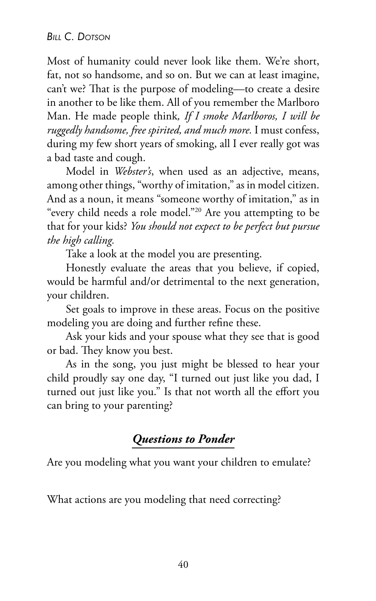*BILL C. DOTSON*

Most of humanity could never look like them. We're short, fat, not so handsome, and so on. But we can at least imagine, can't we? That is the purpose of modeling—to create a desire in another to be like them. All of you remember the Marlboro Man. He made people think*, If I smoke Marlboros, I will be ruggedly handsome, free spirited, and much more.* I must confess, during my few short years of smoking, all I ever really got was a bad taste and cough.

Model in *Webster's*, when used as an adjective, means, among other things, "worthy of imitation," as in model citizen. And as a noun, it means "someone worthy of imitation," as in "every child needs a role model."20 Are you attempting to be that for your kids? *You should not expect to be perfect but pursue the high calling.*

Take a look at the model you are presenting.

Honestly evaluate the areas that you believe, if copied, would be harmful and/or detrimental to the next generation, your children.

Set goals to improve in these areas. Focus on the positive modeling you are doing and further refine these.

Ask your kids and your spouse what they see that is good or bad. They know you best.

As in the song, you just might be blessed to hear your child proudly say one day, "I turned out just like you dad, I turned out just like you." Is that not worth all the effort you can bring to your parenting?

### *Questions to Ponder*

Are you modeling what you want your children to emulate?

What actions are you modeling that need correcting?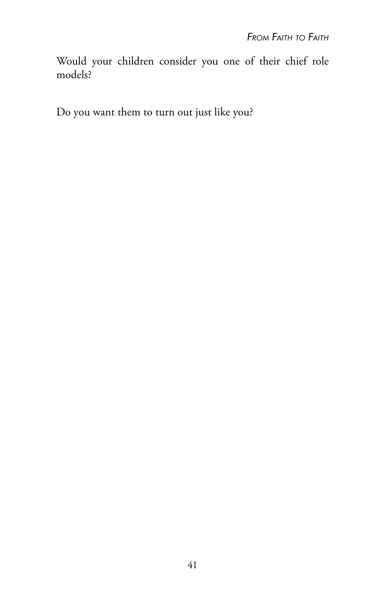Would your children consider you one of their chief role models?

Do you want them to turn out just like you?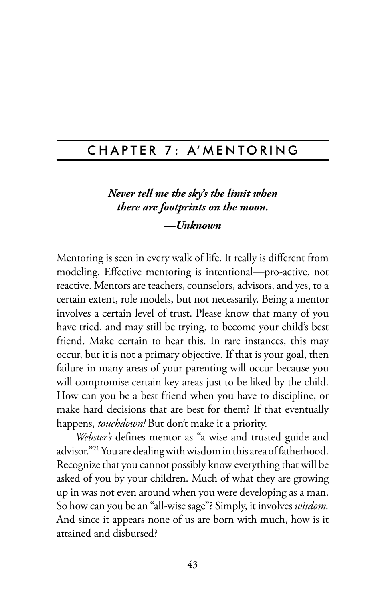## CHAPTER 7: A'MENTORING

### *Never tell me the sky's the limit when there are footprints on the moon. —Unknown*

Mentoring is seen in every walk of life. It really is different from modeling. Effective mentoring is intentional—pro-active, not reactive. Mentors are teachers, counselors, advisors, and yes, to a certain extent, role models, but not necessarily. Being a mentor involves a certain level of trust. Please know that many of you have tried, and may still be trying, to become your child's best friend. Make certain to hear this. In rare instances, this may occur, but it is not a primary objective. If that is your goal, then failure in many areas of your parenting will occur because you will compromise certain key areas just to be liked by the child. How can you be a best friend when you have to discipline, or make hard decisions that are best for them? If that eventually happens, *touchdown!* But don't make it a priority.

*Webster's* defines mentor as "a wise and trusted guide and advisor."21 You are dealing with wisdom in this area of fatherhood. Recognize that you cannot possibly know everything that will be asked of you by your children. Much of what they are growing up in was not even around when you were developing as a man. So how can you be an "all-wise sage"? Simply, it involves *wisdom.* And since it appears none of us are born with much, how is it attained and disbursed?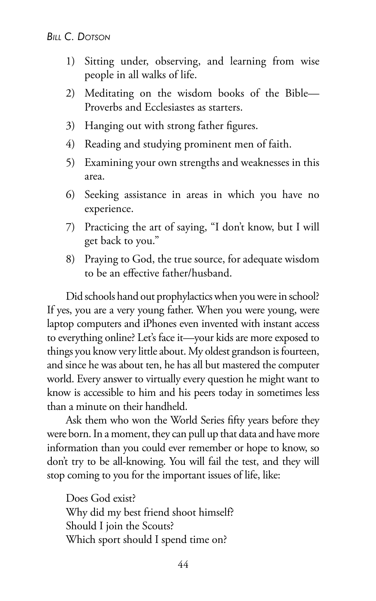- 1) Sitting under, observing, and learning from wise people in all walks of life.
- 2) Meditating on the wisdom books of the Bible— Proverbs and Ecclesiastes as starters.
- 3) Hanging out with strong father figures.
- 4) Reading and studying prominent men of faith.
- 5) Examining your own strengths and weaknesses in this area.
- 6) Seeking assistance in areas in which you have no experience.
- 7) Practicing the art of saying, "I don't know, but I will get back to you."
- 8) Praying to God, the true source, for adequate wisdom to be an effective father/husband.

Did schools hand out prophylactics when you were in school? If yes, you are a very young father. When you were young, were laptop computers and iPhones even invented with instant access to everything online? Let's face it—your kids are more exposed to things you know very little about. My oldest grandson is fourteen, and since he was about ten, he has all but mastered the computer world. Every answer to virtually every question he might want to know is accessible to him and his peers today in sometimes less than a minute on their handheld.

Ask them who won the World Series fifty years before they were born. In a moment, they can pull up that data and have more information than you could ever remember or hope to know, so don't try to be all-knowing. You will fail the test, and they will stop coming to you for the important issues of life, like:

Does God exist? Why did my best friend shoot himself? Should I join the Scouts? Which sport should I spend time on?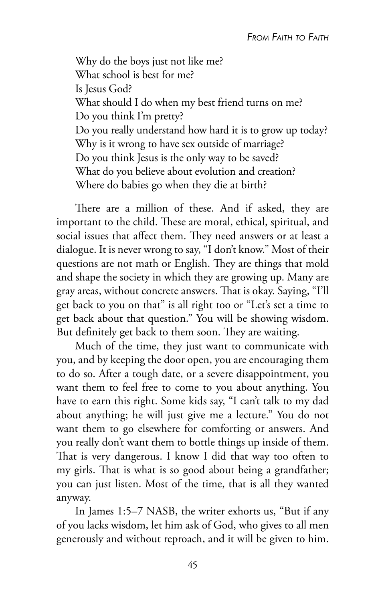Why do the boys just not like me? What school is best for me? Is Jesus God? What should I do when my best friend turns on me? Do you think I'm pretty? Do you really understand how hard it is to grow up today? Why is it wrong to have sex outside of marriage? Do you think Jesus is the only way to be saved? What do you believe about evolution and creation? Where do babies go when they die at birth?

There are a million of these. And if asked, they are important to the child. These are moral, ethical, spiritual, and social issues that affect them. They need answers or at least a dialogue. It is never wrong to say, "I don't know." Most of their questions are not math or English. They are things that mold and shape the society in which they are growing up. Many are gray areas, without concrete answers. That is okay. Saying, "I'll get back to you on that" is all right too or "Let's set a time to get back about that question." You will be showing wisdom. But definitely get back to them soon. They are waiting.

Much of the time, they just want to communicate with you, and by keeping the door open, you are encouraging them to do so. After a tough date, or a severe disappointment, you want them to feel free to come to you about anything. You have to earn this right. Some kids say, "I can't talk to my dad about anything; he will just give me a lecture." You do not want them to go elsewhere for comforting or answers. And you really don't want them to bottle things up inside of them. That is very dangerous. I know I did that way too often to my girls. That is what is so good about being a grandfather; you can just listen. Most of the time, that is all they wanted anyway.

In James 1:5–7 NASB, the writer exhorts us, "But if any of you lacks wisdom, let him ask of God, who gives to all men generously and without reproach, and it will be given to him.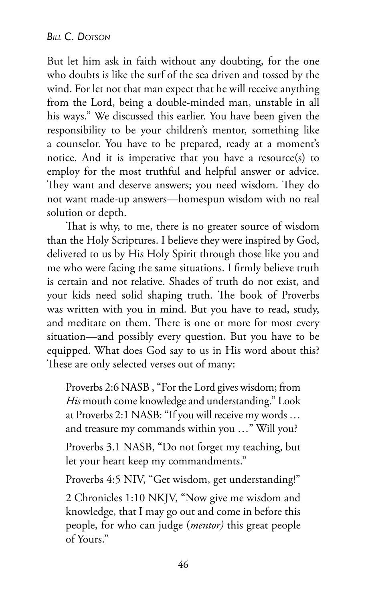But let him ask in faith without any doubting, for the one who doubts is like the surf of the sea driven and tossed by the wind. For let not that man expect that he will receive anything from the Lord, being a double-minded man, unstable in all his ways." We discussed this earlier. You have been given the responsibility to be your children's mentor, something like a counselor. You have to be prepared, ready at a moment's notice. And it is imperative that you have a resource(s) to employ for the most truthful and helpful answer or advice. They want and deserve answers; you need wisdom. They do not want made-up answers—homespun wisdom with no real solution or depth.

That is why, to me, there is no greater source of wisdom than the Holy Scriptures. I believe they were inspired by God, delivered to us by His Holy Spirit through those like you and me who were facing the same situations. I firmly believe truth is certain and not relative. Shades of truth do not exist, and your kids need solid shaping truth. The book of Proverbs was written with you in mind. But you have to read, study, and meditate on them. There is one or more for most every situation—and possibly every question. But you have to be equipped. What does God say to us in His word about this? These are only selected verses out of many:

Proverbs 2:6 NASB , "For the Lord gives wisdom; from *His* mouth come knowledge and understanding." Look at Proverbs 2:1 NASB: "If you will receive my words … and treasure my commands within you …" Will you?

Proverbs 3.1 NASB, "Do not forget my teaching, but let your heart keep my commandments."

Proverbs 4:5 NIV, "Get wisdom, get understanding!"

2 Chronicles 1:10 NKJV, "Now give me wisdom and knowledge, that I may go out and come in before this people, for who can judge (*mentor)* this great people of Yours."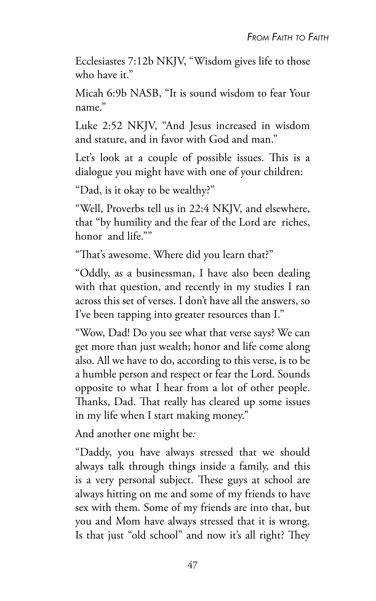Ecclesiastes 7:12b NKJV, "Wisdom gives life to those who have it."

Micah 6:9b NASB, "It is sound wisdom to fear Your name<sup>"</sup>

Luke 2:52 NKJV, "And Jesus increased in wisdom and stature, and in favor with God and man."

Let's look at a couple of possible issues. This is a dialogue you might have with one of your children:

"Dad, is it okay to be wealthy?"

"Well, Proverbs tell us in 22:4 NKJV, and elsewhere, that "by humility and the fear of the Lord are riches, honor and life.""

"That's awesome. Where did you learn that?"

"Oddly, as a businessman, I have also been dealing with that question, and recently in my studies I ran across this set of verses. I don't have all the answers, so I've been tapping into greater resources than I."

"Wow, Dad! Do you see what that verse says? We can get more than just wealth; honor and life come along also. All we have to do, according to this verse, is to be a humble person and respect or fear the Lord. Sounds opposite to what I hear from a lot of other people. Thanks, Dad. That really has cleared up some issues in my life when I start making money."

And another one might be*:* 

"Daddy, you have always stressed that we should always talk through things inside a family, and this is a very personal subject. These guys at school are always hitting on me and some of my friends to have sex with them. Some of my friends are into that, but you and Mom have always stressed that it is wrong. Is that just "old school" and now it's all right? They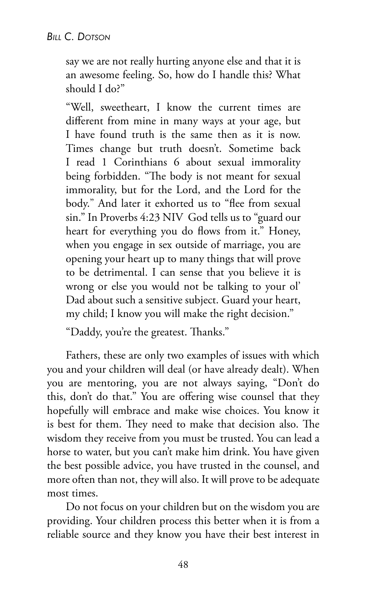say we are not really hurting anyone else and that it is an awesome feeling. So, how do I handle this? What should I do?"

"Well, sweetheart, I know the current times are different from mine in many ways at your age, but I have found truth is the same then as it is now. Times change but truth doesn't. Sometime back I read 1 Corinthians 6 about sexual immorality being forbidden. "The body is not meant for sexual immorality, but for the Lord, and the Lord for the body." And later it exhorted us to "flee from sexual sin." In Proverbs 4:23 NIV God tells us to "guard our heart for everything you do flows from it." Honey, when you engage in sex outside of marriage, you are opening your heart up to many things that will prove to be detrimental. I can sense that you believe it is wrong or else you would not be talking to your ol' Dad about such a sensitive subject. Guard your heart, my child; I know you will make the right decision."

"Daddy, you're the greatest. Thanks."

Fathers, these are only two examples of issues with which you and your children will deal (or have already dealt). When you are mentoring, you are not always saying, "Don't do this, don't do that." You are offering wise counsel that they hopefully will embrace and make wise choices. You know it is best for them. They need to make that decision also. The wisdom they receive from you must be trusted. You can lead a horse to water, but you can't make him drink. You have given the best possible advice, you have trusted in the counsel, and more often than not, they will also. It will prove to be adequate most times.

Do not focus on your children but on the wisdom you are providing. Your children process this better when it is from a reliable source and they know you have their best interest in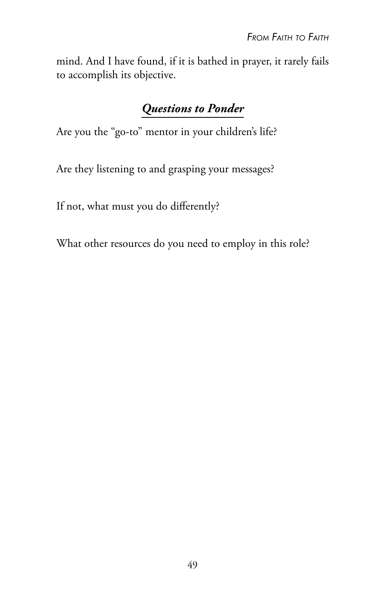mind. And I have found, if it is bathed in prayer, it rarely fails to accomplish its objective.

## *Questions to Ponder*

Are you the "go-to" mentor in your children's life?

Are they listening to and grasping your messages?

If not, what must you do differently?

What other resources do you need to employ in this role?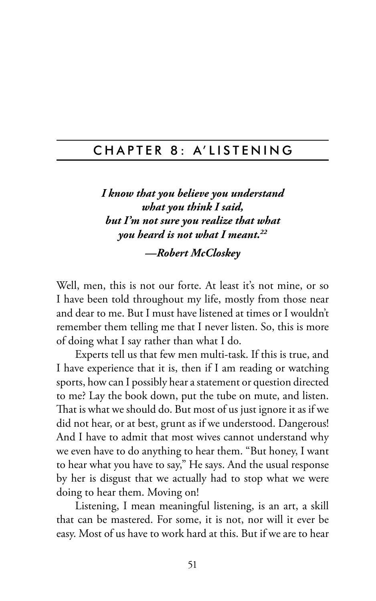### CHAPTER 8: A'LISTENING

*I know that you believe you understand what you think I said, but I'm not sure you realize that what you heard is not what I meant.22 —Robert McCloskey*

Well, men, this is not our forte. At least it's not mine, or so I have been told throughout my life, mostly from those near and dear to me. But I must have listened at times or I wouldn't remember them telling me that I never listen. So, this is more of doing what I say rather than what I do.

Experts tell us that few men multi-task. If this is true, and I have experience that it is, then if I am reading or watching sports, how can I possibly hear a statement or question directed to me? Lay the book down, put the tube on mute, and listen. That is what we should do. But most of us just ignore it as if we did not hear, or at best, grunt as if we understood. Dangerous! And I have to admit that most wives cannot understand why we even have to do anything to hear them. "But honey, I want to hear what you have to say," He says. And the usual response by her is disgust that we actually had to stop what we were doing to hear them. Moving on!

Listening, I mean meaningful listening, is an art, a skill that can be mastered. For some, it is not, nor will it ever be easy. Most of us have to work hard at this. But if we are to hear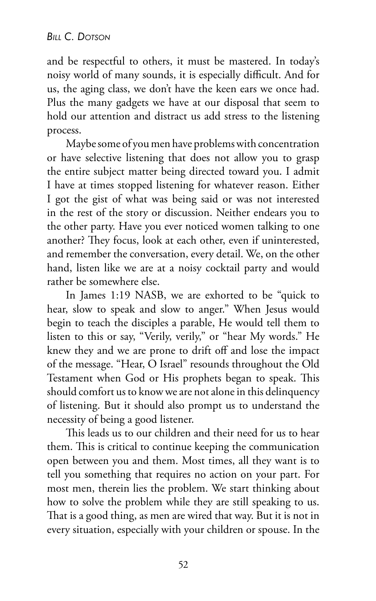and be respectful to others, it must be mastered. In today's noisy world of many sounds, it is especially difficult. And for us, the aging class, we don't have the keen ears we once had. Plus the many gadgets we have at our disposal that seem to hold our attention and distract us add stress to the listening process.

Maybe some of you men have problems with concentration or have selective listening that does not allow you to grasp the entire subject matter being directed toward you. I admit I have at times stopped listening for whatever reason. Either I got the gist of what was being said or was not interested in the rest of the story or discussion. Neither endears you to the other party. Have you ever noticed women talking to one another? They focus, look at each other, even if uninterested, and remember the conversation, every detail. We, on the other hand, listen like we are at a noisy cocktail party and would rather be somewhere else.

In James 1:19 NASB, we are exhorted to be "quick to hear, slow to speak and slow to anger." When Jesus would begin to teach the disciples a parable, He would tell them to listen to this or say, "Verily, verily," or "hear My words." He knew they and we are prone to drift off and lose the impact of the message. "Hear, O Israel" resounds throughout the Old Testament when God or His prophets began to speak. This should comfort us to know we are not alone in this delinquency of listening. But it should also prompt us to understand the necessity of being a good listener.

This leads us to our children and their need for us to hear them. This is critical to continue keeping the communication open between you and them. Most times, all they want is to tell you something that requires no action on your part. For most men, therein lies the problem. We start thinking about how to solve the problem while they are still speaking to us. That is a good thing, as men are wired that way. But it is not in every situation, especially with your children or spouse. In the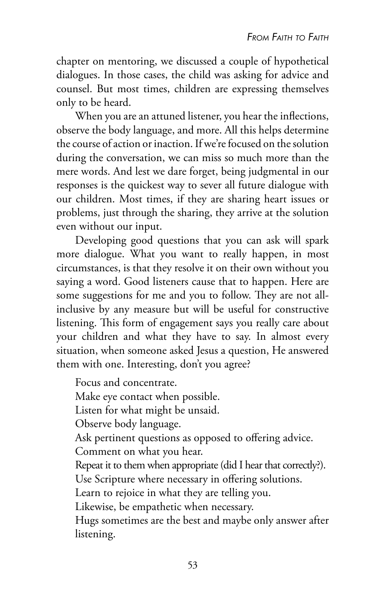chapter on mentoring, we discussed a couple of hypothetical dialogues. In those cases, the child was asking for advice and counsel. But most times, children are expressing themselves only to be heard.

When you are an attuned listener, you hear the inflections, observe the body language, and more. All this helps determine the course of action or inaction. If we're focused on the solution during the conversation, we can miss so much more than the mere words. And lest we dare forget, being judgmental in our responses is the quickest way to sever all future dialogue with our children. Most times, if they are sharing heart issues or problems, just through the sharing, they arrive at the solution even without our input.

Developing good questions that you can ask will spark more dialogue. What you want to really happen, in most circumstances, is that they resolve it on their own without you saying a word. Good listeners cause that to happen. Here are some suggestions for me and you to follow. They are not allinclusive by any measure but will be useful for constructive listening. This form of engagement says you really care about your children and what they have to say. In almost every situation, when someone asked Jesus a question, He answered them with one. Interesting, don't you agree?

Focus and concentrate.

Make eye contact when possible.

Listen for what might be unsaid.

Observe body language.

Ask pertinent questions as opposed to offering advice.

Comment on what you hear.

Repeat it to them when appropriate (did I hear that correctly?).

Use Scripture where necessary in offering solutions.

Learn to rejoice in what they are telling you.

Likewise, be empathetic when necessary.

Hugs sometimes are the best and maybe only answer after listening.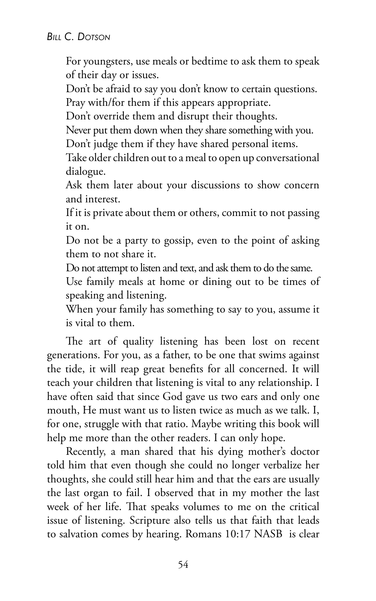For youngsters, use meals or bedtime to ask them to speak of their day or issues.

Don't be afraid to say you don't know to certain questions. Pray with/for them if this appears appropriate.

Don't override them and disrupt their thoughts.

Never put them down when they share something with you. Don't judge them if they have shared personal items.

Take older children out to a meal to open up conversational dialogue.

Ask them later about your discussions to show concern and interest.

If it is private about them or others, commit to not passing it on.

Do not be a party to gossip, even to the point of asking them to not share it.

Do not attempt to listen and text, and ask them to do the same.

Use family meals at home or dining out to be times of speaking and listening.

When your family has something to say to you, assume it is vital to them.

The art of quality listening has been lost on recent generations. For you, as a father, to be one that swims against the tide, it will reap great benefits for all concerned. It will teach your children that listening is vital to any relationship. I have often said that since God gave us two ears and only one mouth, He must want us to listen twice as much as we talk. I, for one, struggle with that ratio. Maybe writing this book will help me more than the other readers. I can only hope.

Recently, a man shared that his dying mother's doctor told him that even though she could no longer verbalize her thoughts, she could still hear him and that the ears are usually the last organ to fail. I observed that in my mother the last week of her life. That speaks volumes to me on the critical issue of listening. Scripture also tells us that faith that leads to salvation comes by hearing. Romans 10:17 NASB is clear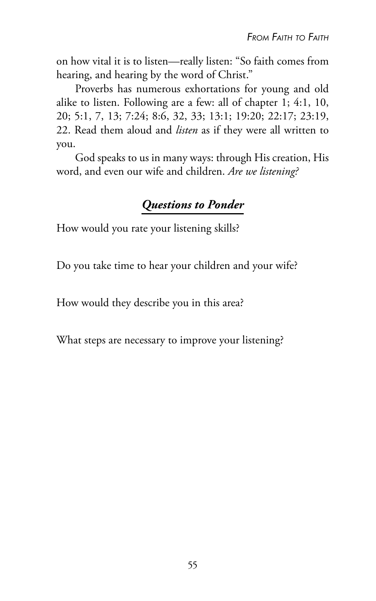on how vital it is to listen—really listen: "So faith comes from hearing, and hearing by the word of Christ."

Proverbs has numerous exhortations for young and old alike to listen. Following are a few: all of chapter 1; 4:1, 10, 20; 5:1, 7, 13; 7:24; 8:6, 32, 33; 13:1; 19:20; 22:17; 23:19, 22. Read them aloud and *listen* as if they were all written to you.

God speaks to us in many ways: through His creation, His word, and even our wife and children. *Are we listening?*

## *Questions to Ponder*

How would you rate your listening skills?

Do you take time to hear your children and your wife?

How would they describe you in this area?

What steps are necessary to improve your listening?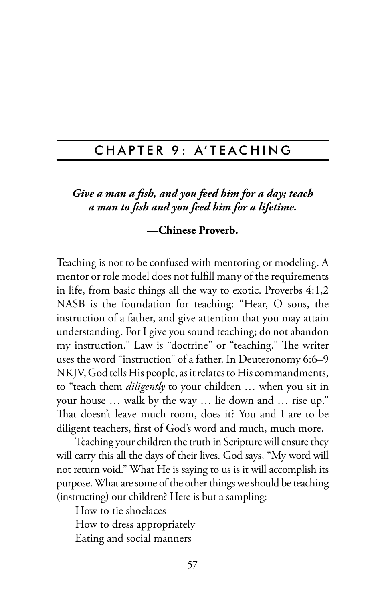### CHAPTER 9: A'TEACHING

#### Give a man a fish, and you feed him for a day; teach *a man to fi sh and you feed him for a lifetime.*

#### **—Chinese Proverb.**

Teaching is not to be confused with mentoring or modeling. A mentor or role model does not fulfill many of the requirements in life, from basic things all the way to exotic. Proverbs 4:1,2 NASB is the foundation for teaching: "Hear, O sons, the instruction of a father, and give attention that you may attain understanding. For I give you sound teaching; do not abandon my instruction." Law is "doctrine" or "teaching." The writer uses the word "instruction" of a father. In Deuteronomy 6:6–9 NKJV, God tells His people, as it relates to His commandments, to "teach them *diligently* to your children … when you sit in your house … walk by the way … lie down and … rise up." That doesn't leave much room, does it? You and I are to be diligent teachers, first of God's word and much, much more.

Teaching your children the truth in Scripture will ensure they will carry this all the days of their lives. God says, "My word will not return void." What He is saying to us is it will accomplish its purpose. What are some of the other things we should be teaching (instructing) our children? Here is but a sampling:

How to tie shoelaces How to dress appropriately Eating and social manners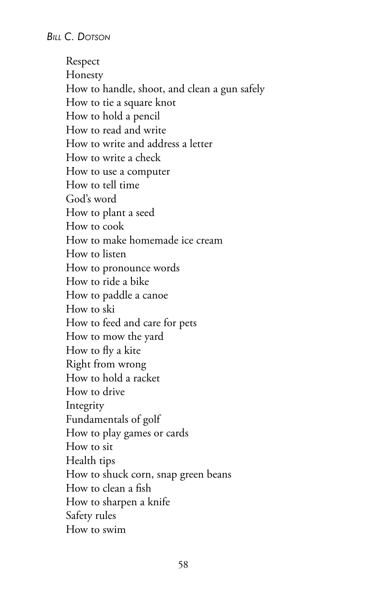Respect Honesty How to handle, shoot, and clean a gun safely How to tie a square knot How to hold a pencil How to read and write How to write and address a letter How to write a check How to use a computer How to tell time God's word How to plant a seed How to cook How to make homemade ice cream How to listen How to pronounce words How to ride a bike How to paddle a canoe How to ski How to feed and care for pets How to mow the yard How to fly a kite Right from wrong How to hold a racket How to drive Integrity Fundamentals of golf How to play games or cards How to sit Health tips How to shuck corn, snap green beans How to clean a fish How to sharpen a knife Safety rules How to swim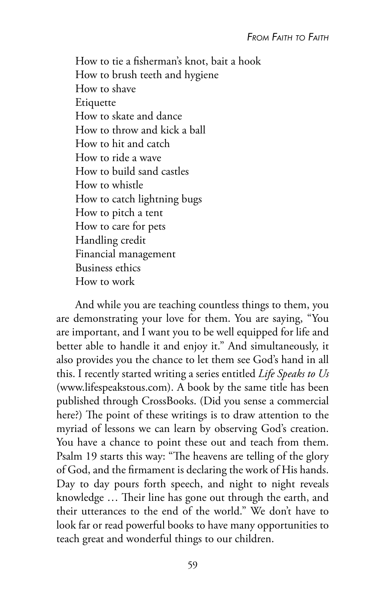How to tie a fisherman's knot, bait a hook How to brush teeth and hygiene How to shave Etiquette How to skate and dance How to throw and kick a ball How to hit and catch How to ride a wave How to build sand castles How to whistle How to catch lightning bugs How to pitch a tent How to care for pets Handling credit Financial management Business ethics How to work

And while you are teaching countless things to them, you are demonstrating your love for them. You are saying, "You are important, and I want you to be well equipped for life and better able to handle it and enjoy it." And simultaneously, it also provides you the chance to let them see God's hand in all this. I recently started writing a series entitled *Life Speaks to Us*  (www.lifespeakstous.com). A book by the same title has been published through CrossBooks. (Did you sense a commercial here?) The point of these writings is to draw attention to the myriad of lessons we can learn by observing God's creation. You have a chance to point these out and teach from them. Psalm 19 starts this way: "The heavens are telling of the glory of God, and the firmament is declaring the work of His hands. Day to day pours forth speech, and night to night reveals knowledge ... Their line has gone out through the earth, and their utterances to the end of the world." We don't have to look far or read powerful books to have many opportunities to teach great and wonderful things to our children.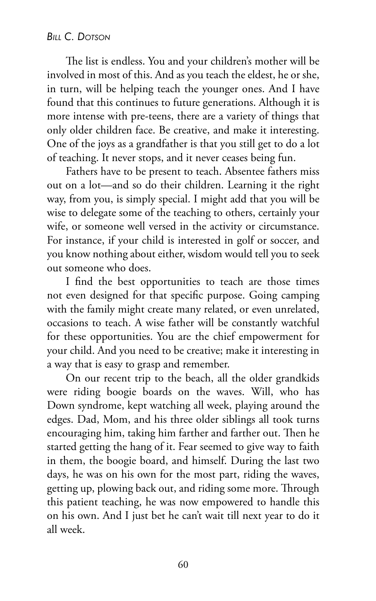The list is endless. You and your children's mother will be involved in most of this. And as you teach the eldest, he or she, in turn, will be helping teach the younger ones. And I have found that this continues to future generations. Although it is more intense with pre-teens, there are a variety of things that only older children face. Be creative, and make it interesting. One of the joys as a grandfather is that you still get to do a lot of teaching. It never stops, and it never ceases being fun.

Fathers have to be present to teach. Absentee fathers miss out on a lot—and so do their children. Learning it the right way, from you, is simply special. I might add that you will be wise to delegate some of the teaching to others, certainly your wife, or someone well versed in the activity or circumstance. For instance, if your child is interested in golf or soccer, and you know nothing about either, wisdom would tell you to seek out someone who does.

I find the best opportunities to teach are those times not even designed for that specific purpose. Going camping with the family might create many related, or even unrelated, occasions to teach. A wise father will be constantly watchful for these opportunities. You are the chief empowerment for your child. And you need to be creative; make it interesting in a way that is easy to grasp and remember.

On our recent trip to the beach, all the older grandkids were riding boogie boards on the waves. Will, who has Down syndrome, kept watching all week, playing around the edges. Dad, Mom, and his three older siblings all took turns encouraging him, taking him farther and farther out. Then he started getting the hang of it. Fear seemed to give way to faith in them, the boogie board, and himself. During the last two days, he was on his own for the most part, riding the waves, getting up, plowing back out, and riding some more. Through this patient teaching, he was now empowered to handle this on his own. And I just bet he can't wait till next year to do it all week.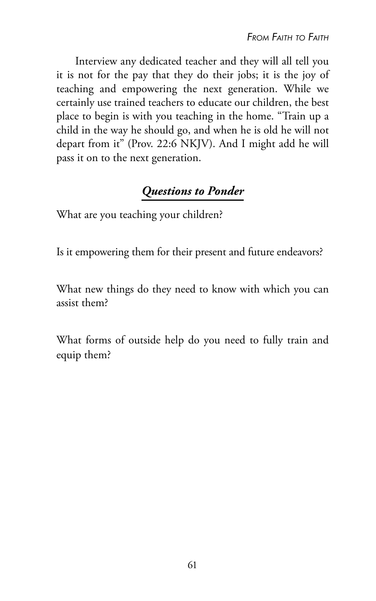Interview any dedicated teacher and they will all tell you it is not for the pay that they do their jobs; it is the joy of teaching and empowering the next generation. While we certainly use trained teachers to educate our children, the best place to begin is with you teaching in the home. "Train up a child in the way he should go, and when he is old he will not depart from it" (Prov. 22:6 NKJV). And I might add he will pass it on to the next generation.

### *Questions to Ponder*

What are you teaching your children?

Is it empowering them for their present and future endeavors?

What new things do they need to know with which you can assist them?

What forms of outside help do you need to fully train and equip them?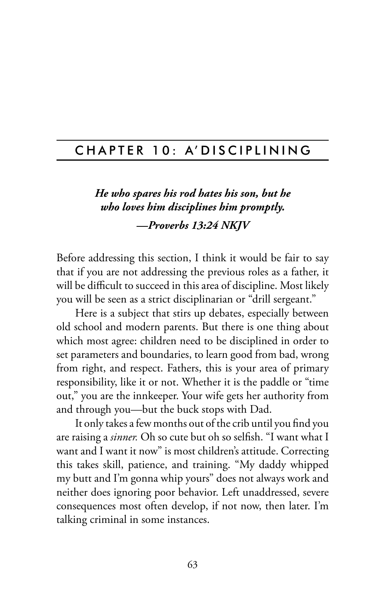## CHAPTER 10: A'DISCIPLINING

## *He who spares his rod hates his son, but he who loves him disciplines him promptly. —Proverbs 13:24 NKJV*

Before addressing this section, I think it would be fair to say that if you are not addressing the previous roles as a father, it will be difficult to succeed in this area of discipline. Most likely you will be seen as a strict disciplinarian or "drill sergeant."

Here is a subject that stirs up debates, especially between old school and modern parents. But there is one thing about which most agree: children need to be disciplined in order to set parameters and boundaries, to learn good from bad, wrong from right, and respect. Fathers, this is your area of primary responsibility, like it or not. Whether it is the paddle or "time out," you are the innkeeper. Your wife gets her authority from and through you—but the buck stops with Dad.

It only takes a few months out of the crib until you find you are raising a *sinner*. Oh so cute but oh so selfish. "I want what I want and I want it now" is most children's attitude. Correcting this takes skill, patience, and training. "My daddy whipped my butt and I'm gonna whip yours" does not always work and neither does ignoring poor behavior. Left unaddressed, severe consequences most often develop, if not now, then later. I'm talking criminal in some instances.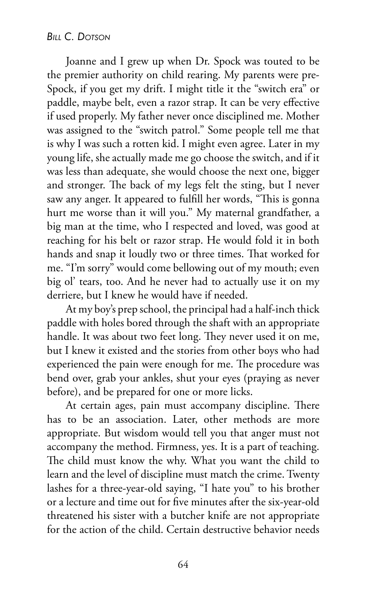Joanne and I grew up when Dr. Spock was touted to be the premier authority on child rearing. My parents were pre-Spock, if you get my drift. I might title it the "switch era" or paddle, maybe belt, even a razor strap. It can be very effective if used properly. My father never once disciplined me. Mother was assigned to the "switch patrol." Some people tell me that is why I was such a rotten kid. I might even agree. Later in my young life, she actually made me go choose the switch, and if it was less than adequate, she would choose the next one, bigger and stronger. The back of my legs felt the sting, but I never saw any anger. It appeared to fulfill her words, "This is gonna hurt me worse than it will you." My maternal grandfather, a big man at the time, who I respected and loved, was good at reaching for his belt or razor strap. He would fold it in both hands and snap it loudly two or three times. That worked for me. "I'm sorry" would come bellowing out of my mouth; even big ol' tears, too. And he never had to actually use it on my derriere, but I knew he would have if needed.

At my boy's prep school, the principal had a half-inch thick paddle with holes bored through the shaft with an appropriate handle. It was about two feet long. They never used it on me, but I knew it existed and the stories from other boys who had experienced the pain were enough for me. The procedure was bend over, grab your ankles, shut your eyes (praying as never before), and be prepared for one or more licks.

At certain ages, pain must accompany discipline. There has to be an association. Later, other methods are more appropriate. But wisdom would tell you that anger must not accompany the method. Firmness, yes. It is a part of teaching. The child must know the why. What you want the child to learn and the level of discipline must match the crime. Twenty lashes for a three-year-old saying, "I hate you" to his brother or a lecture and time out for five minutes after the six-year-old threatened his sister with a butcher knife are not appropriate for the action of the child. Certain destructive behavior needs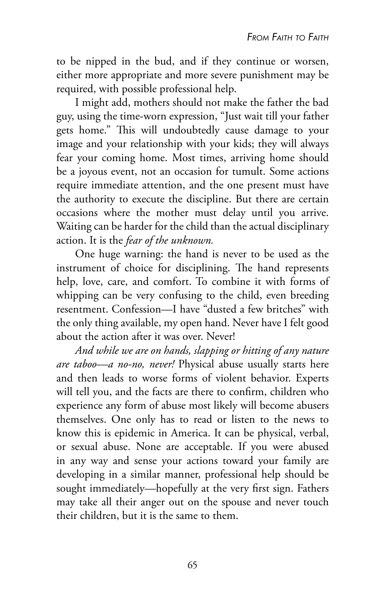to be nipped in the bud, and if they continue or worsen, either more appropriate and more severe punishment may be required, with possible professional help.

I might add, mothers should not make the father the bad guy, using the time-worn expression, "Just wait till your father gets home." This will undoubtedly cause damage to your image and your relationship with your kids; they will always fear your coming home. Most times, arriving home should be a joyous event, not an occasion for tumult. Some actions require immediate attention, and the one present must have the authority to execute the discipline. But there are certain occasions where the mother must delay until you arrive. Waiting can be harder for the child than the actual disciplinary action. It is the *fear of the unknown.*

One huge warning: the hand is never to be used as the instrument of choice for disciplining. The hand represents help, love, care, and comfort. To combine it with forms of whipping can be very confusing to the child, even breeding resentment. Confession—I have "dusted a few britches" with the only thing available, my open hand. Never have I felt good about the action after it was over. Never!

*And while we are on hands, slapping or hitting of any nature are taboo—a no-no, never!* Physical abuse usually starts here and then leads to worse forms of violent behavior. Experts will tell you, and the facts are there to confirm, children who experience any form of abuse most likely will become abusers themselves. One only has to read or listen to the news to know this is epidemic in America. It can be physical, verbal, or sexual abuse. None are acceptable. If you were abused in any way and sense your actions toward your family are developing in a similar manner, professional help should be sought immediately—hopefully at the very first sign. Fathers may take all their anger out on the spouse and never touch their children, but it is the same to them.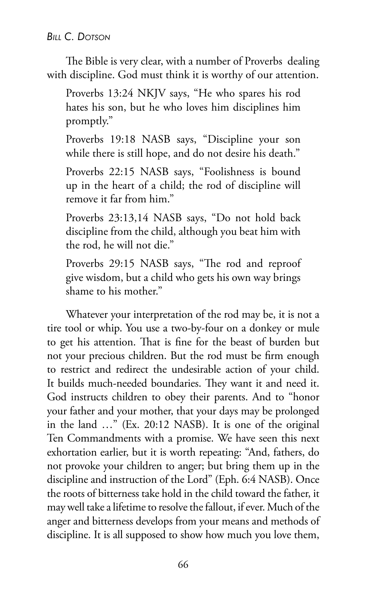*BILL C. DOTSON*

The Bible is very clear, with a number of Proverbs dealing with discipline. God must think it is worthy of our attention.

Proverbs 13:24 NKJV says, "He who spares his rod hates his son, but he who loves him disciplines him promptly."

Proverbs 19:18 NASB says, "Discipline your son while there is still hope, and do not desire his death."

Proverbs 22:15 NASB says, "Foolishness is bound up in the heart of a child; the rod of discipline will remove it far from him."

Proverbs 23:13,14 NASB says, "Do not hold back discipline from the child, although you beat him with the rod, he will not die."

Proverbs 29:15 NASB says, "The rod and reproof give wisdom, but a child who gets his own way brings shame to his mother."

Whatever your interpretation of the rod may be, it is not a tire tool or whip. You use a two-by-four on a donkey or mule to get his attention. That is fine for the beast of burden but not your precious children. But the rod must be firm enough to restrict and redirect the undesirable action of your child. It builds much-needed boundaries. They want it and need it. God instructs children to obey their parents. And to "honor your father and your mother, that your days may be prolonged in the land …" (Ex. 20:12 NASB). It is one of the original Ten Commandments with a promise. We have seen this next exhortation earlier, but it is worth repeating: "And, fathers, do not provoke your children to anger; but bring them up in the discipline and instruction of the Lord" (Eph. 6:4 NASB). Once the roots of bitterness take hold in the child toward the father, it may well take a lifetime to resolve the fallout, if ever. Much of the anger and bitterness develops from your means and methods of discipline. It is all supposed to show how much you love them,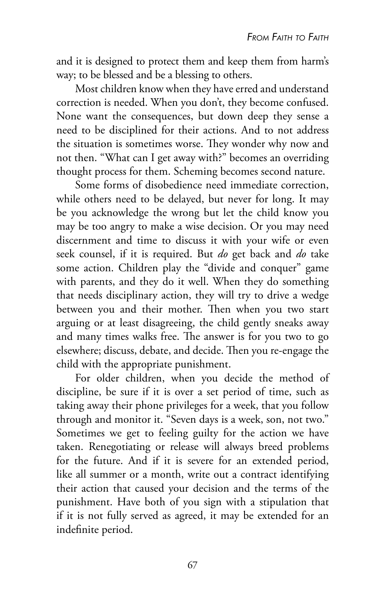and it is designed to protect them and keep them from harm's way; to be blessed and be a blessing to others.

Most children know when they have erred and understand correction is needed. When you don't, they become confused. None want the consequences, but down deep they sense a need to be disciplined for their actions. And to not address the situation is sometimes worse. They wonder why now and not then. "What can I get away with?" becomes an overriding thought process for them. Scheming becomes second nature.

Some forms of disobedience need immediate correction, while others need to be delayed, but never for long. It may be you acknowledge the wrong but let the child know you may be too angry to make a wise decision. Or you may need discernment and time to discuss it with your wife or even seek counsel, if it is required. But *do* get back and *do* take some action. Children play the "divide and conquer" game with parents, and they do it well. When they do something that needs disciplinary action, they will try to drive a wedge between you and their mother. Then when you two start arguing or at least disagreeing, the child gently sneaks away and many times walks free. The answer is for you two to go elsewhere; discuss, debate, and decide. Then you re-engage the child with the appropriate punishment.

For older children, when you decide the method of discipline, be sure if it is over a set period of time, such as taking away their phone privileges for a week, that you follow through and monitor it. "Seven days is a week, son, not two." Sometimes we get to feeling guilty for the action we have taken. Renegotiating or release will always breed problems for the future. And if it is severe for an extended period, like all summer or a month, write out a contract identifying their action that caused your decision and the terms of the punishment. Have both of you sign with a stipulation that if it is not fully served as agreed, it may be extended for an indefinite period.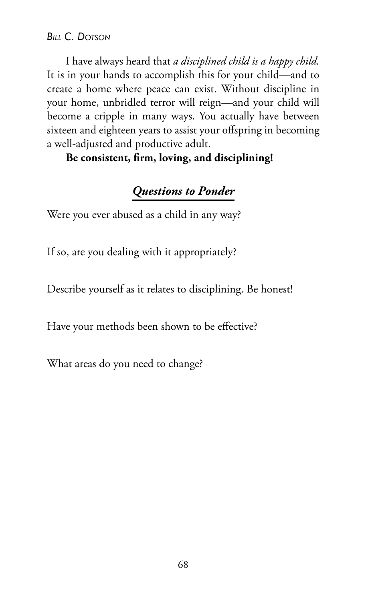I have always heard that *a disciplined child is a happy child.*  It is in your hands to accomplish this for your child—and to create a home where peace can exist. Without discipline in your home, unbridled terror will reign—and your child will become a cripple in many ways. You actually have between sixteen and eighteen years to assist your offspring in becoming a well-adjusted and productive adult.

Be consistent, firm, loving, and disciplining!

## *Questions to Ponder*

Were you ever abused as a child in any way?

If so, are you dealing with it appropriately?

Describe yourself as it relates to disciplining. Be honest!

Have your methods been shown to be effective?

What areas do you need to change?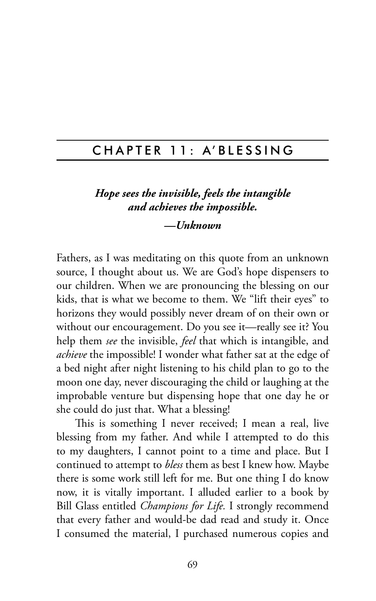#### CHAPTER 11: A'BLESSING

#### *Hope sees the invisible, feels the intangible and achieves the impossible. —Unknown*

Fathers, as I was meditating on this quote from an unknown source, I thought about us. We are God's hope dispensers to our children. When we are pronouncing the blessing on our kids, that is what we become to them. We "lift their eyes" to horizons they would possibly never dream of on their own or without our encouragement. Do you see it—really see it? You help them *see* the invisible, *feel* that which is intangible, and *achieve* the impossible! I wonder what father sat at the edge of a bed night after night listening to his child plan to go to the moon one day, never discouraging the child or laughing at the improbable venture but dispensing hope that one day he or she could do just that. What a blessing!

This is something I never received; I mean a real, live blessing from my father. And while I attempted to do this to my daughters, I cannot point to a time and place. But I continued to attempt to *bless* them as best I knew how. Maybe there is some work still left for me. But one thing I do know now, it is vitally important. I alluded earlier to a book by Bill Glass entitled *Champions for Life.* I strongly recommend that every father and would-be dad read and study it. Once I consumed the material, I purchased numerous copies and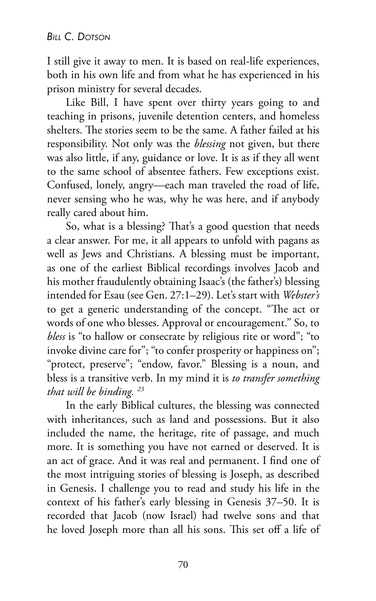I still give it away to men. It is based on real-life experiences, both in his own life and from what he has experienced in his prison ministry for several decades.

Like Bill, I have spent over thirty years going to and teaching in prisons, juvenile detention centers, and homeless shelters. The stories seem to be the same. A father failed at his responsibility. Not only was the *blessing* not given, but there was also little, if any, guidance or love. It is as if they all went to the same school of absentee fathers. Few exceptions exist. Confused, lonely, angry—each man traveled the road of life, never sensing who he was, why he was here, and if anybody really cared about him.

So, what is a blessing? That's a good question that needs a clear answer. For me, it all appears to unfold with pagans as well as Jews and Christians. A blessing must be important, as one of the earliest Biblical recordings involves Jacob and his mother fraudulently obtaining Isaac's (the father's) blessing intended for Esau (see Gen. 27:1–29). Let's start with *Webster's* to get a generic understanding of the concept. "The act or words of one who blesses. Approval or encouragement." So, to *bless* is "to hallow or consecrate by religious rite or word"; "to invoke divine care for"; "to confer prosperity or happiness on"; "protect, preserve"; "endow, favor." Blessing is a noun, and bless is a transitive verb. In my mind it is *to transfer something that will be binding. 23*

In the early Biblical cultures, the blessing was connected with inheritances, such as land and possessions. But it also included the name, the heritage, rite of passage, and much more. It is something you have not earned or deserved. It is an act of grace. And it was real and permanent. I find one of the most intriguing stories of blessing is Joseph, as described in Genesis. I challenge you to read and study his life in the context of his father's early blessing in Genesis 37–50. It is recorded that Jacob (now Israel) had twelve sons and that he loved Joseph more than all his sons. This set off a life of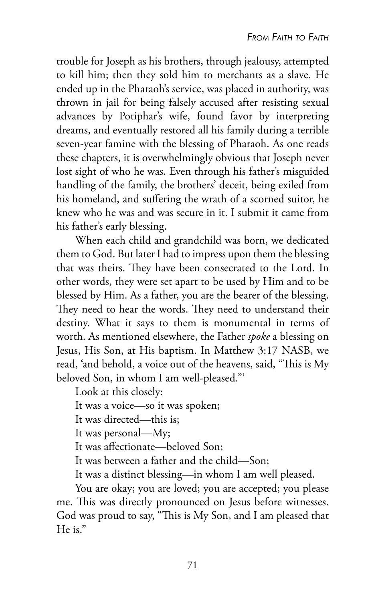trouble for Joseph as his brothers, through jealousy, attempted to kill him; then they sold him to merchants as a slave. He ended up in the Pharaoh's service, was placed in authority, was thrown in jail for being falsely accused after resisting sexual advances by Potiphar's wife, found favor by interpreting dreams, and eventually restored all his family during a terrible seven-year famine with the blessing of Pharaoh. As one reads these chapters, it is overwhelmingly obvious that Joseph never lost sight of who he was. Even through his father's misguided handling of the family, the brothers' deceit, being exiled from his homeland, and suffering the wrath of a scorned suitor, he knew who he was and was secure in it. I submit it came from his father's early blessing.

When each child and grandchild was born, we dedicated them to God. But later I had to impress upon them the blessing that was theirs. They have been consecrated to the Lord. In other words, they were set apart to be used by Him and to be blessed by Him. As a father, you are the bearer of the blessing. They need to hear the words. They need to understand their destiny. What it says to them is monumental in terms of worth. As mentioned elsewhere, the Father *spoke* a blessing on Jesus, His Son, at His baptism. In Matthew 3:17 NASB, we read, 'and behold, a voice out of the heavens, said, "This is My beloved Son, in whom I am well-pleased."'

Look at this closely:

It was a voice—so it was spoken;

It was directed—this is;

It was personal—My;

It was affectionate—beloved Son:

It was between a father and the child—Son;

It was a distinct blessing—in whom I am well pleased.

You are okay; you are loved; you are accepted; you please me. This was directly pronounced on Jesus before witnesses. God was proud to say, "This is My Son, and I am pleased that He is."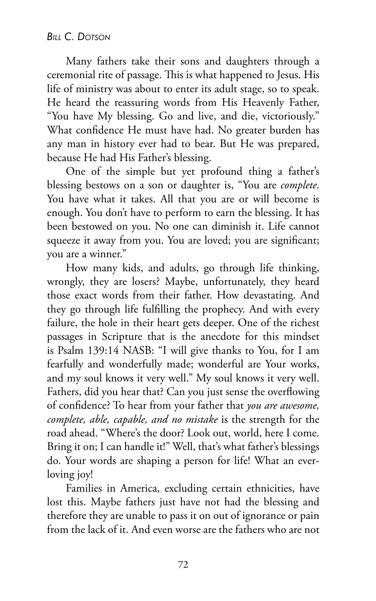Many fathers take their sons and daughters through a ceremonial rite of passage. This is what happened to Jesus. His life of ministry was about to enter its adult stage, so to speak. He heard the reassuring words from His Heavenly Father, "You have My blessing. Go and live, and die, victoriously." What confidence He must have had. No greater burden has any man in history ever had to bear. But He was prepared, because He had His Father's blessing.

One of the simple but yet profound thing a father's blessing bestows on a son or daughter is, "You are *complete*. You have what it takes. All that you are or will become is enough. You don't have to perform to earn the blessing. It has been bestowed on you. No one can diminish it. Life cannot squeeze it away from you. You are loved; you are significant; you are a winner."

How many kids, and adults, go through life thinking, wrongly, they are losers? Maybe, unfortunately, they heard those exact words from their father. How devastating. And they go through life fulfilling the prophecy. And with every failure, the hole in their heart gets deeper. One of the richest passages in Scripture that is the anecdote for this mindset is Psalm 139:14 NASB: "I will give thanks to You, for I am fearfully and wonderfully made; wonderful are Your works, and my soul knows it very well." My soul knows it very well. Fathers, did you hear that? Can you just sense the overflowing of confidence? To hear from your father that *you are awesome*, *complete, able, capable, and no mistake* is the strength for the road ahead. "Where's the door? Look out, world, here I come. Bring it on; I can handle it!" Well, that's what father's blessings do. Your words are shaping a person for life! What an everloving joy!

Families in America, excluding certain ethnicities, have lost this. Maybe fathers just have not had the blessing and therefore they are unable to pass it on out of ignorance or pain from the lack of it. And even worse are the fathers who are not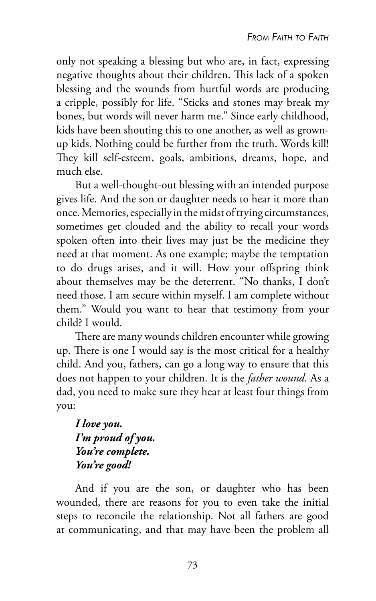only not speaking a blessing but who are, in fact, expressing negative thoughts about their children. This lack of a spoken blessing and the wounds from hurtful words are producing a cripple, possibly for life. "Sticks and stones may break my bones, but words will never harm me." Since early childhood, kids have been shouting this to one another, as well as grownup kids. Nothing could be further from the truth. Words kill! They kill self-esteem, goals, ambitions, dreams, hope, and much else.

But a well-thought-out blessing with an intended purpose gives life. And the son or daughter needs to hear it more than once. Memories, especially in the midst of trying circumstances, sometimes get clouded and the ability to recall your words spoken often into their lives may just be the medicine they need at that moment. As one example; maybe the temptation to do drugs arises, and it will. How your offspring think about themselves may be the deterrent. "No thanks, I don't need those. I am secure within myself. I am complete without them." Would you want to hear that testimony from your child? I would.

There are many wounds children encounter while growing up. There is one I would say is the most critical for a healthy child. And you, fathers, can go a long way to ensure that this does not happen to your children. It is the *father wound.* As a dad, you need to make sure they hear at least four things from you:

*I love you. I'm proud of you. You're complete. You're good!*

And if you are the son, or daughter who has been wounded, there are reasons for you to even take the initial steps to reconcile the relationship. Not all fathers are good at communicating, and that may have been the problem all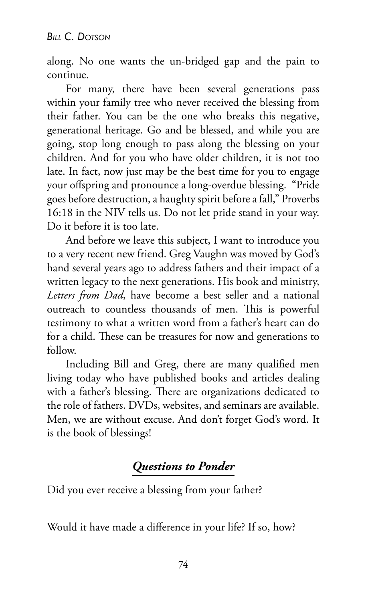along. No one wants the un-bridged gap and the pain to continue.

For many, there have been several generations pass within your family tree who never received the blessing from their father. You can be the one who breaks this negative, generational heritage. Go and be blessed, and while you are going, stop long enough to pass along the blessing on your children. And for you who have older children, it is not too late. In fact, now just may be the best time for you to engage your offspring and pronounce a long-overdue blessing. "Pride goes before destruction, a haughty spirit before a fall," Proverbs 16:18 in the NIV tells us. Do not let pride stand in your way. Do it before it is too late.

And before we leave this subject, I want to introduce you to a very recent new friend. Greg Vaughn was moved by God's hand several years ago to address fathers and their impact of a written legacy to the next generations. His book and ministry, *Letters from Dad*, have become a best seller and a national outreach to countless thousands of men. This is powerful testimony to what a written word from a father's heart can do for a child. These can be treasures for now and generations to follow.

Including Bill and Greg, there are many qualified men living today who have published books and articles dealing with a father's blessing. There are organizations dedicated to the role of fathers. DVDs, websites, and seminars are available. Men, we are without excuse. And don't forget God's word. It is the book of blessings!

# *Questions to Ponder*

Did you ever receive a blessing from your father?

Would it have made a difference in your life? If so, how?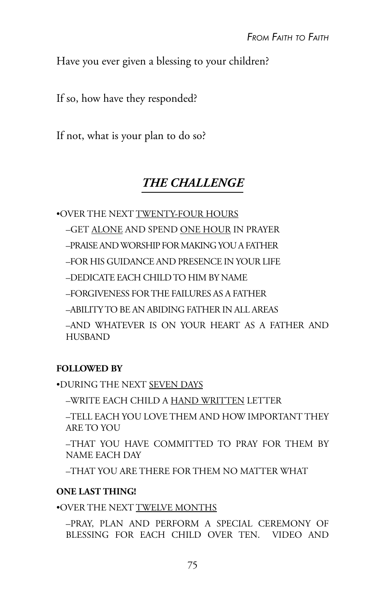Have you ever given a blessing to your children?

If so, how have they responded?

If not, what is your plan to do so?

## *THE CHALLENGE*

•OVER THE NEXT TWENTY-FOUR HOURS

–GET ALONE AND SPEND ONE HOUR IN PRAYER

–PRAISE AND WORSHIP FOR MAKING YOU A FATHER

–FOR HIS GUIDANCE AND PRESENCE IN YOUR LIFE

–DEDICATE EACH CHILD TO HIM BY NAME

–FORGIVENESS FOR THE FAILURES AS A FATHER

–ABILITY TO BE AN ABIDING FATHER IN ALL AREAS

–AND WHATEVER IS ON YOUR HEART AS A FATHER AND HUSBAND

#### **FOLLOWED BY**

•DURING THE NEXT SEVEN DAYS

–WRITE EACH CHILD A HAND WRITTEN LETTER

–TELL EACH YOU LOVE THEM AND HOW IMPORTANT THEY ARE TO YOU

–THAT YOU HAVE COMMITTED TO PRAY FOR THEM BY NAME EACH DAY

–THAT YOU ARE THERE FOR THEM NO MATTER WHAT

#### **ONE LAST THING!**

•OVER THE NEXT TWELVE MONTHS

–PRAY, PLAN AND PERFORM A SPECIAL CEREMONY OF BLESSING FOR EACH CHILD OVER TEN. VIDEO AND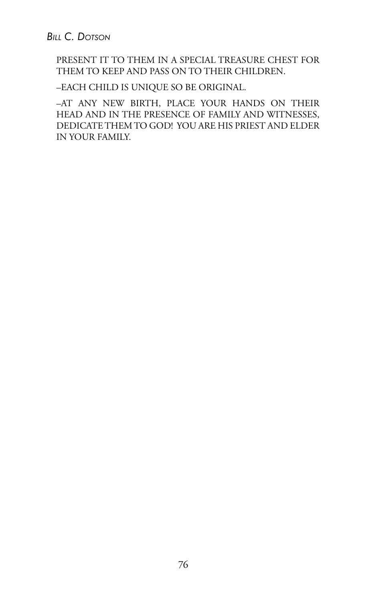*BILL C. DOTSON*

PRESENT IT TO THEM IN A SPECIAL TREASURE CHEST FOR THEM TO KEEP AND PASS ON TO THEIR CHILDREN.

–EACH CHILD IS UNIQUE SO BE ORIGINAL.

–AT ANY NEW BIRTH, PLACE YOUR HANDS ON THEIR HEAD AND IN THE PRESENCE OF FAMILY AND WITNESSES, DEDICATE THEM TO GOD! YOU ARE HIS PRIEST AND ELDER IN YOUR FAMILY.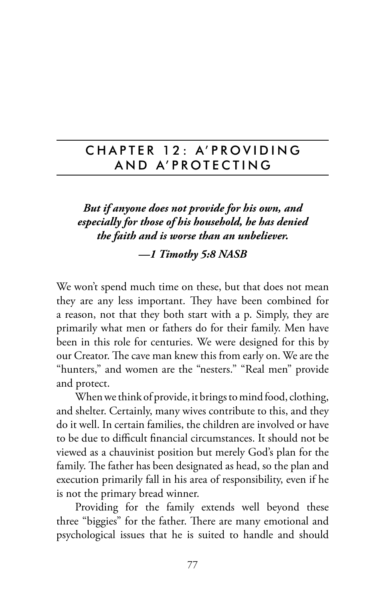# CHAPTER 12: A' PROVIDING AND A'PROTECTING

### *But if anyone does not provide for his own, and especially for those of his household, he has denied the faith and is worse than an unbeliever.*

*—1 Timothy 5:8 NASB*

We won't spend much time on these, but that does not mean they are any less important. They have been combined for a reason, not that they both start with a p. Simply, they are primarily what men or fathers do for their family. Men have been in this role for centuries. We were designed for this by our Creator. The cave man knew this from early on. We are the "hunters," and women are the "nesters." "Real men" provide and protect.

When we think of provide, it brings to mind food, clothing, and shelter. Certainly, many wives contribute to this, and they do it well. In certain families, the children are involved or have to be due to difficult financial circumstances. It should not be viewed as a chauvinist position but merely God's plan for the family. The father has been designated as head, so the plan and execution primarily fall in his area of responsibility, even if he is not the primary bread winner.

Providing for the family extends well beyond these three "biggies" for the father. There are many emotional and psychological issues that he is suited to handle and should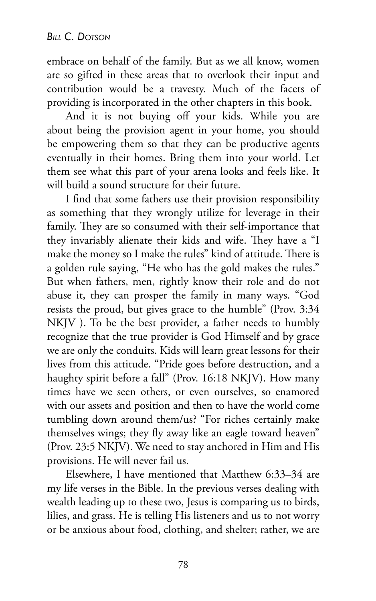embrace on behalf of the family. But as we all know, women are so gifted in these areas that to overlook their input and contribution would be a travesty. Much of the facets of providing is incorporated in the other chapters in this book.

And it is not buying off your kids. While you are about being the provision agent in your home, you should be empowering them so that they can be productive agents eventually in their homes. Bring them into your world. Let them see what this part of your arena looks and feels like. It will build a sound structure for their future.

I find that some fathers use their provision responsibility as something that they wrongly utilize for leverage in their family. They are so consumed with their self-importance that they invariably alienate their kids and wife. They have a "I make the money so I make the rules" kind of attitude. There is a golden rule saying, "He who has the gold makes the rules." But when fathers, men, rightly know their role and do not abuse it, they can prosper the family in many ways. "God resists the proud, but gives grace to the humble" (Prov. 3:34 NKJV ). To be the best provider, a father needs to humbly recognize that the true provider is God Himself and by grace we are only the conduits. Kids will learn great lessons for their lives from this attitude. "Pride goes before destruction, and a haughty spirit before a fall" (Prov. 16:18 NKJV). How many times have we seen others, or even ourselves, so enamored with our assets and position and then to have the world come tumbling down around them/us? "For riches certainly make themselves wings; they fly away like an eagle toward heaven" (Prov. 23:5 NKJV). We need to stay anchored in Him and His provisions. He will never fail us.

Elsewhere, I have mentioned that Matthew 6:33–34 are my life verses in the Bible. In the previous verses dealing with wealth leading up to these two, Jesus is comparing us to birds, lilies, and grass. He is telling His listeners and us to not worry or be anxious about food, clothing, and shelter; rather, we are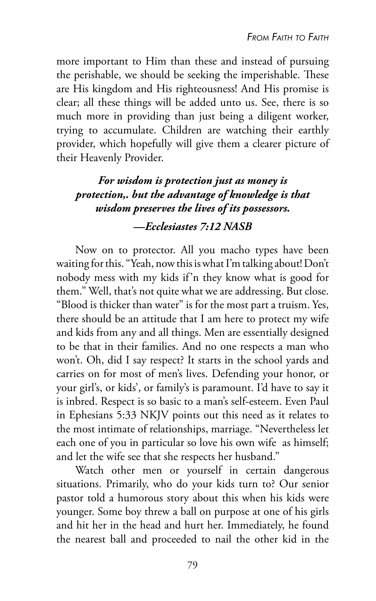more important to Him than these and instead of pursuing the perishable, we should be seeking the imperishable. These are His kingdom and His righteousness! And His promise is clear; all these things will be added unto us. See, there is so much more in providing than just being a diligent worker, trying to accumulate. Children are watching their earthly provider, which hopefully will give them a clearer picture of their Heavenly Provider.

## *For wisdom is protection just as money is protection,. but the advantage of knowledge is that wisdom preserves the lives of its possessors. —Ecclesiastes 7:12 NASB*

Now on to protector. All you macho types have been waiting for this. "Yeah, now this is what I'm talking about! Don't nobody mess with my kids if'n they know what is good for them." Well, that's not quite what we are addressing. But close. "Blood is thicker than water" is for the most part a truism. Yes, there should be an attitude that I am here to protect my wife and kids from any and all things. Men are essentially designed to be that in their families. And no one respects a man who won't. Oh, did I say respect? It starts in the school yards and carries on for most of men's lives. Defending your honor, or your girl's, or kids', or family's is paramount. I'd have to say it is inbred. Respect is so basic to a man's self-esteem. Even Paul in Ephesians 5:33 NKJV points out this need as it relates to the most intimate of relationships, marriage. "Nevertheless let each one of you in particular so love his own wife as himself; and let the wife see that she respects her husband."

Watch other men or yourself in certain dangerous situations. Primarily, who do your kids turn to? Our senior pastor told a humorous story about this when his kids were younger. Some boy threw a ball on purpose at one of his girls and hit her in the head and hurt her. Immediately, he found the nearest ball and proceeded to nail the other kid in the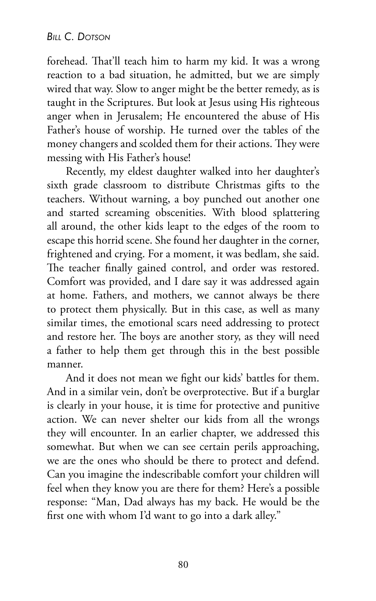forehead. That'll teach him to harm my kid. It was a wrong reaction to a bad situation, he admitted, but we are simply wired that way. Slow to anger might be the better remedy, as is taught in the Scriptures. But look at Jesus using His righteous anger when in Jerusalem; He encountered the abuse of His Father's house of worship. He turned over the tables of the money changers and scolded them for their actions. They were messing with His Father's house!

Recently, my eldest daughter walked into her daughter's sixth grade classroom to distribute Christmas gifts to the teachers. Without warning, a boy punched out another one and started screaming obscenities. With blood splattering all around, the other kids leapt to the edges of the room to escape this horrid scene. She found her daughter in the corner, frightened and crying. For a moment, it was bedlam, she said. The teacher finally gained control, and order was restored. Comfort was provided, and I dare say it was addressed again at home. Fathers, and mothers, we cannot always be there to protect them physically. But in this case, as well as many similar times, the emotional scars need addressing to protect and restore her. The boys are another story, as they will need a father to help them get through this in the best possible manner.

And it does not mean we fight our kids' battles for them. And in a similar vein, don't be overprotective. But if a burglar is clearly in your house, it is time for protective and punitive action. We can never shelter our kids from all the wrongs they will encounter. In an earlier chapter, we addressed this somewhat. But when we can see certain perils approaching, we are the ones who should be there to protect and defend. Can you imagine the indescribable comfort your children will feel when they know you are there for them? Here's a possible response: "Man, Dad always has my back. He would be the first one with whom I'd want to go into a dark alley."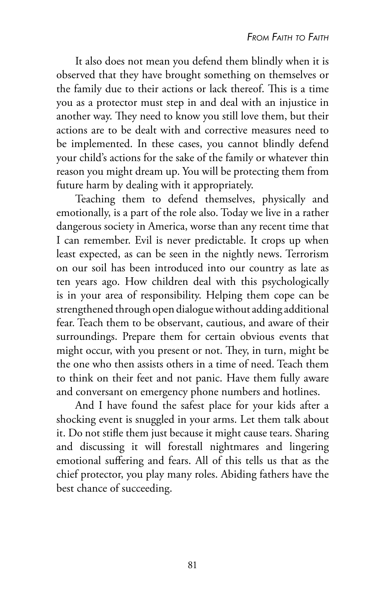It also does not mean you defend them blindly when it is observed that they have brought something on themselves or the family due to their actions or lack thereof. This is a time you as a protector must step in and deal with an injustice in another way. They need to know you still love them, but their actions are to be dealt with and corrective measures need to be implemented. In these cases, you cannot blindly defend your child's actions for the sake of the family or whatever thin reason you might dream up. You will be protecting them from future harm by dealing with it appropriately.

Teaching them to defend themselves, physically and emotionally, is a part of the role also. Today we live in a rather dangerous society in America, worse than any recent time that I can remember. Evil is never predictable. It crops up when least expected, as can be seen in the nightly news. Terrorism on our soil has been introduced into our country as late as ten years ago. How children deal with this psychologically is in your area of responsibility. Helping them cope can be strengthened through open dialogue without adding additional fear. Teach them to be observant, cautious, and aware of their surroundings. Prepare them for certain obvious events that might occur, with you present or not. They, in turn, might be the one who then assists others in a time of need. Teach them to think on their feet and not panic. Have them fully aware and conversant on emergency phone numbers and hotlines.

And I have found the safest place for your kids after a shocking event is snuggled in your arms. Let them talk about it. Do not stifle them just because it might cause tears. Sharing and discussing it will forestall nightmares and lingering emotional suffering and fears. All of this tells us that as the chief protector, you play many roles. Abiding fathers have the best chance of succeeding.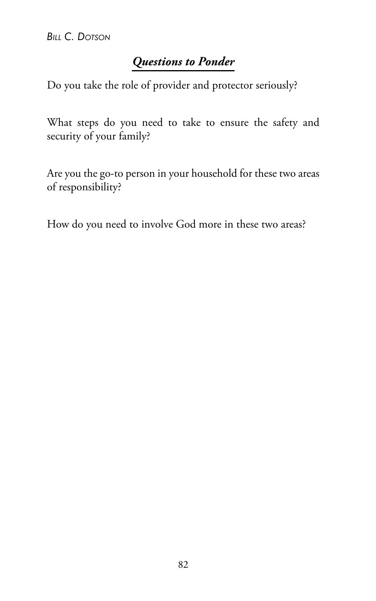*BILL C. DOTSON*

# *Questions to Ponder*

Do you take the role of provider and protector seriously?

What steps do you need to take to ensure the safety and security of your family?

Are you the go-to person in your household for these two areas of responsibility?

How do you need to involve God more in these two areas?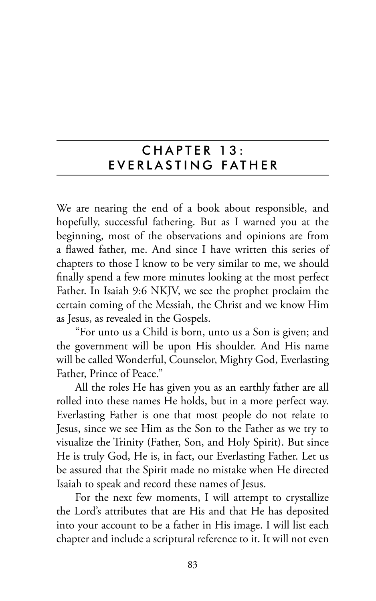# $CHAPTER$  13: EVERLASTING FATHER

We are nearing the end of a book about responsible, and hopefully, successful fathering. But as I warned you at the beginning, most of the observations and opinions are from a flawed father, me. And since I have written this series of chapters to those I know to be very similar to me, we should finally spend a few more minutes looking at the most perfect Father. In Isaiah 9:6 NKJV, we see the prophet proclaim the certain coming of the Messiah, the Christ and we know Him as Jesus, as revealed in the Gospels.

"For unto us a Child is born, unto us a Son is given; and the government will be upon His shoulder. And His name will be called Wonderful, Counselor, Mighty God, Everlasting Father, Prince of Peace."

All the roles He has given you as an earthly father are all rolled into these names He holds, but in a more perfect way. Everlasting Father is one that most people do not relate to Jesus, since we see Him as the Son to the Father as we try to visualize the Trinity (Father, Son, and Holy Spirit). But since He is truly God, He is, in fact, our Everlasting Father. Let us be assured that the Spirit made no mistake when He directed Isaiah to speak and record these names of Jesus.

For the next few moments, I will attempt to crystallize the Lord's attributes that are His and that He has deposited into your account to be a father in His image. I will list each chapter and include a scriptural reference to it. It will not even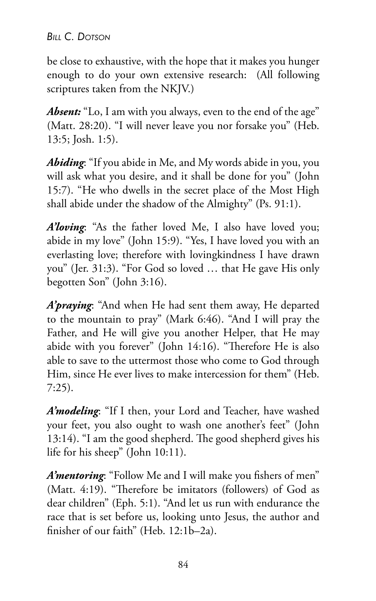### *BILL C. DOTSON*

be close to exhaustive, with the hope that it makes you hunger enough to do your own extensive research: (All following scriptures taken from the NKJV.)

*Absent:* "Lo, I am with you always, even to the end of the age" (Matt. 28:20). "I will never leave you nor forsake you" (Heb. 13:5; Josh. 1:5).

*Abiding*: "If you abide in Me, and My words abide in you, you will ask what you desire, and it shall be done for you" (John 15:7). "He who dwells in the secret place of the Most High shall abide under the shadow of the Almighty" (Ps. 91:1).

*A'loving*: "As the father loved Me, I also have loved you; abide in my love" (John 15:9). "Yes, I have loved you with an everlasting love; therefore with lovingkindness I have drawn you" (Jer. 31:3). "For God so loved … that He gave His only begotten Son" (John 3:16).

*A'praying*: "And when He had sent them away, He departed to the mountain to pray" (Mark 6:46). "And I will pray the Father, and He will give you another Helper, that He may abide with you forever" (John  $14:16$ ). "Therefore He is also able to save to the uttermost those who come to God through Him, since He ever lives to make intercession for them" (Heb. 7:25).

*A'modeling*: "If I then, your Lord and Teacher, have washed your feet, you also ought to wash one another's feet" (John 13:14). "I am the good shepherd. The good shepherd gives his life for his sheep" (John 10:11).

*A'mentoring*: "Follow Me and I will make you fishers of men" (Matt. 4:19). "Therefore be imitators (followers) of God as dear children" (Eph. 5:1). "And let us run with endurance the race that is set before us, looking unto Jesus, the author and finisher of our faith" (Heb. 12:1b-2a).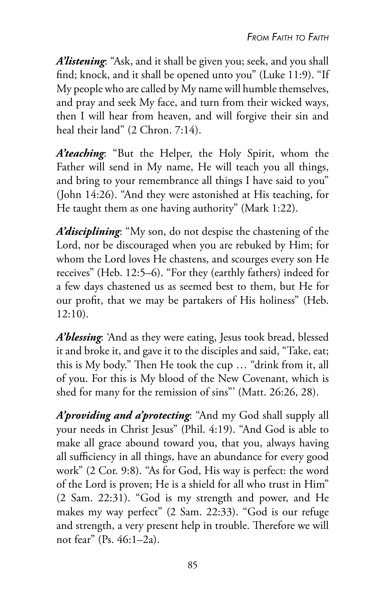*A'listening*: "Ask, and it shall be given you; seek, and you shall find; knock, and it shall be opened unto you" (Luke 11:9). "If My people who are called by My name will humble themselves, and pray and seek My face, and turn from their wicked ways, then I will hear from heaven, and will forgive their sin and heal their land" (2 Chron. 7:14).

*A'teaching*: "But the Helper, the Holy Spirit, whom the Father will send in My name, He will teach you all things, and bring to your remembrance all things I have said to you" (John 14:26). "And they were astonished at His teaching, for He taught them as one having authority" (Mark 1:22).

*A'disciplining*: "My son, do not despise the chastening of the Lord, nor be discouraged when you are rebuked by Him; for whom the Lord loves He chastens, and scourges every son He receives" (Heb. 12:5–6). "For they (earthly fathers) indeed for a few days chastened us as seemed best to them, but He for our profit, that we may be partakers of His holiness" (Heb. 12:10).

*A'blessing*: 'And as they were eating, Jesus took bread, blessed it and broke it, and gave it to the disciples and said, "Take, eat; this is My body." Then He took the cup ... "drink from it, all of you. For this is My blood of the New Covenant, which is shed for many for the remission of sins"' (Matt. 26:26, 28).

*A'providing and a'protecting*: "And my God shall supply all your needs in Christ Jesus" (Phil. 4:19). "And God is able to make all grace abound toward you, that you, always having all sufficiency in all things, have an abundance for every good work" (2 Cor. 9:8). "As for God, His way is perfect: the word of the Lord is proven; He is a shield for all who trust in Him" (2 Sam. 22:31). "God is my strength and power, and He makes my way perfect" (2 Sam. 22:33). "God is our refuge and strength, a very present help in trouble. Therefore we will not fear" (Ps. 46:1–2a).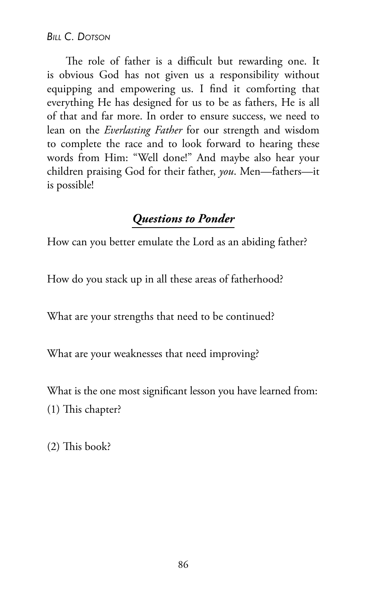The role of father is a difficult but rewarding one. It is obvious God has not given us a responsibility without equipping and empowering us. I find it comforting that everything He has designed for us to be as fathers, He is all of that and far more. In order to ensure success, we need to lean on the *Everlasting Father* for our strength and wisdom to complete the race and to look forward to hearing these words from Him: "Well done!" And maybe also hear your children praising God for their father, *you*. Men—fathers—it is possible!

## *Questions to Ponder*

How can you better emulate the Lord as an abiding father?

How do you stack up in all these areas of fatherhood?

What are your strengths that need to be continued?

What are your weaknesses that need improving?

What is the one most significant lesson you have learned from:

 $(1)$  This chapter?

 $(2)$  This book?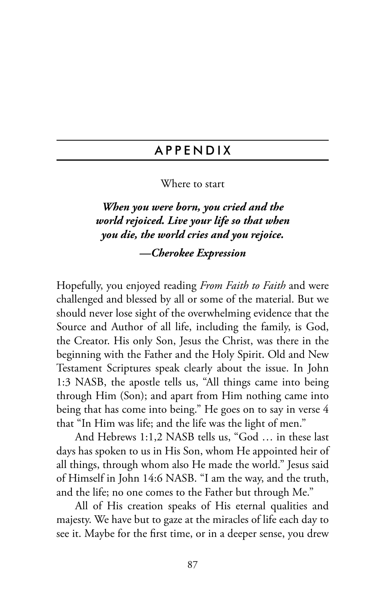## APPENDIX

#### Where to start

### *When you were born, you cried and the world rejoiced. Live your life so that when you die, the world cries and you rejoice.*

*—Cherokee Expression*

Hopefully, you enjoyed reading *From Faith to Faith* and were challenged and blessed by all or some of the material. But we should never lose sight of the overwhelming evidence that the Source and Author of all life, including the family, is God, the Creator. His only Son, Jesus the Christ, was there in the beginning with the Father and the Holy Spirit. Old and New Testament Scriptures speak clearly about the issue. In John 1:3 NASB, the apostle tells us, "All things came into being through Him (Son); and apart from Him nothing came into being that has come into being." He goes on to say in verse 4 that "In Him was life; and the life was the light of men."

And Hebrews 1:1,2 NASB tells us, "God … in these last days has spoken to us in His Son, whom He appointed heir of all things, through whom also He made the world." Jesus said of Himself in John 14:6 NASB. "I am the way, and the truth, and the life; no one comes to the Father but through Me."

All of His creation speaks of His eternal qualities and majesty. We have but to gaze at the miracles of life each day to see it. Maybe for the first time, or in a deeper sense, you drew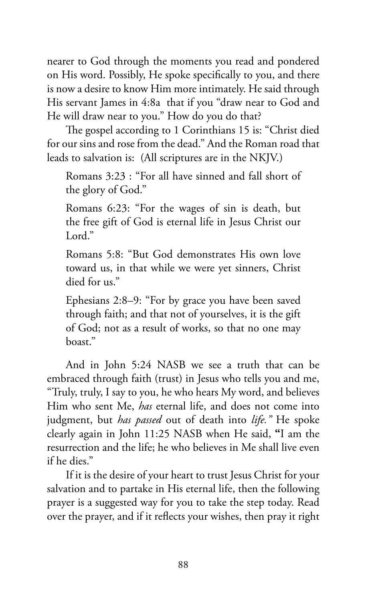nearer to God through the moments you read and pondered on His word. Possibly, He spoke specifically to you, and there is now a desire to know Him more intimately. He said through His servant James in 4:8a that if you "draw near to God and He will draw near to you." How do you do that?

The gospel according to 1 Corinthians 15 is: "Christ died for our sins and rose from the dead." And the Roman road that leads to salvation is: (All scriptures are in the NKJV.)

Romans 3:23 : "For all have sinned and fall short of the glory of God."

Romans 6:23: "For the wages of sin is death, but the free gift of God is eternal life in Jesus Christ our Lord."

Romans 5:8: "But God demonstrates His own love toward us, in that while we were yet sinners, Christ died for us."

Ephesians 2:8–9: "For by grace you have been saved through faith; and that not of yourselves, it is the gift of God; not as a result of works, so that no one may boast."

And in John 5:24 NASB we see a truth that can be embraced through faith (trust) in Jesus who tells you and me, "Truly, truly, I say to you, he who hears My word, and believes Him who sent Me, *has* eternal life, and does not come into judgment, but *has passed* out of death into *life."* He spoke clearly again in John 11:25 NASB when He said, **"**I am the resurrection and the life; he who believes in Me shall live even if he dies."

If it is the desire of your heart to trust Jesus Christ for your salvation and to partake in His eternal life, then the following prayer is a suggested way for you to take the step today. Read over the prayer, and if it reflects your wishes, then pray it right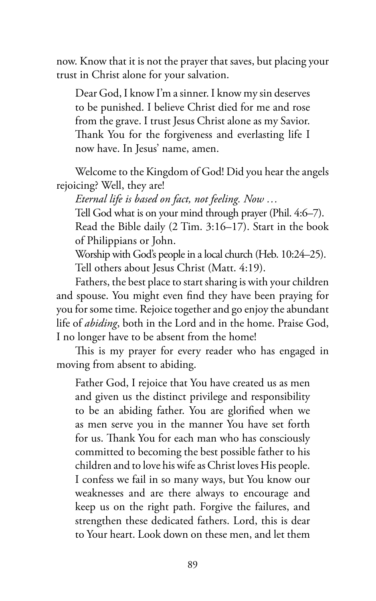now. Know that it is not the prayer that saves, but placing your trust in Christ alone for your salvation.

Dear God, I know I'm a sinner. I know my sin deserves to be punished. I believe Christ died for me and rose from the grave. I trust Jesus Christ alone as my Savior. Thank You for the forgiveness and everlasting life I now have. In Jesus' name, amen.

Welcome to the Kingdom of God! Did you hear the angels rejoicing? Well, they are!

*Eternal life is based on fact, not feeling. Now …*

Tell God what is on your mind through prayer (Phil. 4:6–7). Read the Bible daily (2 Tim. 3:16–17). Start in the book of Philippians or John.

Worship with God's people in a local church (Heb. 10:24–25). Tell others about Jesus Christ (Matt. 4:19).

Fathers, the best place to start sharing is with your children and spouse. You might even find they have been praying for you for some time. Rejoice together and go enjoy the abundant life of *abiding*, both in the Lord and in the home. Praise God, I no longer have to be absent from the home!

This is my prayer for every reader who has engaged in moving from absent to abiding.

Father God, I rejoice that You have created us as men and given us the distinct privilege and responsibility to be an abiding father. You are glorified when we as men serve you in the manner You have set forth for us. Thank You for each man who has consciously committed to becoming the best possible father to his children and to love his wife as Christ loves His people. I confess we fail in so many ways, but You know our weaknesses and are there always to encourage and keep us on the right path. Forgive the failures, and strengthen these dedicated fathers. Lord, this is dear to Your heart. Look down on these men, and let them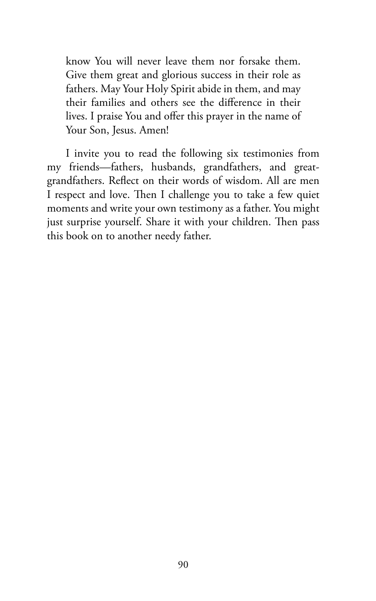know You will never leave them nor forsake them. Give them great and glorious success in their role as fathers. May Your Holy Spirit abide in them, and may their families and others see the difference in their lives. I praise You and offer this prayer in the name of Your Son, Jesus. Amen!

I invite you to read the following six testimonies from my friends—fathers, husbands, grandfathers, and greatgrandfathers. Reflect on their words of wisdom. All are men I respect and love. Then I challenge you to take a few quiet moments and write your own testimony as a father. You might just surprise yourself. Share it with your children. Then pass this book on to another needy father.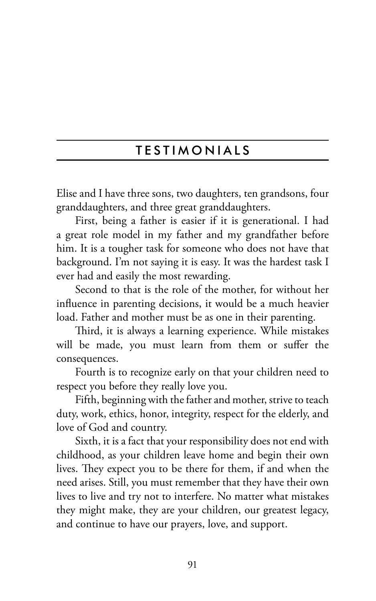## **TESTIMONIALS**

Elise and I have three sons, two daughters, ten grandsons, four granddaughters, and three great granddaughters.

First, being a father is easier if it is generational. I had a great role model in my father and my grandfather before him. It is a tougher task for someone who does not have that background. I'm not saying it is easy. It was the hardest task I ever had and easily the most rewarding.

Second to that is the role of the mother, for without her influence in parenting decisions, it would be a much heavier load. Father and mother must be as one in their parenting.

Third, it is always a learning experience. While mistakes will be made, you must learn from them or suffer the consequences.

Fourth is to recognize early on that your children need to respect you before they really love you.

Fifth, beginning with the father and mother, strive to teach duty, work, ethics, honor, integrity, respect for the elderly, and love of God and country.

Sixth, it is a fact that your responsibility does not end with childhood, as your children leave home and begin their own lives. They expect you to be there for them, if and when the need arises. Still, you must remember that they have their own lives to live and try not to interfere. No matter what mistakes they might make, they are your children, our greatest legacy, and continue to have our prayers, love, and support.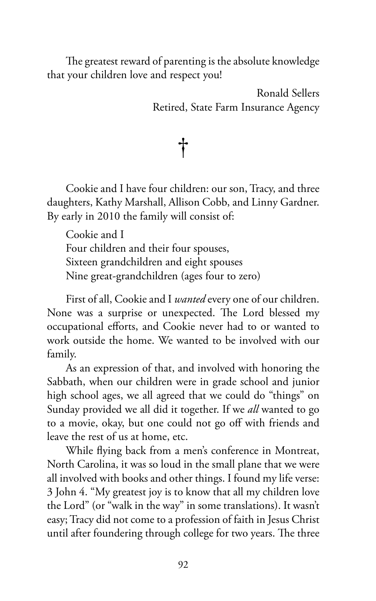The greatest reward of parenting is the absolute knowledge that your children love and respect you!

> Ronald Sellers Retired, State Farm Insurance Agency

# †

Cookie and I have four children: our son, Tracy, and three daughters, Kathy Marshall, Allison Cobb, and Linny Gardner. By early in 2010 the family will consist of:

Cookie and I Four children and their four spouses, Sixteen grandchildren and eight spouses Nine great-grandchildren (ages four to zero)

First of all, Cookie and I *wanted* every one of our children. None was a surprise or unexpected. The Lord blessed my occupational efforts, and Cookie never had to or wanted to work outside the home. We wanted to be involved with our family.

As an expression of that, and involved with honoring the Sabbath, when our children were in grade school and junior high school ages, we all agreed that we could do "things" on Sunday provided we all did it together. If we *all* wanted to go to a movie, okay, but one could not go off with friends and leave the rest of us at home, etc.

While flying back from a men's conference in Montreat, North Carolina, it was so loud in the small plane that we were all involved with books and other things. I found my life verse: 3 John 4. "My greatest joy is to know that all my children love the Lord" (or "walk in the way" in some translations). It wasn't easy; Tracy did not come to a profession of faith in Jesus Christ until after foundering through college for two years. The three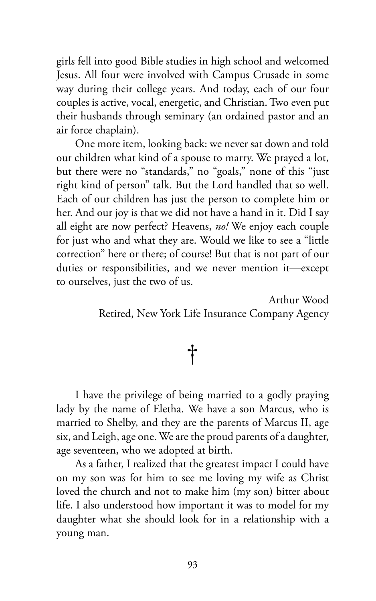girls fell into good Bible studies in high school and welcomed Jesus. All four were involved with Campus Crusade in some way during their college years. And today, each of our four couples is active, vocal, energetic, and Christian. Two even put their husbands through seminary (an ordained pastor and an air force chaplain).

One more item, looking back: we never sat down and told our children what kind of a spouse to marry. We prayed a lot, but there were no "standards," no "goals," none of this "just right kind of person" talk. But the Lord handled that so well. Each of our children has just the person to complete him or her. And our joy is that we did not have a hand in it. Did I say all eight are now perfect? Heavens, *no!* We enjoy each couple for just who and what they are. Would we like to see a "little correction" here or there; of course! But that is not part of our duties or responsibilities, and we never mention it—except to ourselves, just the two of us.

> Arthur Wood Retired, New York Life Insurance Company Agency

# †

I have the privilege of being married to a godly praying lady by the name of Eletha. We have a son Marcus, who is married to Shelby, and they are the parents of Marcus II, age six, and Leigh, age one. We are the proud parents of a daughter, age seventeen, who we adopted at birth.

As a father, I realized that the greatest impact I could have on my son was for him to see me loving my wife as Christ loved the church and not to make him (my son) bitter about life. I also understood how important it was to model for my daughter what she should look for in a relationship with a young man.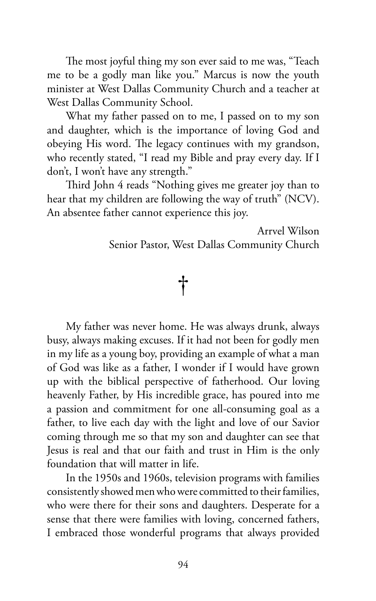The most joyful thing my son ever said to me was, "Teach me to be a godly man like you." Marcus is now the youth minister at West Dallas Community Church and a teacher at West Dallas Community School.

What my father passed on to me, I passed on to my son and daughter, which is the importance of loving God and obeying His word. The legacy continues with my grandson, who recently stated, "I read my Bible and pray every day. If I don't, I won't have any strength."

Third John 4 reads "Nothing gives me greater joy than to hear that my children are following the way of truth" (NCV). An absentee father cannot experience this joy.

> Arrvel Wilson Senior Pastor, West Dallas Community Church

# †

My father was never home. He was always drunk, always busy, always making excuses. If it had not been for godly men in my life as a young boy, providing an example of what a man of God was like as a father, I wonder if I would have grown up with the biblical perspective of fatherhood. Our loving heavenly Father, by His incredible grace, has poured into me a passion and commitment for one all-consuming goal as a father, to live each day with the light and love of our Savior coming through me so that my son and daughter can see that Jesus is real and that our faith and trust in Him is the only foundation that will matter in life.

In the 1950s and 1960s, television programs with families consistently showed men who were committed to their families, who were there for their sons and daughters. Desperate for a sense that there were families with loving, concerned fathers, I embraced those wonderful programs that always provided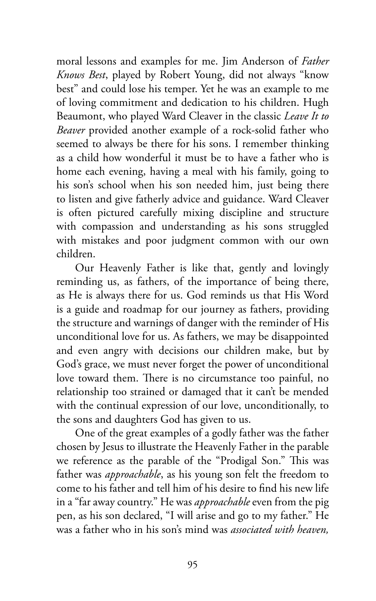moral lessons and examples for me. Jim Anderson of *Father Knows Best*, played by Robert Young, did not always "know best" and could lose his temper. Yet he was an example to me of loving commitment and dedication to his children. Hugh Beaumont, who played Ward Cleaver in the classic *Leave It to Beaver* provided another example of a rock-solid father who seemed to always be there for his sons. I remember thinking as a child how wonderful it must be to have a father who is home each evening, having a meal with his family, going to his son's school when his son needed him, just being there to listen and give fatherly advice and guidance. Ward Cleaver is often pictured carefully mixing discipline and structure with compassion and understanding as his sons struggled with mistakes and poor judgment common with our own children.

Our Heavenly Father is like that, gently and lovingly reminding us, as fathers, of the importance of being there, as He is always there for us. God reminds us that His Word is a guide and roadmap for our journey as fathers, providing the structure and warnings of danger with the reminder of His unconditional love for us. As fathers, we may be disappointed and even angry with decisions our children make, but by God's grace, we must never forget the power of unconditional love toward them. There is no circumstance too painful, no relationship too strained or damaged that it can't be mended with the continual expression of our love, unconditionally, to the sons and daughters God has given to us.

One of the great examples of a godly father was the father chosen by Jesus to illustrate the Heavenly Father in the parable we reference as the parable of the "Prodigal Son." This was father was *approachable*, as his young son felt the freedom to come to his father and tell him of his desire to find his new life in a "far away country." He was *approachable* even from the pig pen, as his son declared, "I will arise and go to my father." He was a father who in his son's mind was *associated with heaven,*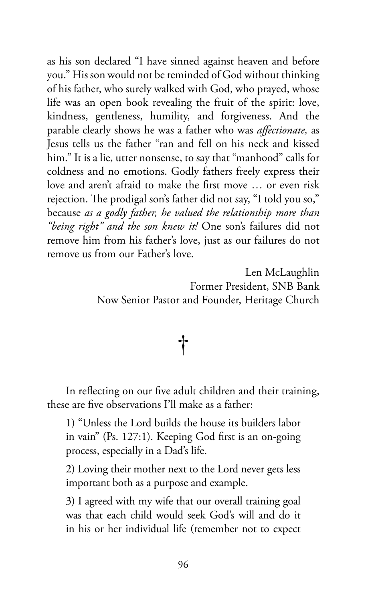as his son declared "I have sinned against heaven and before you." His son would not be reminded of God without thinking of his father, who surely walked with God, who prayed, whose life was an open book revealing the fruit of the spirit: love, kindness, gentleness, humility, and forgiveness. And the parable clearly shows he was a father who was *affectionate*, as Jesus tells us the father "ran and fell on his neck and kissed him." It is a lie, utter nonsense, to say that "manhood" calls for coldness and no emotions. Godly fathers freely express their love and aren't afraid to make the first move ... or even risk rejection. The prodigal son's father did not say, "I told you so," because *as a godly father, he valued the relationship more than "being right" and the son knew it!* One son's failures did not remove him from his father's love, just as our failures do not remove us from our Father's love.

> Len McLaughlin Former President, SNB Bank Now Senior Pastor and Founder, Heritage Church

> > †

In reflecting on our five adult children and their training, these are five observations I'll make as a father:

1) "Unless the Lord builds the house its builders labor in vain" (Ps. 127:1). Keeping God first is an on-going process, especially in a Dad's life.

2) Loving their mother next to the Lord never gets less important both as a purpose and example.

3) I agreed with my wife that our overall training goal was that each child would seek God's will and do it in his or her individual life (remember not to expect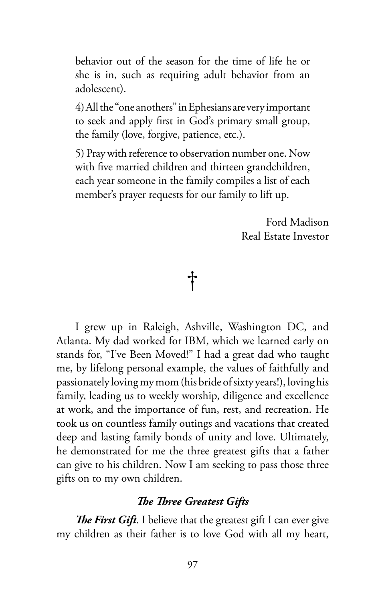behavior out of the season for the time of life he or she is in, such as requiring adult behavior from an adolescent).

4) All the "one anothers" in Ephesians are very important to seek and apply first in God's primary small group, the family (love, forgive, patience, etc.).

5) Pray with reference to observation number one. Now with five married children and thirteen grandchildren, each year someone in the family compiles a list of each member's prayer requests for our family to lift up.

> Ford Madison Real Estate Investor

# †

I grew up in Raleigh, Ashville, Washington DC, and Atlanta. My dad worked for IBM, which we learned early on stands for, "I've Been Moved!" I had a great dad who taught me, by lifelong personal example, the values of faithfully and passionately loving my mom (his bride of sixty years!), loving his family, leading us to weekly worship, diligence and excellence at work, and the importance of fun, rest, and recreation. He took us on countless family outings and vacations that created deep and lasting family bonds of unity and love. Ultimately, he demonstrated for me the three greatest gifts that a father can give to his children. Now I am seeking to pass those three gifts on to my own children.

### **The Three Greatest Gifts**

**The First Gift**. I believe that the greatest gift I can ever give my children as their father is to love God with all my heart,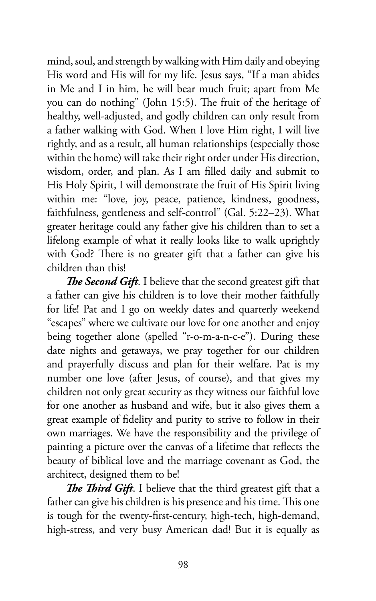mind, soul, and strength by walking with Him daily and obeying His word and His will for my life. Jesus says, "If a man abides in Me and I in him, he will bear much fruit; apart from Me you can do nothing" (John 15:5). The fruit of the heritage of healthy, well-adjusted, and godly children can only result from a father walking with God. When I love Him right, I will live rightly, and as a result, all human relationships (especially those within the home) will take their right order under His direction, wisdom, order, and plan. As I am filled daily and submit to His Holy Spirit, I will demonstrate the fruit of His Spirit living within me: "love, joy, peace, patience, kindness, goodness, faithfulness, gentleness and self-control" (Gal. 5:22–23). What greater heritage could any father give his children than to set a lifelong example of what it really looks like to walk uprightly with God? There is no greater gift that a father can give his children than this!

**The Second Gift**. I believe that the second greatest gift that a father can give his children is to love their mother faithfully for life! Pat and I go on weekly dates and quarterly weekend "escapes" where we cultivate our love for one another and enjoy being together alone (spelled "r-o-m-a-n-c-e"). During these date nights and getaways, we pray together for our children and prayerfully discuss and plan for their welfare. Pat is my number one love (after Jesus, of course), and that gives my children not only great security as they witness our faithful love for one another as husband and wife, but it also gives them a great example of fidelity and purity to strive to follow in their own marriages. We have the responsibility and the privilege of painting a picture over the canvas of a lifetime that reflects the beauty of biblical love and the marriage covenant as God, the architect, designed them to be!

**The Third Gift**. I believe that the third greatest gift that a father can give his children is his presence and his time. This one is tough for the twenty-first-century, high-tech, high-demand, high-stress, and very busy American dad! But it is equally as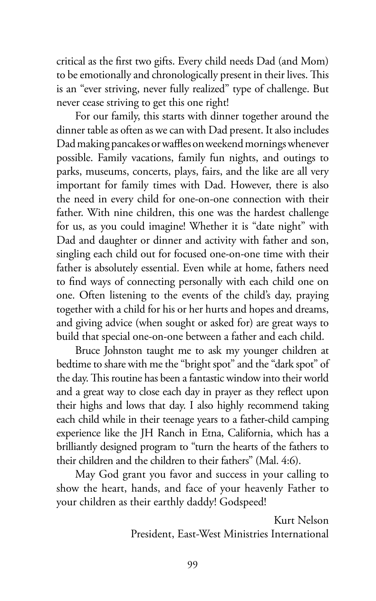critical as the first two gifts. Every child needs Dad (and Mom) to be emotionally and chronologically present in their lives. This is an "ever striving, never fully realized" type of challenge. But never cease striving to get this one right!

For our family, this starts with dinner together around the dinner table as often as we can with Dad present. It also includes Dad making pancakes or waffles on weekend mornings whenever possible. Family vacations, family fun nights, and outings to parks, museums, concerts, plays, fairs, and the like are all very important for family times with Dad. However, there is also the need in every child for one-on-one connection with their father. With nine children, this one was the hardest challenge for us, as you could imagine! Whether it is "date night" with Dad and daughter or dinner and activity with father and son, singling each child out for focused one-on-one time with their father is absolutely essential. Even while at home, fathers need to find ways of connecting personally with each child one on one. Often listening to the events of the child's day, praying together with a child for his or her hurts and hopes and dreams, and giving advice (when sought or asked for) are great ways to build that special one-on-one between a father and each child.

Bruce Johnston taught me to ask my younger children at bedtime to share with me the "bright spot" and the "dark spot" of the day. This routine has been a fantastic window into their world and a great way to close each day in prayer as they reflect upon their highs and lows that day. I also highly recommend taking each child while in their teenage years to a father-child camping experience like the JH Ranch in Etna, California, which has a brilliantly designed program to "turn the hearts of the fathers to their children and the children to their fathers" (Mal. 4:6).

May God grant you favor and success in your calling to show the heart, hands, and face of your heavenly Father to your children as their earthly daddy! Godspeed!

> Kurt Nelson President, East-West Ministries International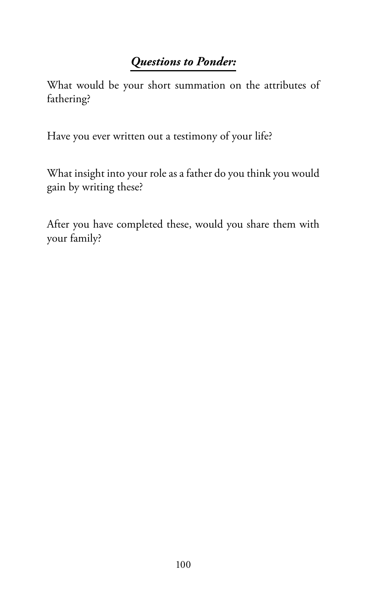# *Questions to Ponder:*

What would be your short summation on the attributes of fathering?

Have you ever written out a testimony of your life?

What insight into your role as a father do you think you would gain by writing these?

After you have completed these, would you share them with your family?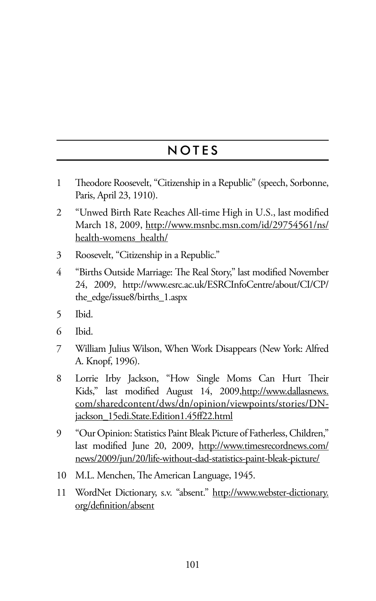# **NOTES**

- 1 Theodore Roosevelt, "Citizenship in a Republic" (speech, Sorbonne, Paris, April 23, 1910).
- 2 "Unwed Birth Rate Reaches All-time High in U.S., last modified March 18, 2009, http://www.msnbc.msn.com/id/29754561/ns/ health-womens\_health/
- 3 Roosevelt, "Citizenship in a Republic."
- 4 "Births Outside Marriage: The Real Story," last modified November 24, 2009, http://www.esrc.ac.uk/ESRCInfoCentre/about/CI/CP/ the\_edge/issue8/births\_1.aspx
- 5 Ibid.
- 6 Ibid.
- 7 William Julius Wilson, When Work Disappears (New York: Alfred A. Knopf, 1996).
- 8 Lorrie Irby Jackson, "How Single Moms Can Hurt Their Kids," last modified August 14, 2009, http://www.dallasnews. com/sharedcontent/dws/dn/opinion/viewpoints/stories/DNjackson\_15edi.State.Edition1.45ff22.html
- 9 "Our Opinion: Statistics Paint Bleak Picture of Fatherless, Children," last modified June 20, 2009, http://www.timesrecordnews.com/ news/2009/jun/20/life-without-dad-statistics-paint-bleak-picture/
- 10 M.L. Menchen, The American Language, 1945.
- 11 WordNet Dictionary, s.v. "absent." http://www.webster-dictionary. org/definition/absent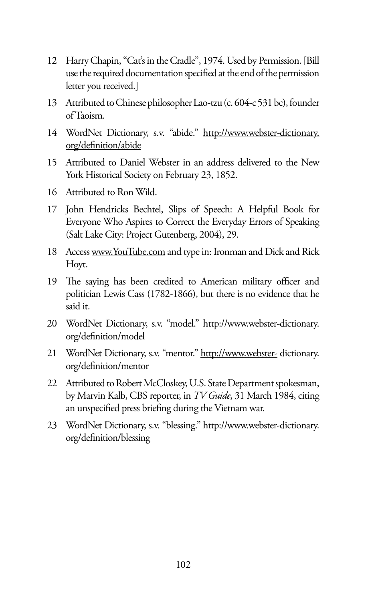- 12 Harry Chapin, "Cat's in the Cradle", 1974. Used by Permission. [Bill use the required documentation specified at the end of the permission letter you received.]
- 13 Attributed to Chinese philosopher Lao-tzu (c. 604-c 531 bc), founder of Taoism.
- 14 WordNet Dictionary, s.v. "abide." http://www.webster-dictionary. org/definition/abide
- 15 Attributed to Daniel Webster in an address delivered to the New York Historical Society on February 23, 1852.
- 16 Attributed to Ron Wild.
- 17 John Hendricks Bechtel, Slips of Speech: A Helpful Book for Everyone Who Aspires to Correct the Everyday Errors of Speaking (Salt Lake City: Project Gutenberg, 2004), 29.
- 18 Access www.YouTube.com and type in: Ironman and Dick and Rick Hoyt.
- 19 The saying has been credited to American military officer and politician Lewis Cass (1782-1866), but there is no evidence that he said it.
- 20 WordNet Dictionary, s.v. "model." http://www.webster-dictionary. org/definition/model
- 21 WordNet Dictionary, s.v. "mentor." http://www.webster- dictionary. org/definition/mentor
- 22 Attributed to Robert McCloskey, U.S. State Department spokesman, by Marvin Kalb, CBS reporter, in *TV Guide*, 31 March 1984, citing an unspecified press briefing during the Vietnam war.
- 23 WordNet Dictionary, s.v. "blessing." http://www.webster-dictionary. org/definition/blessing